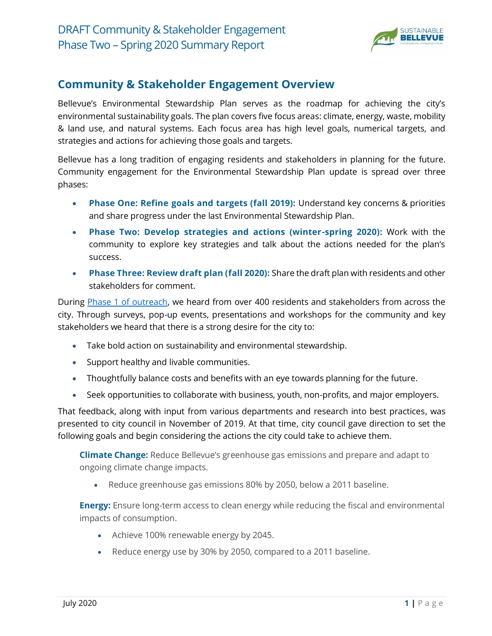

#### **Community & Stakeholder Engagement Overview**

Bellevue's Environmental Stewardship Plan serves as the roadmap for achieving the city's environmental sustainability goals. The plan covers five focus areas: climate, energy, waste, mobility & land use, and natural systems. Each focus area has high level goals, numerical targets, and strategies and actions for achieving those goals and targets.

Bellevue has a long tradition of engaging residents and stakeholders in planning for the future. Community engagement for the Environmental Stewardship Plan update is spread over three phases:

- **Phase One: Refine goals and targets (fall 2019):** Understand key concerns & priorities and share progress under the last Environmental Stewardship Plan.
- **Phase Two: Develop strategies and actions (winter-spring 2020):** Work with the community to explore key strategies and talk about the actions needed for the plan's success.
- **Phase Three: Review draft plan (fall 2020):** Share the draft plan with residents and other stakeholders for comment.

During [Phase 1 of outreach,](https://bellevuewa.gov/sites/default/files/media/file/2019/Bellevue%20ESI%20Phase%201%20Outreach%20Summary%20FINAL.pdf) we heard from over 400 residents and stakeholders from across the city. Through surveys, pop-up events, presentations and workshops for the community and key stakeholders we heard that there is a strong desire for the city to:

- Take bold action on sustainability and environmental stewardship.
- Support healthy and livable communities.
- Thoughtfully balance costs and benefits with an eye towards planning for the future.
- Seek opportunities to collaborate with business, youth, non-profits, and major employers.

That feedback, along with input from various departments and research into best practices, was presented to city council in November of 2019. At that time, city council gave direction to set the following goals and begin considering the actions the city could take to achieve them.

**Climate Change:** Reduce Bellevue's greenhouse gas emissions and prepare and adapt to ongoing climate change impacts.

• Reduce greenhouse gas emissions 80% by 2050, below a 2011 baseline.

**Energy:** Ensure long-term access to clean energy while reducing the fiscal and environmental impacts of consumption.

- Achieve 100% renewable energy by 2045.
- Reduce energy use by 30% by 2050, compared to a 2011 baseline.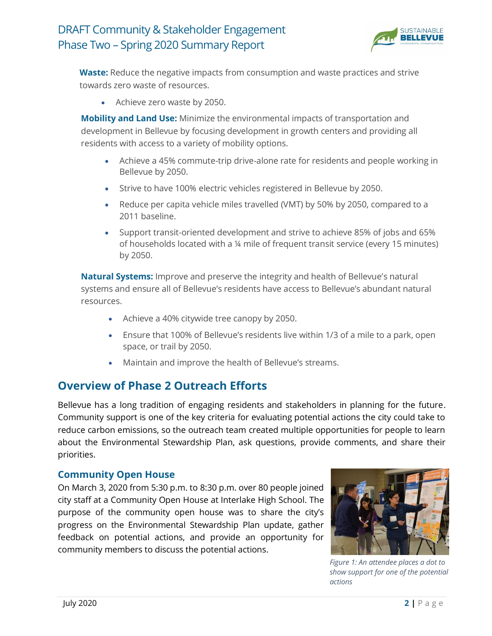

**Waste:** Reduce the negative impacts from consumption and waste practices and strive towards zero waste of resources.

• Achieve zero waste by 2050.

**Mobility and Land Use:** Minimize the environmental impacts of transportation and development in Bellevue by focusing development in growth centers and providing all residents with access to a variety of mobility options.

- Achieve a 45% commute-trip drive-alone rate for residents and people working in Bellevue by 2050.
- Strive to have 100% electric vehicles registered in Bellevue by 2050.
- Reduce per capita vehicle miles travelled (VMT) by 50% by 2050, compared to a 2011 baseline.
- Support transit-oriented development and strive to achieve 85% of jobs and 65% of households located with a ¼ mile of frequent transit service (every 15 minutes) by 2050.

**Natural Systems:** Improve and preserve the integrity and health of Bellevue's natural systems and ensure all of Bellevue's residents have access to Bellevue's abundant natural resources.

- Achieve a 40% citywide tree canopy by 2050.
- Ensure that 100% of Bellevue's residents live within 1/3 of a mile to a park, open space, or trail by 2050.
- Maintain and improve the health of Bellevue's streams.

#### **Overview of Phase 2 Outreach Efforts**

Bellevue has a long tradition of engaging residents and stakeholders in planning for the future. Community support is one of the key criteria for evaluating potential actions the city could take to reduce carbon emissions, so the outreach team created multiple opportunities for people to learn about the Environmental Stewardship Plan, ask questions, provide comments, and share their priorities.

#### **Community Open House**

On March 3, 2020 from 5:30 p.m. to 8:30 p.m. over 80 people joined city staff at a Community Open House at Interlake High School. The purpose of the community open house was to share the city's progress on the Environmental Stewardship Plan update, gather feedback on potential actions, and provide an opportunity for community members to discuss the potential actions.



*Figure 1: An attendee places a dot to show support for one of the potential actions*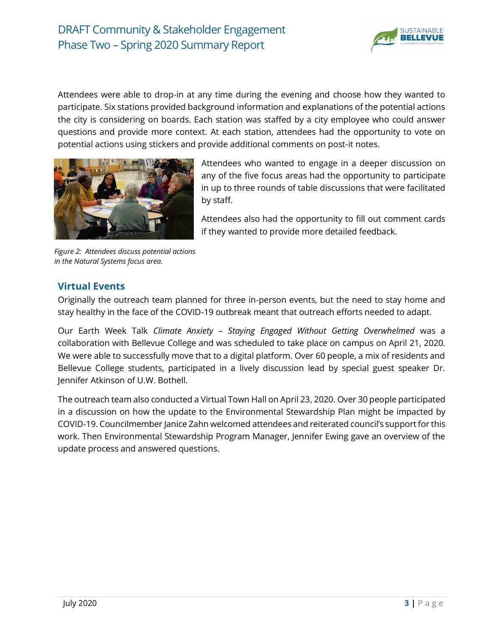

Attendees were able to drop-in at any time during the evening and choose how they wanted to participate. Six stations provided background information and explanations of the potential actions the city is considering on boards. Each station was staffed by a city employee who could answer questions and provide more context. At each station, attendees had the opportunity to vote on potential actions using stickers and provide additional comments on post-it notes.



*Figure 2: Attendees discuss potential actions in the Natural Systems focus area.*

Attendees who wanted to engage in a deeper discussion on any of the five focus areas had the opportunity to participate in up to three rounds of table discussions that were facilitated by staff.

Attendees also had the opportunity to fill out comment cards if they wanted to provide more detailed feedback.

#### **Virtual Events**

Originally the outreach team planned for three in-person events, but the need to stay home and stay healthy in the face of the COVID-19 outbreak meant that outreach efforts needed to adapt.

Our Earth Week Talk *Climate Anxiety – Staying Engaged Without Getting Overwhelmed* was a collaboration with Bellevue College and was scheduled to take place on campus on April 21, 2020. We were able to successfully move that to a digital platform. Over 60 people, a mix of residents and Bellevue College students, participated in a lively discussion lead by special guest speaker Dr. Jennifer Atkinson of U.W. Bothell.

The outreach team also conducted a Virtual Town Hall on April 23, 2020. Over 30 people participated in a discussion on how the update to the Environmental Stewardship Plan might be impacted by COVID-19. Councilmember Janice Zahn welcomed attendees and reiterated council's support for this work. Then Environmental Stewardship Program Manager, Jennifer Ewing gave an overview of the update process and answered questions.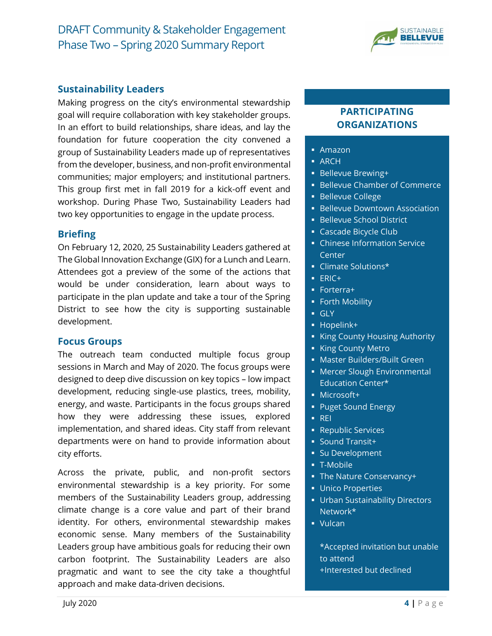

#### **Sustainability Leaders**

Making progress on the city's environmental stewardship goal will require collaboration with key stakeholder groups. In an effort to build relationships, share ideas, and lay the foundation for future cooperation the city convened a group of Sustainability Leaders made up of representatives from the developer, business, and non-profit environmental communities; major employers; and institutional partners. This group first met in fall 2019 for a kick-off event and workshop. During Phase Two, Sustainability Leaders had two key opportunities to engage in the update process.

#### **Briefing**

On February 12, 2020, 25 Sustainability Leaders gathered at The Global Innovation Exchange (GIX) for a Lunch and Learn. Attendees got a preview of the some of the actions that would be under consideration, learn about ways to participate in the plan update and take a tour of the Spring District to see how the city is supporting sustainable development.

#### **Focus Groups**

The outreach team conducted multiple focus group sessions in March and May of 2020. The focus groups were designed to deep dive discussion on key topics – low impact development, reducing single-use plastics, trees, mobility, energy, and waste. Participants in the focus groups shared how they were addressing these issues, explored implementation, and shared ideas. City staff from relevant departments were on hand to provide information about city efforts.

Across the private, public, and non-profit sectors environmental stewardship is a key priority. For some members of the Sustainability Leaders group, addressing climate change is a core value and part of their brand identity. For others, environmental stewardship makes economic sense. Many members of the Sustainability Leaders group have ambitious goals for reducing their own carbon footprint. The Sustainability Leaders are also pragmatic and want to see the city take a thoughtful approach and make data-driven decisions.

#### **PARTICIPATING ORGANIZATIONS**

- Amazon
- ARCH
- Bellevue Brewing+
- **Bellevue Chamber of Commerce**
- Bellevue College
- **Bellevue Downtown Association**
- **Bellevue School District**
- **E** Cascade Bicycle Club
- **Chinese Information Service Center**
- Climate Solutions\*
- ERIC+
- Forterra+
- **Forth Mobility**
- GLY
- Hopelink+
- **E** King County Housing Authority
- **E** King County Metro
- **Master Builders/Built Green**
- **■** Mercer Slough Environmental Education Center\*
- **■** Microsoft+
- Puget Sound Energy
- REI
- **Republic Services**
- Sound Transit+
- **E** Su Development
- T-Mobile
- The Nature Conservancy+
- **Unico Properties**
- **Urban Sustainability Directors** Network\*
- Vulcan

\*Accepted invitation but unable to attend +Interested but declined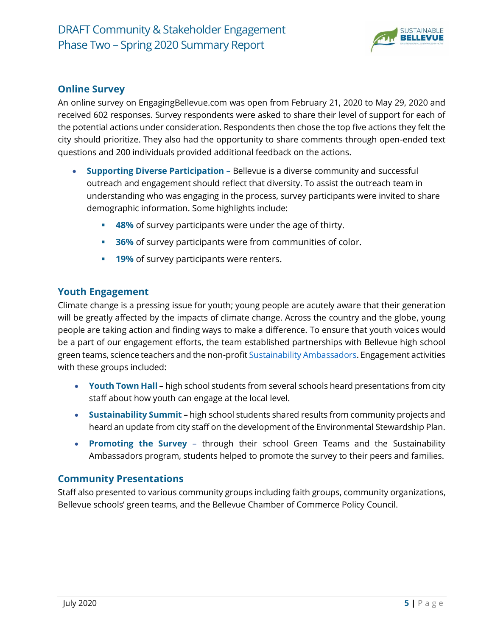

#### **Online Survey**

An online survey on EngagingBellevue.com was open from February 21, 2020 to May 29, 2020 and received 602 responses. Survey respondents were asked to share their level of support for each of the potential actions under consideration. Respondents then chose the top five actions they felt the city should prioritize. They also had the opportunity to share comments through open-ended text questions and 200 individuals provided additional feedback on the actions.

- **Supporting Diverse Participation -** Bellevue is a diverse community and successful outreach and engagement should reflect that diversity. To assist the outreach team in understanding who was engaging in the process, survey participants were invited to share demographic information. Some highlights include:
	- **48%** of survey participants were under the age of thirty.
	- **BED** 36% of survey participants were from communities of color.
	- **19%** of survey participants were renters.

#### **Youth Engagement**

Climate change is a pressing issue for youth; young people are acutely aware that their generation will be greatly affected by the impacts of climate change. Across the country and the globe, young people are taking action and finding ways to make a difference. To ensure that youth voices would be a part of our engagement efforts, the team established partnerships with Bellevue high school green teams, science teachers and the non-profit **Sustainability Ambassadors**. Engagement activities with these groups included:

- **Youth Town Hall** high school students from several schools heard presentations from city staff about how youth can engage at the local level.
- **Sustainability Summit –** high school students shared results from community projects and heard an update from city staff on the development of the Environmental Stewardship Plan.
- **Promoting the Survey** through their school Green Teams and the Sustainability Ambassadors program, students helped to promote the survey to their peers and families.

#### **Community Presentations**

Staff also presented to various community groups including faith groups, community organizations, Bellevue schools' green teams, and the Bellevue Chamber of Commerce Policy Council.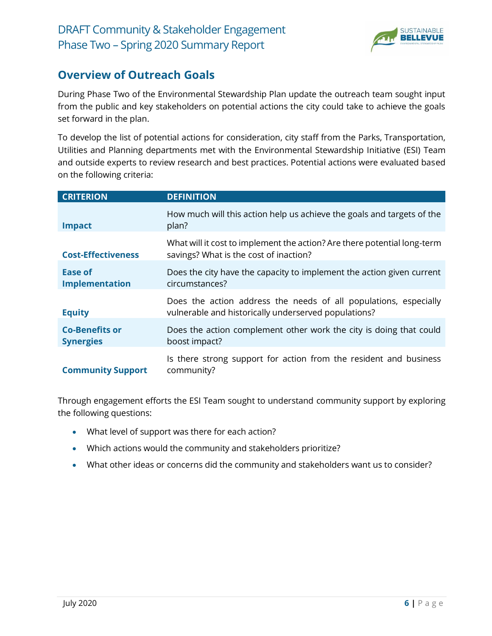

### **Overview of Outreach Goals**

During Phase Two of the Environmental Stewardship Plan update the outreach team sought input from the public and key stakeholders on potential actions the city could take to achieve the goals set forward in the plan.

To develop the list of potential actions for consideration, city staff from the Parks, Transportation, Utilities and Planning departments met with the Environmental Stewardship Initiative (ESI) Team and outside experts to review research and best practices. Potential actions were evaluated based on the following criteria:

| <b>CRITERION</b>                          | <b>DEFINITION</b>                                                                                                        |
|-------------------------------------------|--------------------------------------------------------------------------------------------------------------------------|
| <b>Impact</b>                             | How much will this action help us achieve the goals and targets of the<br>plan?                                          |
| <b>Cost-Effectiveness</b>                 | What will it cost to implement the action? Are there potential long-term<br>savings? What is the cost of inaction?       |
| Ease of<br>Implementation                 | Does the city have the capacity to implement the action given current<br>circumstances?                                  |
| <b>Equity</b>                             | Does the action address the needs of all populations, especially<br>vulnerable and historically underserved populations? |
| <b>Co-Benefits or</b><br><b>Synergies</b> | Does the action complement other work the city is doing that could<br>boost impact?                                      |
| <b>Community Support</b>                  | Is there strong support for action from the resident and business<br>community?                                          |

Through engagement efforts the ESI Team sought to understand community support by exploring the following questions:

- What level of support was there for each action?
- Which actions would the community and stakeholders prioritize?
- What other ideas or concerns did the community and stakeholders want us to consider?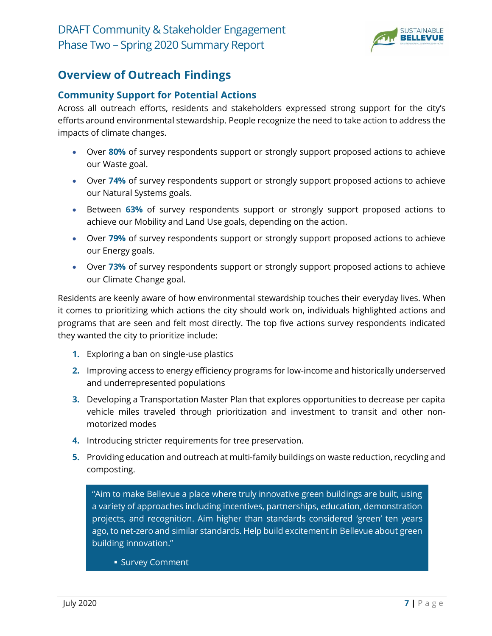

### **Overview of Outreach Findings**

#### **Community Support for Potential Actions**

Across all outreach efforts, residents and stakeholders expressed strong support for the city's efforts around environmental stewardship. People recognize the need to take action to address the impacts of climate changes.

- Over **80%** of survey respondents support or strongly support proposed actions to achieve our Waste goal.
- Over **74%** of survey respondents support or strongly support proposed actions to achieve our Natural Systems goals.
- Between **63%** of survey respondents support or strongly support proposed actions to achieve our Mobility and Land Use goals, depending on the action.
- Over **79%** of survey respondents support or strongly support proposed actions to achieve our Energy goals.
- Over **73%** of survey respondents support or strongly support proposed actions to achieve our Climate Change goal.

Residents are keenly aware of how environmental stewardship touches their everyday lives. When it comes to prioritizing which actions the city should work on, individuals highlighted actions and programs that are seen and felt most directly. The top five actions survey respondents indicated they wanted the city to prioritize include:

- **1.** Exploring a ban on single-use plastics
- **2.** Improving access to energy efficiency programs for low-income and historically underserved and underrepresented populations
- **3.** Developing a Transportation Master Plan that explores opportunities to decrease per capita vehicle miles traveled through prioritization and investment to transit and other nonmotorized modes
- **4.** Introducing stricter requirements for tree preservation.
- **5.** Providing education and outreach at multi-family buildings on waste reduction, recycling and composting.

"Aim to make Bellevue a place where truly innovative green buildings are built, using a variety of approaches including incentives, partnerships, education, demonstration projects, and recognition. Aim higher than standards considered 'green' ten years ago, to net-zero and similar standards. Help build excitement in Bellevue about green building innovation."

**E** Survey Comment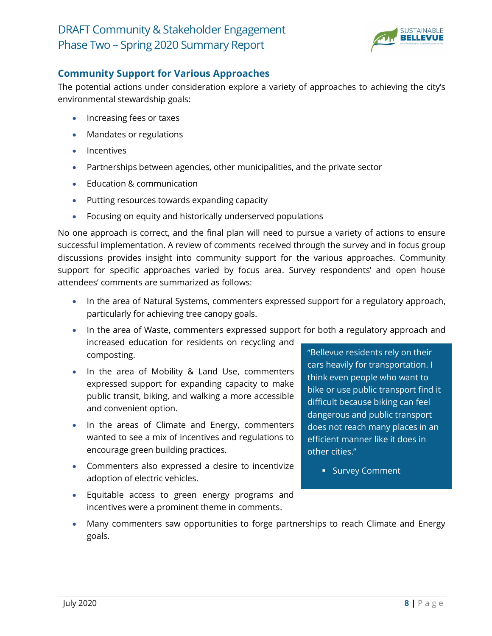

#### **Community Support for Various Approaches**

The potential actions under consideration explore a variety of approaches to achieving the city's environmental stewardship goals:

- Increasing fees or taxes
- Mandates or regulations
- Incentives
- Partnerships between agencies, other municipalities, and the private sector
- Education & communication
- Putting resources towards expanding capacity
- Focusing on equity and historically underserved populations

No one approach is correct, and the final plan will need to pursue a variety of actions to ensure successful implementation. A review of comments received through the survey and in focus group discussions provides insight into community support for the various approaches. Community support for specific approaches varied by focus area. Survey respondents' and open house attendees' comments are summarized as follows:

- In the area of Natural Systems, commenters expressed support for a regulatory approach, particularly for achieving tree canopy goals.
- In the area of Waste, commenters expressed support for both a regulatory approach and increased education for residents on recycling and composting. "Bellevue residents rely on their
- In the area of Mobility & Land Use, commenters expressed support for expanding capacity to make public transit, biking, and walking a more accessible and convenient option.
- In the areas of Climate and Energy, commenters wanted to see a mix of incentives and regulations to encourage green building practices.
- Commenters also expressed a desire to incentivize adoption of electric vehicles.
- Equitable access to green energy programs and incentives were a prominent theme in comments.

cars heavily for transportation. I think even people who want to bike or use public transport find it difficult because biking can feel dangerous and public transport does not reach many places in an efficient manner like it does in other cities."

- Survey Comment
- Many commenters saw opportunities to forge partnerships to reach Climate and Energy goals.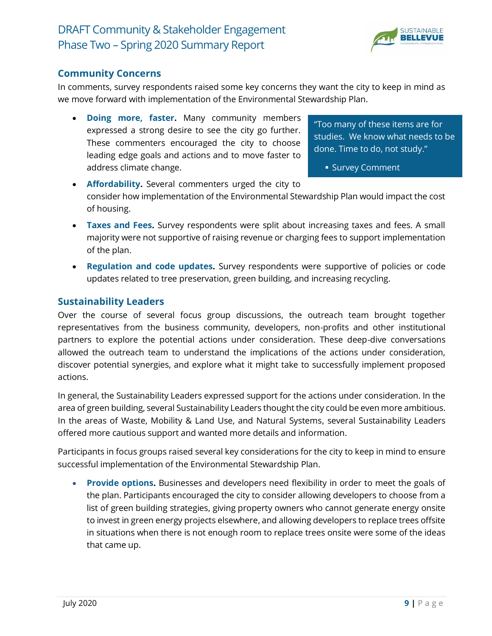

#### **Community Concerns**

In comments, survey respondents raised some key concerns they want the city to keep in mind as we move forward with implementation of the Environmental Stewardship Plan.

• **Doing more, faster.** Many community members expressed a strong desire to see the city go further. These commenters encouraged the city to choose leading edge goals and actions and to move faster to address climate change.

"Too many of these items are for studies. We know what needs to be done. Time to do, not study."

**E** Survey Comment

- **Affordability.** Several commenters urged the city to consider how implementation of the Environmental Stewardship Plan would impact the cost of housing.
- **Taxes and Fees.** Survey respondents were split about increasing taxes and fees. A small majority were not supportive of raising revenue or charging fees to support implementation of the plan.
- **Regulation and code updates.** Survey respondents were supportive of policies or code updates related to tree preservation, green building, and increasing recycling.

#### **Sustainability Leaders**

Over the course of several focus group discussions, the outreach team brought together representatives from the business community, developers, non-profits and other institutional partners to explore the potential actions under consideration. These deep-dive conversations allowed the outreach team to understand the implications of the actions under consideration, discover potential synergies, and explore what it might take to successfully implement proposed actions.

In general, the Sustainability Leaders expressed support for the actions under consideration. In the area of green building, several Sustainability Leaders thought the city could be even more ambitious. In the areas of Waste, Mobility & Land Use, and Natural Systems, several Sustainability Leaders offered more cautious support and wanted more details and information.

Participants in focus groups raised several key considerations for the city to keep in mind to ensure successful implementation of the Environmental Stewardship Plan.

• **Provide options.** Businesses and developers need flexibility in order to meet the goals of the plan. Participants encouraged the city to consider allowing developers to choose from a list of green building strategies, giving property owners who cannot generate energy onsite to invest in green energy projects elsewhere, and allowing developers to replace trees offsite in situations when there is not enough room to replace trees onsite were some of the ideas that came up.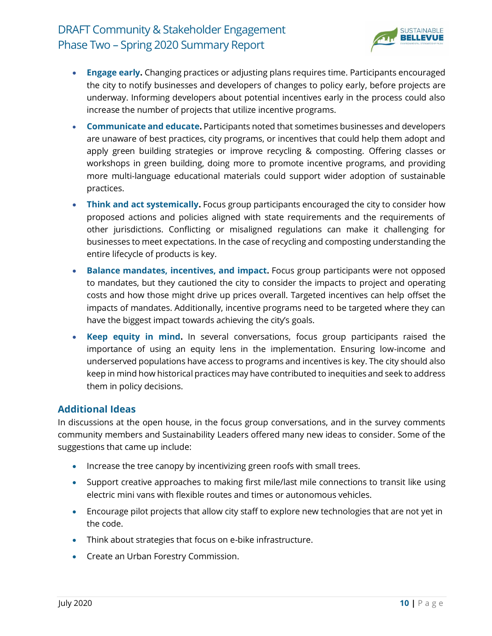

- **Engage early.** Changing practices or adjusting plans requires time. Participants encouraged the city to notify businesses and developers of changes to policy early, before projects are underway. Informing developers about potential incentives early in the process could also increase the number of projects that utilize incentive programs.
- **Communicate and educate.** Participants noted that sometimes businesses and developers are unaware of best practices, city programs, or incentives that could help them adopt and apply green building strategies or improve recycling & composting. Offering classes or workshops in green building, doing more to promote incentive programs, and providing more multi-language educational materials could support wider adoption of sustainable practices.
- **Think and act systemically.** Focus group participants encouraged the city to consider how proposed actions and policies aligned with state requirements and the requirements of other jurisdictions. Conflicting or misaligned regulations can make it challenging for businesses to meet expectations. In the case of recycling and composting understanding the entire lifecycle of products is key.
- **Balance mandates, incentives, and impact.** Focus group participants were not opposed to mandates, but they cautioned the city to consider the impacts to project and operating costs and how those might drive up prices overall. Targeted incentives can help offset the impacts of mandates. Additionally, incentive programs need to be targeted where they can have the biggest impact towards achieving the city's goals.
- **Keep equity in mind.** In several conversations, focus group participants raised the importance of using an equity lens in the implementation. Ensuring low-income and underserved populations have access to programs and incentives is key. The city should also keep in mind how historical practices may have contributed to inequities and seek to address them in policy decisions.

#### **Additional Ideas**

In discussions at the open house, in the focus group conversations, and in the survey comments community members and Sustainability Leaders offered many new ideas to consider. Some of the suggestions that came up include:

- Increase the tree canopy by incentivizing green roofs with small trees.
- Support creative approaches to making first mile/last mile connections to transit like using electric mini vans with flexible routes and times or autonomous vehicles.
- Encourage pilot projects that allow city staff to explore new technologies that are not yet in the code.
- Think about strategies that focus on e-bike infrastructure.
- Create an Urban Forestry Commission.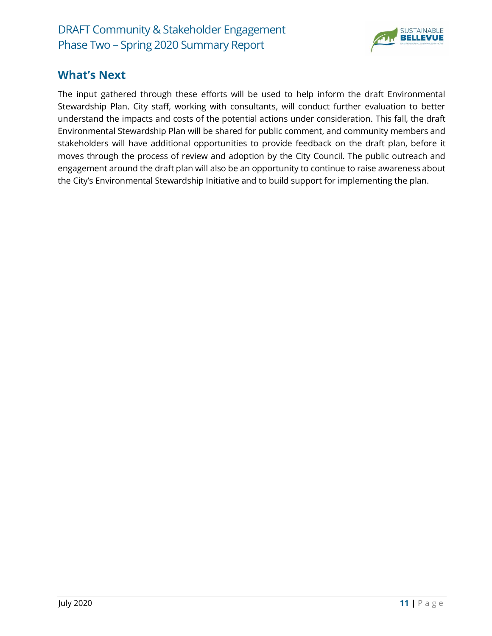

#### **What's Next**

The input gathered through these efforts will be used to help inform the draft Environmental Stewardship Plan. City staff, working with consultants, will conduct further evaluation to better understand the impacts and costs of the potential actions under consideration. This fall, the draft Environmental Stewardship Plan will be shared for public comment, and community members and stakeholders will have additional opportunities to provide feedback on the draft plan, before it moves through the process of review and adoption by the City Council. The public outreach and engagement around the draft plan will also be an opportunity to continue to raise awareness about the City's Environmental Stewardship Initiative and to build support for implementing the plan.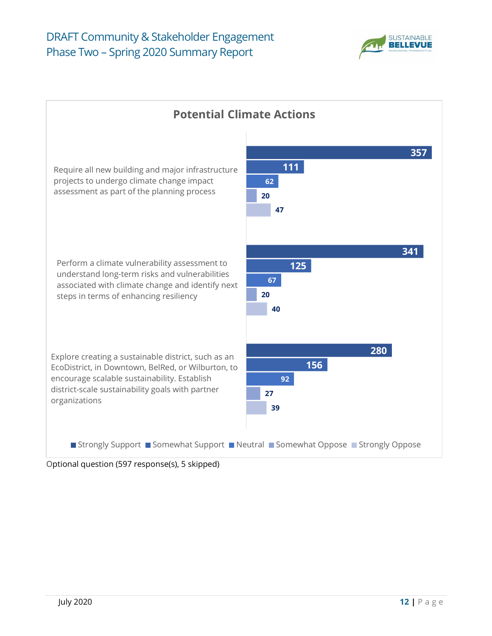



Optional question (597 response(s), 5 skipped)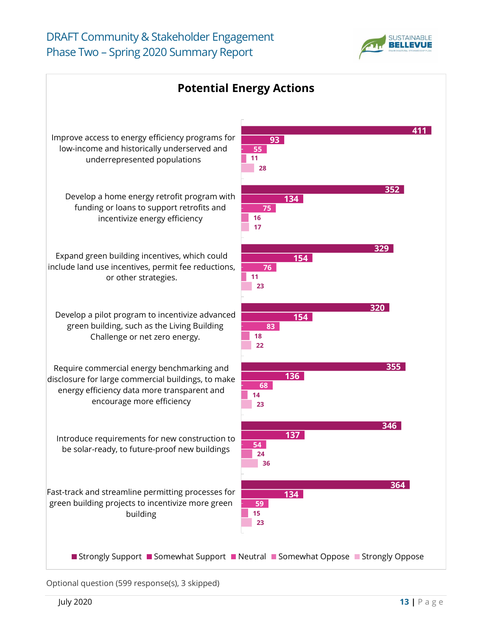



Optional question (599 response(s), 3 skipped)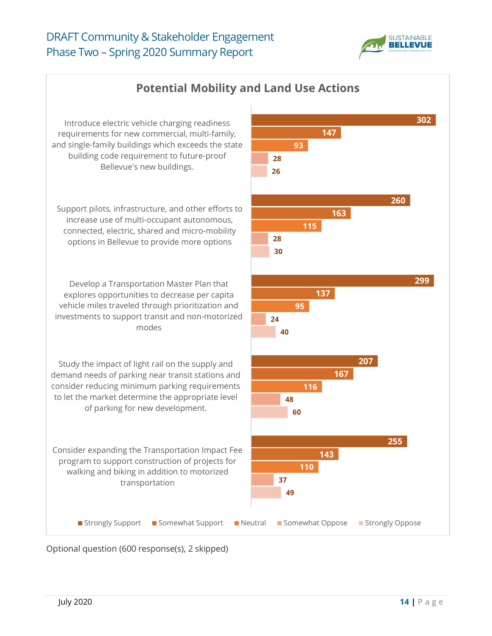![](_page_13_Picture_1.jpeg)

![](_page_13_Figure_2.jpeg)

Optional question (600 response(s), 2 skipped)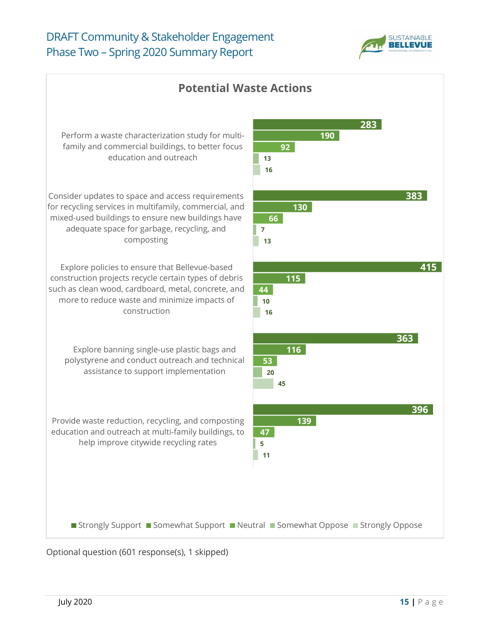![](_page_14_Picture_1.jpeg)

![](_page_14_Figure_2.jpeg)

Optional question (601 response(s), 1 skipped)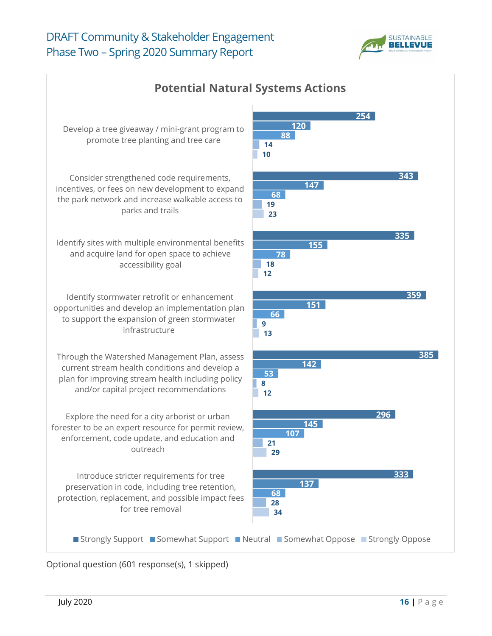![](_page_15_Picture_1.jpeg)

![](_page_15_Figure_2.jpeg)

Optional question (601 response(s), 1 skipped)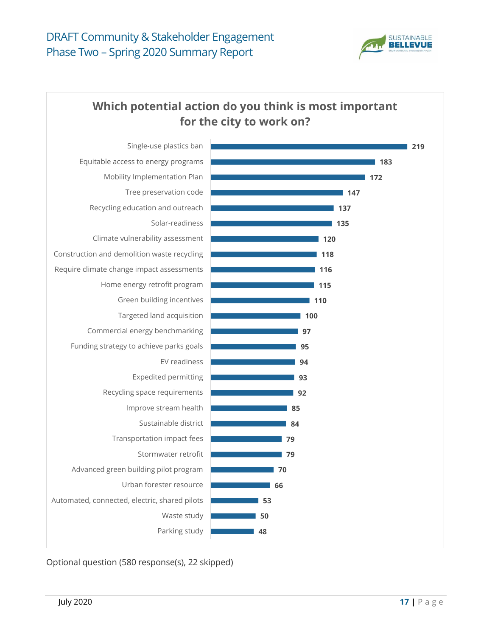![](_page_16_Picture_1.jpeg)

### **Which potential action do you think is most important for the city to work on?**

![](_page_16_Figure_3.jpeg)

Optional question (580 response(s), 22 skipped)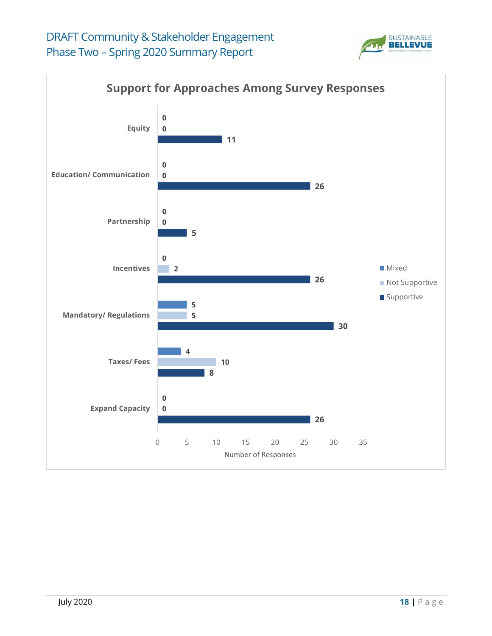![](_page_17_Picture_1.jpeg)

![](_page_17_Figure_2.jpeg)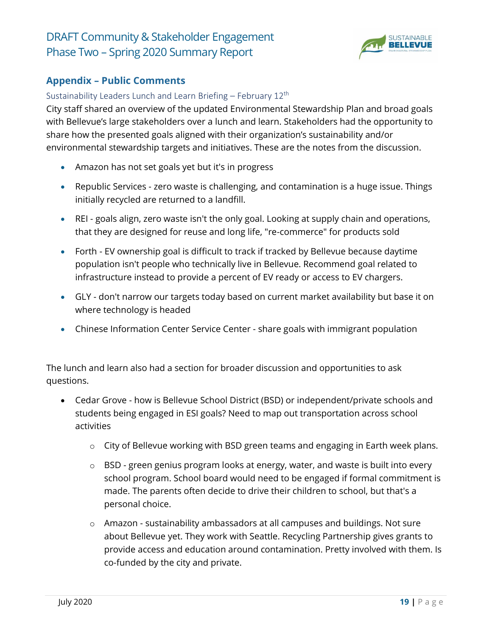![](_page_18_Picture_1.jpeg)

#### **Appendix – Public Comments**

#### Sustainability Leaders Lunch and Learn Briefing – February 12<sup>th</sup>

City staff shared an overview of the updated Environmental Stewardship Plan and broad goals with Bellevue's large stakeholders over a lunch and learn. Stakeholders had the opportunity to share how the presented goals aligned with their organization's sustainability and/or environmental stewardship targets and initiatives. These are the notes from the discussion.

- Amazon has not set goals yet but it's in progress
- Republic Services zero waste is challenging, and contamination is a huge issue. Things initially recycled are returned to a landfill.
- REI goals align, zero waste isn't the only goal. Looking at supply chain and operations, that they are designed for reuse and long life, "re-commerce" for products sold
- Forth EV ownership goal is difficult to track if tracked by Bellevue because daytime population isn't people who technically live in Bellevue. Recommend goal related to infrastructure instead to provide a percent of EV ready or access to EV chargers.
- GLY don't narrow our targets today based on current market availability but base it on where technology is headed
- Chinese Information Center Service Center share goals with immigrant population

The lunch and learn also had a section for broader discussion and opportunities to ask questions.

- Cedar Grove how is Bellevue School District (BSD) or independent/private schools and students being engaged in ESI goals? Need to map out transportation across school activities
	- o City of Bellevue working with BSD green teams and engaging in Earth week plans.
	- o BSD green genius program looks at energy, water, and waste is built into every school program. School board would need to be engaged if formal commitment is made. The parents often decide to drive their children to school, but that's a personal choice.
	- o Amazon sustainability ambassadors at all campuses and buildings. Not sure about Bellevue yet. They work with Seattle. Recycling Partnership gives grants to provide access and education around contamination. Pretty involved with them. Is co-funded by the city and private.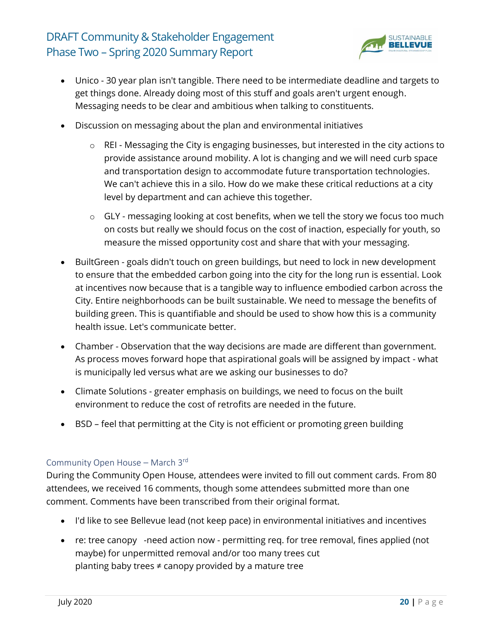![](_page_19_Picture_1.jpeg)

- Unico 30 year plan isn't tangible. There need to be intermediate deadline and targets to get things done. Already doing most of this stuff and goals aren't urgent enough. Messaging needs to be clear and ambitious when talking to constituents.
- Discussion on messaging about the plan and environmental initiatives
	- o REI Messaging the City is engaging businesses, but interested in the city actions to provide assistance around mobility. A lot is changing and we will need curb space and transportation design to accommodate future transportation technologies. We can't achieve this in a silo. How do we make these critical reductions at a city level by department and can achieve this together.
	- $\circ$  GLY messaging looking at cost benefits, when we tell the story we focus too much on costs but really we should focus on the cost of inaction, especially for youth, so measure the missed opportunity cost and share that with your messaging.
- BuiltGreen goals didn't touch on green buildings, but need to lock in new development to ensure that the embedded carbon going into the city for the long run is essential. Look at incentives now because that is a tangible way to influence embodied carbon across the City. Entire neighborhoods can be built sustainable. We need to message the benefits of building green. This is quantifiable and should be used to show how this is a community health issue. Let's communicate better.
- Chamber Observation that the way decisions are made are different than government. As process moves forward hope that aspirational goals will be assigned by impact - what is municipally led versus what are we asking our businesses to do?
- Climate Solutions greater emphasis on buildings, we need to focus on the built environment to reduce the cost of retrofits are needed in the future.
- BSD feel that permitting at the City is not efficient or promoting green building

#### Community Open House – March 3rd

During the Community Open House, attendees were invited to fill out comment cards. From 80 attendees, we received 16 comments, though some attendees submitted more than one comment. Comments have been transcribed from their original format.

- I'd like to see Bellevue lead (not keep pace) in environmental initiatives and incentives
- re: tree canopy -need action now permitting req. for tree removal, fines applied (not maybe) for unpermitted removal and/or too many trees cut planting baby trees ≠ canopy provided by a mature tree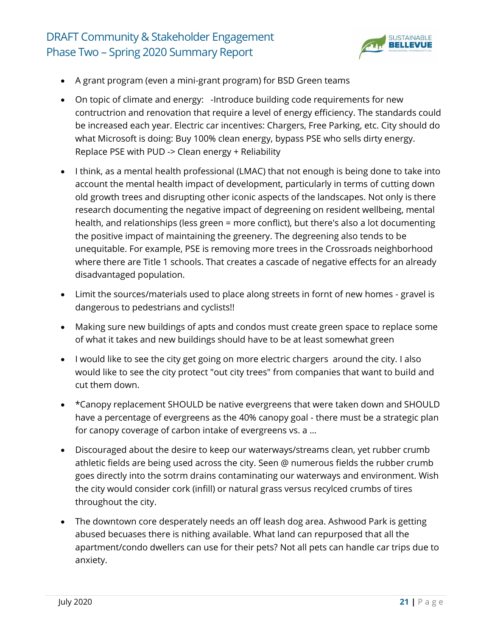![](_page_20_Picture_1.jpeg)

- A grant program (even a mini-grant program) for BSD Green teams
- On topic of climate and energy: -Introduce building code requirements for new contructrion and renovation that require a level of energy efficiency. The standards could be increased each year. Electric car incentives: Chargers, Free Parking, etc. City should do what Microsoft is doing: Buy 100% clean energy, bypass PSE who sells dirty energy. Replace PSE with PUD -> Clean energy + Reliability
- I think, as a mental health professional (LMAC) that not enough is being done to take into account the mental health impact of development, particularly in terms of cutting down old growth trees and disrupting other iconic aspects of the landscapes. Not only is there research documenting the negative impact of degreening on resident wellbeing, mental health, and relationships (less green = more conflict), but there's also a lot documenting the positive impact of maintaining the greenery. The degreening also tends to be unequitable. For example, PSE is removing more trees in the Crossroads neighborhood where there are Title 1 schools. That creates a cascade of negative effects for an already disadvantaged population.
- Limit the sources/materials used to place along streets in fornt of new homes gravel is dangerous to pedestrians and cyclists!!
- Making sure new buildings of apts and condos must create green space to replace some of what it takes and new buildings should have to be at least somewhat green
- I would like to see the city get going on more electric chargers around the city. I also would like to see the city protect "out city trees" from companies that want to build and cut them down.
- \*Canopy replacement SHOULD be native evergreens that were taken down and SHOULD have a percentage of evergreens as the 40% canopy goal - there must be a strategic plan for canopy coverage of carbon intake of evergreens vs. a …
- Discouraged about the desire to keep our waterways/streams clean, yet rubber crumb athletic fields are being used across the city. Seen @ numerous fields the rubber crumb goes directly into the sotrm drains contaminating our waterways and environment. Wish the city would consider cork (infill) or natural grass versus recylced crumbs of tires throughout the city.
- The downtown core desperately needs an off leash dog area. Ashwood Park is getting abused becuases there is nithing available. What land can repurposed that all the apartment/condo dwellers can use for their pets? Not all pets can handle car trips due to anxiety.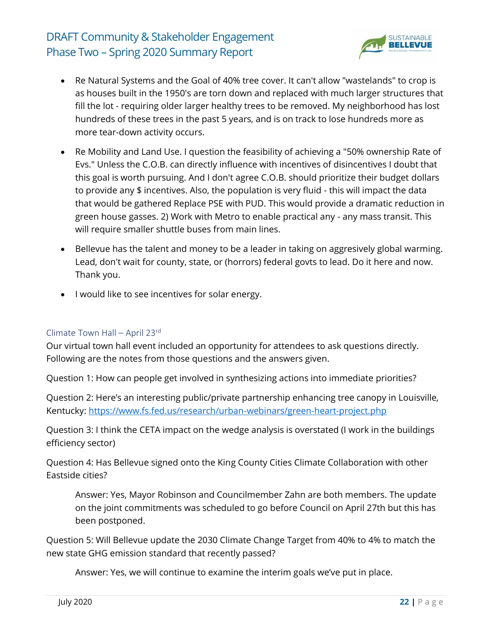![](_page_21_Picture_1.jpeg)

- Re Natural Systems and the Goal of 40% tree cover. It can't allow "wastelands" to crop is as houses built in the 1950's are torn down and replaced with much larger structures that fill the lot - requiring older larger healthy trees to be removed. My neighborhood has lost hundreds of these trees in the past 5 years, and is on track to lose hundreds more as more tear-down activity occurs.
- Re Mobility and Land Use. I question the feasibility of achieving a "50% ownership Rate of Evs." Unless the C.O.B. can directly influence with incentives of disincentives I doubt that this goal is worth pursuing. And I don't agree C.O.B. should prioritize their budget dollars to provide any \$ incentives. Also, the population is very fluid - this will impact the data that would be gathered Replace PSE with PUD. This would provide a dramatic reduction in green house gasses. 2) Work with Metro to enable practical any - any mass transit. This will require smaller shuttle buses from main lines.
- Bellevue has the talent and money to be a leader in taking on aggresively global warming. Lead, don't wait for county, state, or (horrors) federal govts to lead. Do it here and now. Thank you.
- I would like to see incentives for solar energy.

#### Climate Town Hall – April 23rd

Our virtual town hall event included an opportunity for attendees to ask questions directly. Following are the notes from those questions and the answers given.

Question 1: How can people get involved in synthesizing actions into immediate priorities?

Question 2: Here's an interesting public/private partnership enhancing tree canopy in Louisville, Kentucky:<https://www.fs.fed.us/research/urban-webinars/green-heart-project.php>

Question 3: I think the CETA impact on the wedge analysis is overstated (I work in the buildings efficiency sector)

Question 4: Has Bellevue signed onto the King County Cities Climate Collaboration with other Eastside cities?

Answer: Yes, Mayor Robinson and Councilmember Zahn are both members. The update on the joint commitments was scheduled to go before Council on April 27th but this has been postponed.

Question 5: Will Bellevue update the 2030 Climate Change Target from 40% to 4% to match the new state GHG emission standard that recently passed?

Answer: Yes, we will continue to examine the interim goals we've put in place.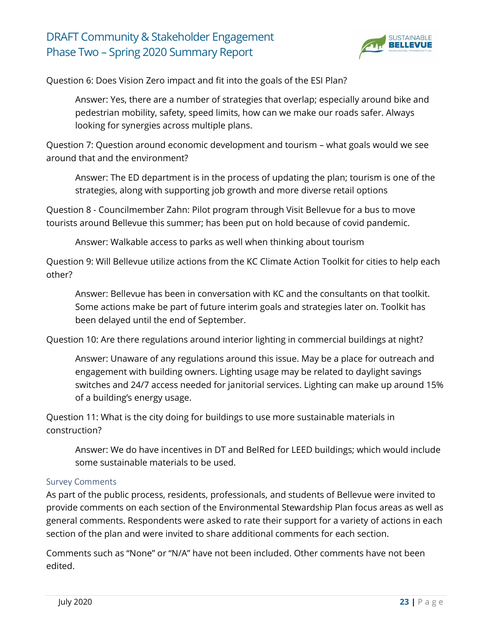![](_page_22_Picture_1.jpeg)

Question 6: Does Vision Zero impact and fit into the goals of the ESI Plan?

Answer: Yes, there are a number of strategies that overlap; especially around bike and pedestrian mobility, safety, speed limits, how can we make our roads safer. Always looking for synergies across multiple plans.

Question 7: Question around economic development and tourism – what goals would we see around that and the environment?

Answer: The ED department is in the process of updating the plan; tourism is one of the strategies, along with supporting job growth and more diverse retail options

Question 8 - Councilmember Zahn: Pilot program through Visit Bellevue for a bus to move tourists around Bellevue this summer; has been put on hold because of covid pandemic.

Answer: Walkable access to parks as well when thinking about tourism

Question 9: Will Bellevue utilize actions from the KC Climate Action Toolkit for cities to help each other?

Answer: Bellevue has been in conversation with KC and the consultants on that toolkit. Some actions make be part of future interim goals and strategies later on. Toolkit has been delayed until the end of September.

Question 10: Are there regulations around interior lighting in commercial buildings at night?

Answer: Unaware of any regulations around this issue. May be a place for outreach and engagement with building owners. Lighting usage may be related to daylight savings switches and 24/7 access needed for janitorial services. Lighting can make up around 15% of a building's energy usage.

Question 11: What is the city doing for buildings to use more sustainable materials in construction?

Answer: We do have incentives in DT and BelRed for LEED buildings; which would include some sustainable materials to be used.

#### Survey Comments

As part of the public process, residents, professionals, and students of Bellevue were invited to provide comments on each section of the Environmental Stewardship Plan focus areas as well as general comments. Respondents were asked to rate their support for a variety of actions in each section of the plan and were invited to share additional comments for each section.

Comments such as "None" or "N/A" have not been included. Other comments have not been edited.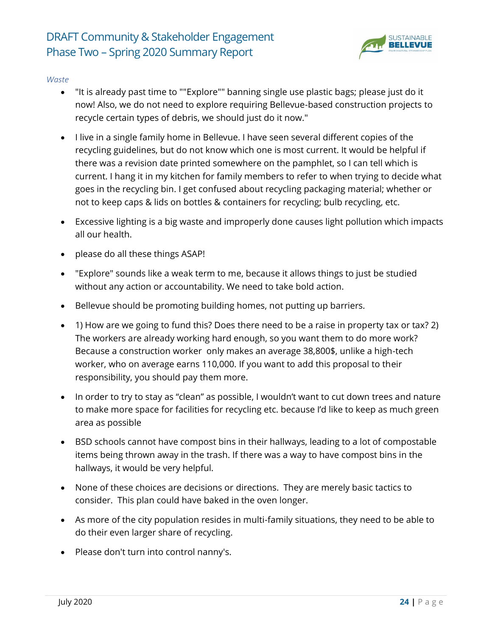![](_page_23_Picture_1.jpeg)

#### *Waste*

- "It is already past time to ""Explore"" banning single use plastic bags; please just do it now! Also, we do not need to explore requiring Bellevue-based construction projects to recycle certain types of debris, we should just do it now."
- I live in a single family home in Bellevue. I have seen several different copies of the recycling guidelines, but do not know which one is most current. It would be helpful if there was a revision date printed somewhere on the pamphlet, so I can tell which is current. I hang it in my kitchen for family members to refer to when trying to decide what goes in the recycling bin. I get confused about recycling packaging material; whether or not to keep caps & lids on bottles & containers for recycling; bulb recycling, etc.
- Excessive lighting is a big waste and improperly done causes light pollution which impacts all our health.
- please do all these things ASAP!
- "Explore" sounds like a weak term to me, because it allows things to just be studied without any action or accountability. We need to take bold action.
- Bellevue should be promoting building homes, not putting up barriers.
- 1) How are we going to fund this? Does there need to be a raise in property tax or tax? 2) The workers are already working hard enough, so you want them to do more work? Because a construction worker only makes an average 38,800\$, unlike a high-tech worker, who on average earns 110,000. If you want to add this proposal to their responsibility, you should pay them more.
- In order to try to stay as "clean" as possible, I wouldn't want to cut down trees and nature to make more space for facilities for recycling etc. because I'd like to keep as much green area as possible
- BSD schools cannot have compost bins in their hallways, leading to a lot of compostable items being thrown away in the trash. If there was a way to have compost bins in the hallways, it would be very helpful.
- None of these choices are decisions or directions. They are merely basic tactics to consider. This plan could have baked in the oven longer.
- As more of the city population resides in multi-family situations, they need to be able to do their even larger share of recycling.
- Please don't turn into control nanny's.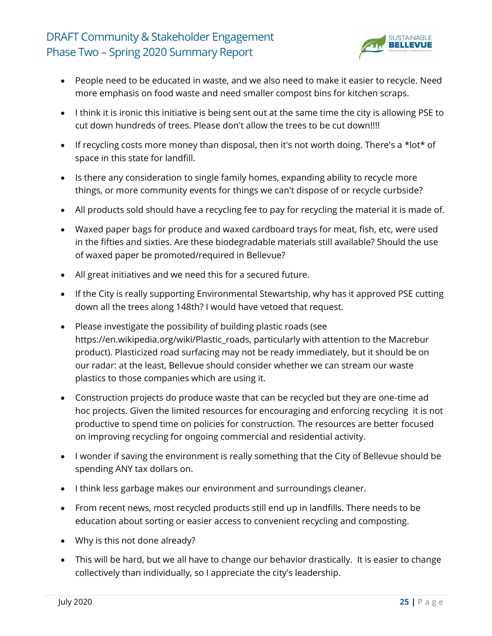![](_page_24_Picture_1.jpeg)

- People need to be educated in waste, and we also need to make it easier to recycle. Need more emphasis on food waste and need smaller compost bins for kitchen scraps.
- I think it is ironic this initiative is being sent out at the same time the city is allowing PSE to cut down hundreds of trees. Please don't allow the trees to be cut down!!!!
- If recycling costs more money than disposal, then it's not worth doing. There's a \*lot\* of space in this state for landfill.
- Is there any consideration to single family homes, expanding ability to recycle more things, or more community events for things we can't dispose of or recycle curbside?
- All products sold should have a recycling fee to pay for recycling the material it is made of.
- Waxed paper bags for produce and waxed cardboard trays for meat, fish, etc, were used in the fifties and sixties. Are these biodegradable materials still available? Should the use of waxed paper be promoted/required in Bellevue?
- All great initiatives and we need this for a secured future.
- If the City is really supporting Environmental Stewartship, why has it approved PSE cutting down all the trees along 148th? I would have vetoed that request.
- Please investigate the possibility of building plastic roads (see https://en.wikipedia.org/wiki/Plastic\_roads, particularly with attention to the Macrebur product). Plasticized road surfacing may not be ready immediately, but it should be on our radar: at the least, Bellevue should consider whether we can stream our waste plastics to those companies which are using it.
- Construction projects do produce waste that can be recycled but they are one-time ad hoc projects. Given the limited resources for encouraging and enforcing recycling it is not productive to spend time on policies for construction. The resources are better focused on improving recycling for ongoing commercial and residential activity.
- I wonder if saving the environment is really something that the City of Bellevue should be spending ANY tax dollars on.
- I think less garbage makes our environment and surroundings cleaner.
- From recent news, most recycled products still end up in landfills. There needs to be education about sorting or easier access to convenient recycling and composting.
- Why is this not done already?
- This will be hard, but we all have to change our behavior drastically. It is easier to change collectively than individually, so I appreciate the city's leadership.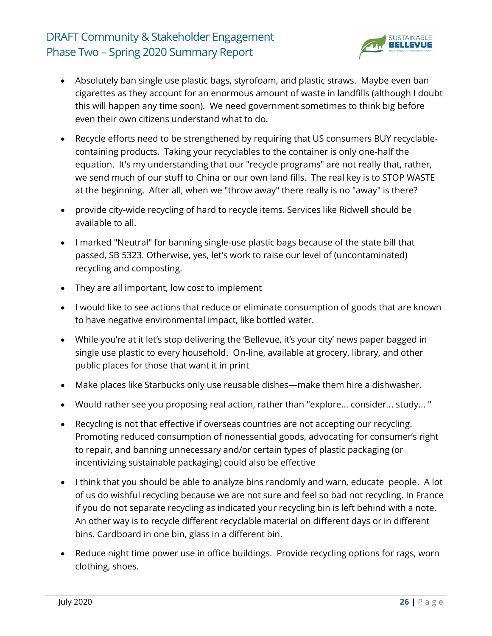![](_page_25_Picture_1.jpeg)

- Absolutely ban single use plastic bags, styrofoam, and plastic straws. Maybe even ban cigarettes as they account for an enormous amount of waste in landfills (although I doubt this will happen any time soon). We need government sometimes to think big before even their own citizens understand what to do.
- Recycle efforts need to be strengthened by requiring that US consumers BUY recyclablecontaining products. Taking your recyclables to the container is only one-half the equation. It's my understanding that our "recycle programs" are not really that, rather, we send much of our stuff to China or our own land fills. The real key is to STOP WASTE at the beginning. After all, when we "throw away" there really is no "away" is there?
- provide city-wide recycling of hard to recycle items. Services like Ridwell should be available to all.
- I marked "Neutral" for banning single-use plastic bags because of the state bill that passed, SB 5323. Otherwise, yes, let's work to raise our level of (uncontaminated) recycling and composting.
- They are all important, low cost to implement
- I would like to see actions that reduce or eliminate consumption of goods that are known to have negative environmental impact, like bottled water.
- While you're at it let's stop delivering the 'Bellevue, it's your city' news paper bagged in single use plastic to every household. On-line, available at grocery, library, and other public places for those that want it in print
- Make places like Starbucks only use reusable dishes—make them hire a dishwasher.
- Would rather see you proposing real action, rather than "explore... consider... study... "
- Recycling is not that effective if overseas countries are not accepting our recycling. Promoting reduced consumption of nonessential goods, advocating for consumer's right to repair, and banning unnecessary and/or certain types of plastic packaging (or incentivizing sustainable packaging) could also be effective
- I think that you should be able to analyze bins randomly and warn, educate people. A lot of us do wishful recycling because we are not sure and feel so bad not recycling. In France if you do not separate recycling as indicated your recycling bin is left behind with a note. An other way is to recycle different recyclable material on different days or in different bins. Cardboard in one bin, glass in a different bin.
- Reduce night time power use in office buildings. Provide recycling options for rags, worn clothing, shoes.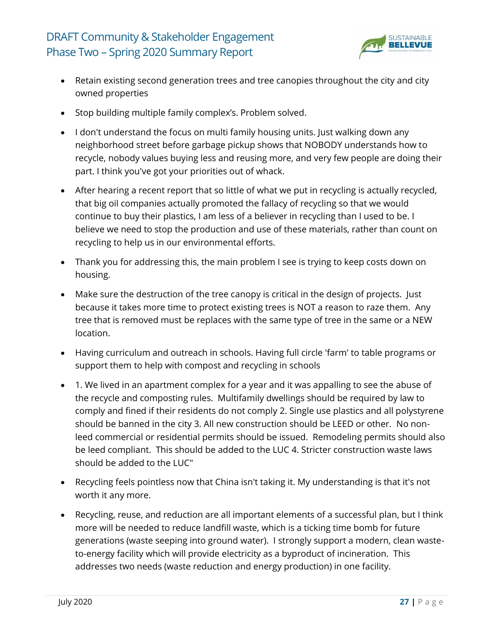![](_page_26_Picture_1.jpeg)

- Retain existing second generation trees and tree canopies throughout the city and city owned properties
- Stop building multiple family complex's. Problem solved.
- I don't understand the focus on multi family housing units. Just walking down any neighborhood street before garbage pickup shows that NOBODY understands how to recycle, nobody values buying less and reusing more, and very few people are doing their part. I think you've got your priorities out of whack.
- After hearing a recent report that so little of what we put in recycling is actually recycled, that big oil companies actually promoted the fallacy of recycling so that we would continue to buy their plastics, I am less of a believer in recycling than I used to be. I believe we need to stop the production and use of these materials, rather than count on recycling to help us in our environmental efforts.
- Thank you for addressing this, the main problem I see is trying to keep costs down on housing.
- Make sure the destruction of the tree canopy is critical in the design of projects. Just because it takes more time to protect existing trees is NOT a reason to raze them. Any tree that is removed must be replaces with the same type of tree in the same or a NEW location.
- Having curriculum and outreach in schools. Having full circle 'farm' to table programs or support them to help with compost and recycling in schools
- 1. We lived in an apartment complex for a year and it was appalling to see the abuse of the recycle and composting rules. Multifamily dwellings should be required by law to comply and fined if their residents do not comply 2. Single use plastics and all polystyrene should be banned in the city 3. All new construction should be LEED or other. No nonleed commercial or residential permits should be issued. Remodeling permits should also be leed compliant. This should be added to the LUC 4. Stricter construction waste laws should be added to the LUC"
- Recycling feels pointless now that China isn't taking it. My understanding is that it's not worth it any more.
- Recycling, reuse, and reduction are all important elements of a successful plan, but I think more will be needed to reduce landfill waste, which is a ticking time bomb for future generations (waste seeping into ground water). I strongly support a modern, clean wasteto-energy facility which will provide electricity as a byproduct of incineration. This addresses two needs (waste reduction and energy production) in one facility.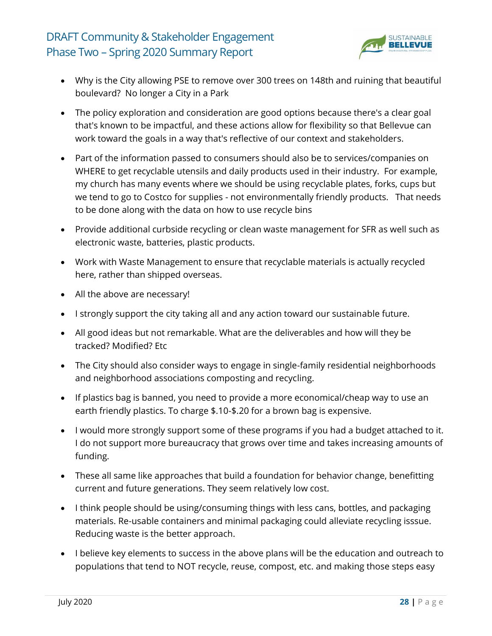![](_page_27_Picture_1.jpeg)

- Why is the City allowing PSE to remove over 300 trees on 148th and ruining that beautiful boulevard? No longer a City in a Park
- The policy exploration and consideration are good options because there's a clear goal that's known to be impactful, and these actions allow for flexibility so that Bellevue can work toward the goals in a way that's reflective of our context and stakeholders.
- Part of the information passed to consumers should also be to services/companies on WHERE to get recyclable utensils and daily products used in their industry. For example, my church has many events where we should be using recyclable plates, forks, cups but we tend to go to Costco for supplies - not environmentally friendly products. That needs to be done along with the data on how to use recycle bins
- Provide additional curbside recycling or clean waste management for SFR as well such as electronic waste, batteries, plastic products.
- Work with Waste Management to ensure that recyclable materials is actually recycled here, rather than shipped overseas.
- All the above are necessary!
- I strongly support the city taking all and any action toward our sustainable future.
- All good ideas but not remarkable. What are the deliverables and how will they be tracked? Modified? Etc
- The City should also consider ways to engage in single-family residential neighborhoods and neighborhood associations composting and recycling.
- If plastics bag is banned, you need to provide a more economical/cheap way to use an earth friendly plastics. To charge \$.10-\$.20 for a brown bag is expensive.
- I would more strongly support some of these programs if you had a budget attached to it. I do not support more bureaucracy that grows over time and takes increasing amounts of funding.
- These all same like approaches that build a foundation for behavior change, benefitting current and future generations. They seem relatively low cost.
- I think people should be using/consuming things with less cans, bottles, and packaging materials. Re-usable containers and minimal packaging could alleviate recycling isssue. Reducing waste is the better approach.
- I believe key elements to success in the above plans will be the education and outreach to populations that tend to NOT recycle, reuse, compost, etc. and making those steps easy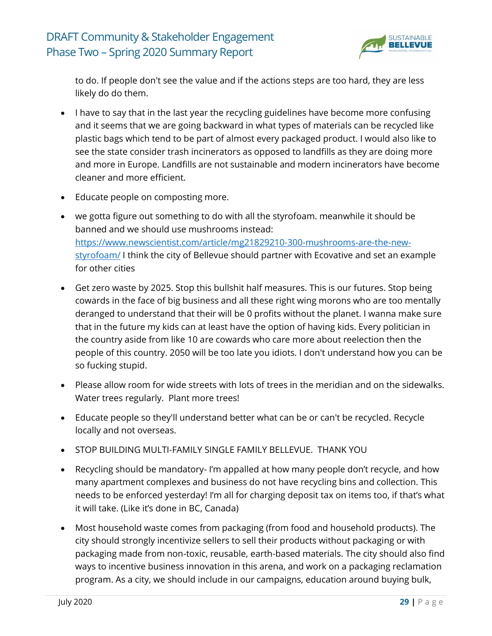![](_page_28_Picture_1.jpeg)

to do. If people don't see the value and if the actions steps are too hard, they are less likely do do them.

- I have to say that in the last year the recycling guidelines have become more confusing and it seems that we are going backward in what types of materials can be recycled like plastic bags which tend to be part of almost every packaged product. I would also like to see the state consider trash incinerators as opposed to landfills as they are doing more and more in Europe. Landfills are not sustainable and modern incinerators have become cleaner and more efficient.
- Educate people on composting more.
- we gotta figure out something to do with all the styrofoam. meanwhile it should be banned and we should use mushrooms instead: [https://www.newscientist.com/article/mg21829210-300-mushrooms-are-the-new](https://www.newscientist.com/article/mg21829210-300-mushrooms-are-the-new-styrofoam/)[styrofoam/](https://www.newscientist.com/article/mg21829210-300-mushrooms-are-the-new-styrofoam/) I think the city of Bellevue should partner with Ecovative and set an example for other cities
- Get zero waste by 2025. Stop this bullshit half measures. This is our futures. Stop being cowards in the face of big business and all these right wing morons who are too mentally deranged to understand that their will be 0 profits without the planet. I wanna make sure that in the future my kids can at least have the option of having kids. Every politician in the country aside from like 10 are cowards who care more about reelection then the people of this country. 2050 will be too late you idiots. I don't understand how you can be so fucking stupid.
- Please allow room for wide streets with lots of trees in the meridian and on the sidewalks. Water trees regularly. Plant more trees!
- Educate people so they'll understand better what can be or can't be recycled. Recycle locally and not overseas.
- STOP BUILDING MULTI-FAMILY SINGLE FAMILY BELLEVUE. THANK YOU
- Recycling should be mandatory- I'm appalled at how many people don't recycle, and how many apartment complexes and business do not have recycling bins and collection. This needs to be enforced yesterday! I'm all for charging deposit tax on items too, if that's what it will take. (Like it's done in BC, Canada)
- Most household waste comes from packaging (from food and household products). The city should strongly incentivize sellers to sell their products without packaging or with packaging made from non-toxic, reusable, earth-based materials. The city should also find ways to incentive business innovation in this arena, and work on a packaging reclamation program. As a city, we should include in our campaigns, education around buying bulk,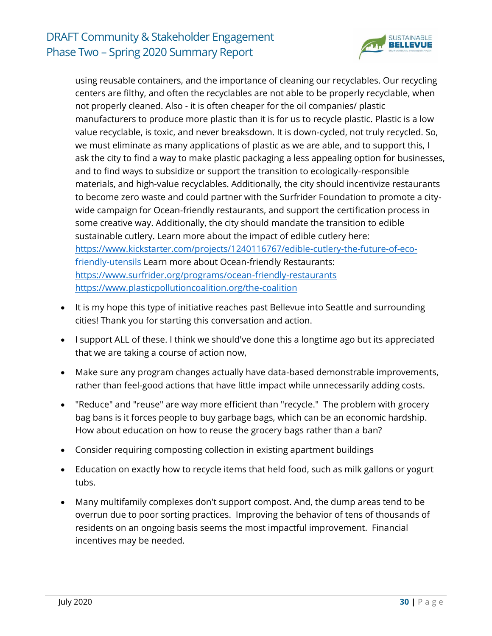![](_page_29_Picture_1.jpeg)

using reusable containers, and the importance of cleaning our recyclables. Our recycling centers are filthy, and often the recyclables are not able to be properly recyclable, when not properly cleaned. Also - it is often cheaper for the oil companies/ plastic manufacturers to produce more plastic than it is for us to recycle plastic. Plastic is a low value recyclable, is toxic, and never breaksdown. It is down-cycled, not truly recycled. So, we must eliminate as many applications of plastic as we are able, and to support this, I ask the city to find a way to make plastic packaging a less appealing option for businesses, and to find ways to subsidize or support the transition to ecologically-responsible materials, and high-value recyclables. Additionally, the city should incentivize restaurants to become zero waste and could partner with the Surfrider Foundation to promote a citywide campaign for Ocean-friendly restaurants, and support the certification process in some creative way. Additionally, the city should mandate the transition to edible sustainable cutlery. Learn more about the impact of edible cutlery here: [https://www.kickstarter.com/projects/1240116767/edible-cutlery-the-future-of-eco](https://www.kickstarter.com/projects/1240116767/edible-cutlery-the-future-of-eco-friendly-utensils)[friendly-utensils](https://www.kickstarter.com/projects/1240116767/edible-cutlery-the-future-of-eco-friendly-utensils) Learn more about Ocean-friendly Restaurants: <https://www.surfrider.org/programs/ocean-friendly-restaurants> <https://www.plasticpollutioncoalition.org/the-coalition>

- It is my hope this type of initiative reaches past Bellevue into Seattle and surrounding cities! Thank you for starting this conversation and action.
- I support ALL of these. I think we should've done this a longtime ago but its appreciated that we are taking a course of action now,
- Make sure any program changes actually have data-based demonstrable improvements, rather than feel-good actions that have little impact while unnecessarily adding costs.
- "Reduce" and "reuse" are way more efficient than "recycle." The problem with grocery bag bans is it forces people to buy garbage bags, which can be an economic hardship. How about education on how to reuse the grocery bags rather than a ban?
- Consider requiring composting collection in existing apartment buildings
- Education on exactly how to recycle items that held food, such as milk gallons or yogurt tubs.
- Many multifamily complexes don't support compost. And, the dump areas tend to be overrun due to poor sorting practices. Improving the behavior of tens of thousands of residents on an ongoing basis seems the most impactful improvement. Financial incentives may be needed.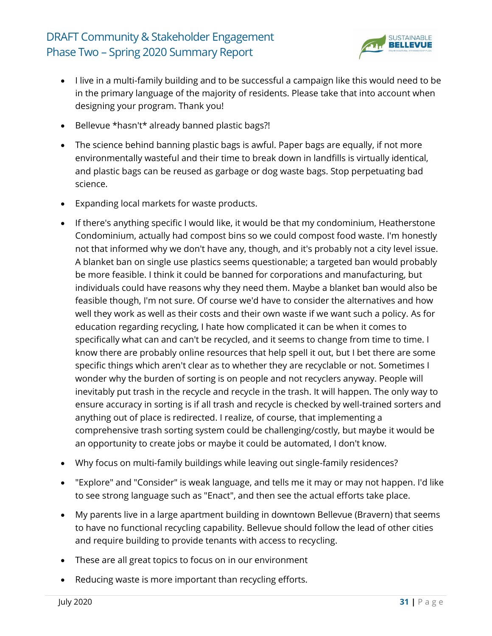![](_page_30_Picture_1.jpeg)

- I live in a multi-family building and to be successful a campaign like this would need to be in the primary language of the majority of residents. Please take that into account when designing your program. Thank you!
- Bellevue \*hasn't\* already banned plastic bags?!
- The science behind banning plastic bags is awful. Paper bags are equally, if not more environmentally wasteful and their time to break down in landfills is virtually identical, and plastic bags can be reused as garbage or dog waste bags. Stop perpetuating bad science.
- Expanding local markets for waste products.
- If there's anything specific I would like, it would be that my condominium, Heatherstone Condominium, actually had compost bins so we could compost food waste. I'm honestly not that informed why we don't have any, though, and it's probably not a city level issue. A blanket ban on single use plastics seems questionable; a targeted ban would probably be more feasible. I think it could be banned for corporations and manufacturing, but individuals could have reasons why they need them. Maybe a blanket ban would also be feasible though, I'm not sure. Of course we'd have to consider the alternatives and how well they work as well as their costs and their own waste if we want such a policy. As for education regarding recycling, I hate how complicated it can be when it comes to specifically what can and can't be recycled, and it seems to change from time to time. I know there are probably online resources that help spell it out, but I bet there are some specific things which aren't clear as to whether they are recyclable or not. Sometimes I wonder why the burden of sorting is on people and not recyclers anyway. People will inevitably put trash in the recycle and recycle in the trash. It will happen. The only way to ensure accuracy in sorting is if all trash and recycle is checked by well-trained sorters and anything out of place is redirected. I realize, of course, that implementing a comprehensive trash sorting system could be challenging/costly, but maybe it would be an opportunity to create jobs or maybe it could be automated, I don't know.
- Why focus on multi-family buildings while leaving out single-family residences?
- "Explore" and "Consider" is weak language, and tells me it may or may not happen. I'd like to see strong language such as "Enact", and then see the actual efforts take place.
- My parents live in a large apartment building in downtown Bellevue (Bravern) that seems to have no functional recycling capability. Bellevue should follow the lead of other cities and require building to provide tenants with access to recycling.
- These are all great topics to focus on in our environment
- Reducing waste is more important than recycling efforts.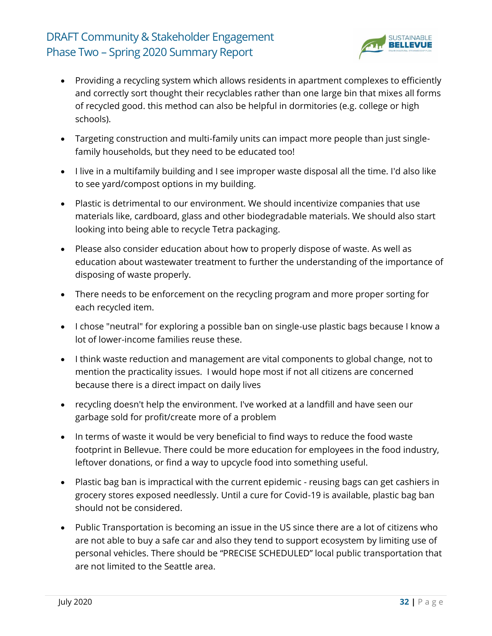![](_page_31_Picture_1.jpeg)

- Providing a recycling system which allows residents in apartment complexes to efficiently and correctly sort thought their recyclables rather than one large bin that mixes all forms of recycled good. this method can also be helpful in dormitories (e.g. college or high schools).
- Targeting construction and multi-family units can impact more people than just singlefamily households, but they need to be educated too!
- I live in a multifamily building and I see improper waste disposal all the time. I'd also like to see yard/compost options in my building.
- Plastic is detrimental to our environment. We should incentivize companies that use materials like, cardboard, glass and other biodegradable materials. We should also start looking into being able to recycle Tetra packaging.
- Please also consider education about how to properly dispose of waste. As well as education about wastewater treatment to further the understanding of the importance of disposing of waste properly.
- There needs to be enforcement on the recycling program and more proper sorting for each recycled item.
- I chose "neutral" for exploring a possible ban on single-use plastic bags because I know a lot of lower-income families reuse these.
- I think waste reduction and management are vital components to global change, not to mention the practicality issues. I would hope most if not all citizens are concerned because there is a direct impact on daily lives
- recycling doesn't help the environment. I've worked at a landfill and have seen our garbage sold for profit/create more of a problem
- In terms of waste it would be very beneficial to find ways to reduce the food waste footprint in Bellevue. There could be more education for employees in the food industry, leftover donations, or find a way to upcycle food into something useful.
- Plastic bag ban is impractical with the current epidemic reusing bags can get cashiers in grocery stores exposed needlessly. Until a cure for Covid-19 is available, plastic bag ban should not be considered.
- Public Transportation is becoming an issue in the US since there are a lot of citizens who are not able to buy a safe car and also they tend to support ecosystem by limiting use of personal vehicles. There should be "PRECISE SCHEDULED" local public transportation that are not limited to the Seattle area.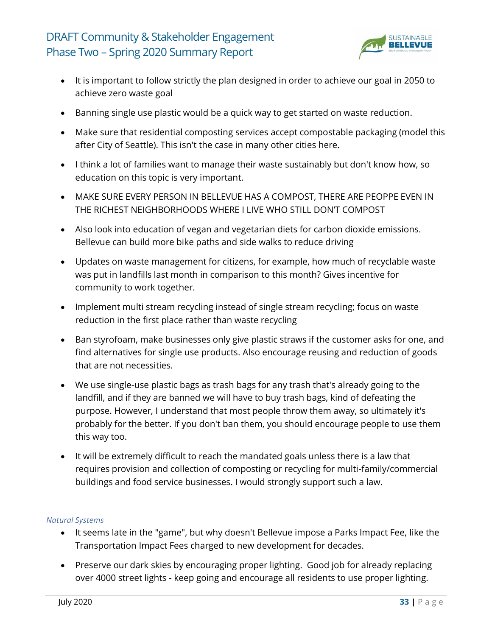![](_page_32_Picture_1.jpeg)

- It is important to follow strictly the plan designed in order to achieve our goal in 2050 to achieve zero waste goal
- Banning single use plastic would be a quick way to get started on waste reduction.
- Make sure that residential composting services accept compostable packaging (model this after City of Seattle). This isn't the case in many other cities here.
- I think a lot of families want to manage their waste sustainably but don't know how, so education on this topic is very important.
- MAKE SURE EVERY PERSON IN BELLEVUE HAS A COMPOST, THERE ARE PEOPPE EVEN IN THE RICHEST NEIGHBORHOODS WHERE I LIVE WHO STILL DON'T COMPOST
- Also look into education of vegan and vegetarian diets for carbon dioxide emissions. Bellevue can build more bike paths and side walks to reduce driving
- Updates on waste management for citizens, for example, how much of recyclable waste was put in landfills last month in comparison to this month? Gives incentive for community to work together.
- Implement multi stream recycling instead of single stream recycling; focus on waste reduction in the first place rather than waste recycling
- Ban styrofoam, make businesses only give plastic straws if the customer asks for one, and find alternatives for single use products. Also encourage reusing and reduction of goods that are not necessities.
- We use single-use plastic bags as trash bags for any trash that's already going to the landfill, and if they are banned we will have to buy trash bags, kind of defeating the purpose. However, I understand that most people throw them away, so ultimately it's probably for the better. If you don't ban them, you should encourage people to use them this way too.
- It will be extremely difficult to reach the mandated goals unless there is a law that requires provision and collection of composting or recycling for multi-family/commercial buildings and food service businesses. I would strongly support such a law.

#### *Natural Systems*

- It seems late in the "game", but why doesn't Bellevue impose a Parks Impact Fee, like the Transportation Impact Fees charged to new development for decades.
- Preserve our dark skies by encouraging proper lighting. Good job for already replacing over 4000 street lights - keep going and encourage all residents to use proper lighting.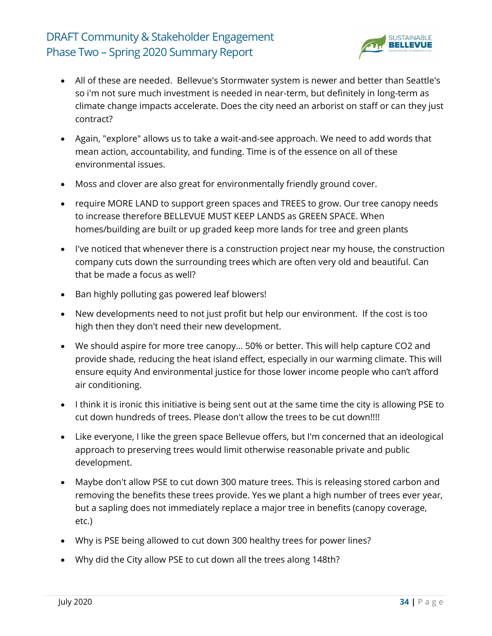![](_page_33_Picture_1.jpeg)

- All of these are needed. Bellevue's Stormwater system is newer and better than Seattle's so i'm not sure much investment is needed in near-term, but definitely in long-term as climate change impacts accelerate. Does the city need an arborist on staff or can they just contract?
- Again, "explore" allows us to take a wait-and-see approach. We need to add words that mean action, accountability, and funding. Time is of the essence on all of these environmental issues.
- Moss and clover are also great for environmentally friendly ground cover.
- require MORE LAND to support green spaces and TREES to grow. Our tree canopy needs to increase therefore BELLEVUE MUST KEEP LANDS as GREEN SPACE. When homes/building are built or up graded keep more lands for tree and green plants
- I've noticed that whenever there is a construction project near my house, the construction company cuts down the surrounding trees which are often very old and beautiful. Can that be made a focus as well?
- Ban highly polluting gas powered leaf blowers!
- New developments need to not just profit but help our environment. If the cost is too high then they don't need their new development.
- We should aspire for more tree canopy... 50% or better. This will help capture CO2 and provide shade, reducing the heat island effect, especially in our warming climate. This will ensure equity And environmental justice for those lower income people who can't afford air conditioning.
- I think it is ironic this initiative is being sent out at the same time the city is allowing PSE to cut down hundreds of trees. Please don't allow the trees to be cut down!!!!
- Like everyone, I like the green space Bellevue offers, but I'm concerned that an ideological approach to preserving trees would limit otherwise reasonable private and public development.
- Maybe don't allow PSE to cut down 300 mature trees. This is releasing stored carbon and removing the benefits these trees provide. Yes we plant a high number of trees ever year, but a sapling does not immediately replace a major tree in benefits (canopy coverage, etc.)
- Why is PSE being allowed to cut down 300 healthy trees for power lines?
- Why did the City allow PSE to cut down all the trees along 148th?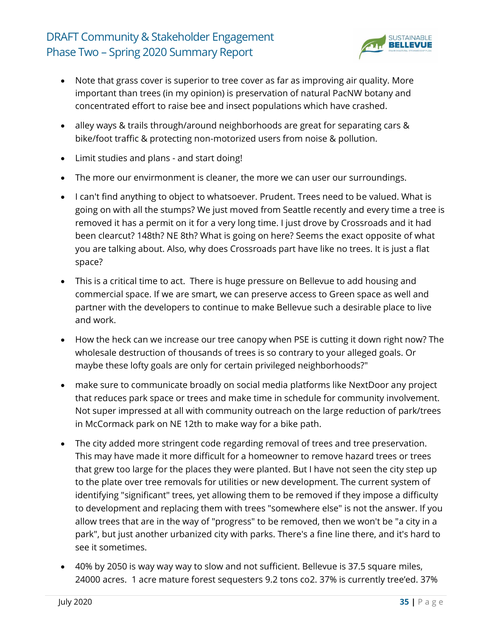![](_page_34_Picture_1.jpeg)

- Note that grass cover is superior to tree cover as far as improving air quality. More important than trees (in my opinion) is preservation of natural PacNW botany and concentrated effort to raise bee and insect populations which have crashed.
- alley ways & trails through/around neighborhoods are great for separating cars & bike/foot traffic & protecting non-motorized users from noise & pollution.
- Limit studies and plans and start doing!
- The more our envirmonment is cleaner, the more we can user our surroundings.
- I can't find anything to object to whatsoever. Prudent. Trees need to be valued. What is going on with all the stumps? We just moved from Seattle recently and every time a tree is removed it has a permit on it for a very long time. I just drove by Crossroads and it had been clearcut? 148th? NE 8th? What is going on here? Seems the exact opposite of what you are talking about. Also, why does Crossroads part have like no trees. It is just a flat space?
- This is a critical time to act. There is huge pressure on Bellevue to add housing and commercial space. If we are smart, we can preserve access to Green space as well and partner with the developers to continue to make Bellevue such a desirable place to live and work.
- How the heck can we increase our tree canopy when PSE is cutting it down right now? The wholesale destruction of thousands of trees is so contrary to your alleged goals. Or maybe these lofty goals are only for certain privileged neighborhoods?"
- make sure to communicate broadly on social media platforms like NextDoor any project that reduces park space or trees and make time in schedule for community involvement. Not super impressed at all with community outreach on the large reduction of park/trees in McCormack park on NE 12th to make way for a bike path.
- The city added more stringent code regarding removal of trees and tree preservation. This may have made it more difficult for a homeowner to remove hazard trees or trees that grew too large for the places they were planted. But I have not seen the city step up to the plate over tree removals for utilities or new development. The current system of identifying "significant" trees, yet allowing them to be removed if they impose a difficulty to development and replacing them with trees "somewhere else" is not the answer. If you allow trees that are in the way of "progress" to be removed, then we won't be "a city in a park", but just another urbanized city with parks. There's a fine line there, and it's hard to see it sometimes.
- 40% by 2050 is way way way to slow and not sufficient. Bellevue is 37.5 square miles, 24000 acres. 1 acre mature forest sequesters 9.2 tons co2. 37% is currently tree'ed. 37%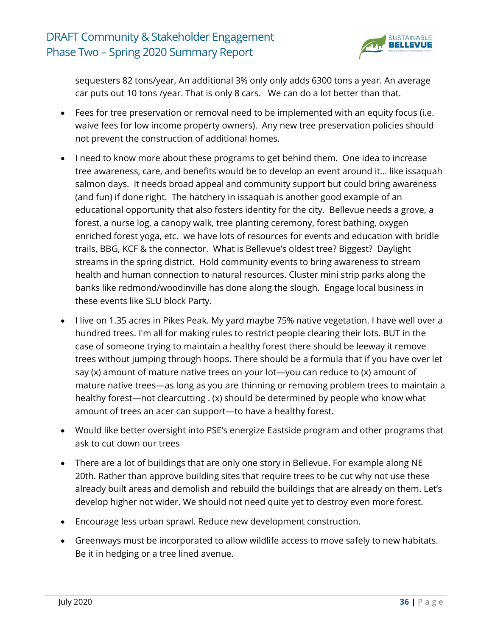![](_page_35_Picture_1.jpeg)

sequesters 82 tons/year, An additional 3% only only adds 6300 tons a year. An average car puts out 10 tons /year. That is only 8 cars. We can do a lot better than that.

- Fees for tree preservation or removal need to be implemented with an equity focus (i.e. waive fees for low income property owners). Any new tree preservation policies should not prevent the construction of additional homes.
- I need to know more about these programs to get behind them. One idea to increase tree awareness, care, and benefits would be to develop an event around it... like issaquah salmon days. It needs broad appeal and community support but could bring awareness (and fun) if done right. The hatchery in issaquah is another good example of an educational opportunity that also fosters identity for the city. Bellevue needs a grove, a forest, a nurse log, a canopy walk, tree planting ceremony, forest bathing, oxygen enriched forest yoga, etc. we have lots of resources for events and education with bridle trails, BBG, KCF & the connector. What is Bellevue's oldest tree? Biggest? Daylight streams in the spring district. Hold community events to bring awareness to stream health and human connection to natural resources. Cluster mini strip parks along the banks like redmond/woodinville has done along the slough. Engage local business in these events like SLU block Party.
- I live on 1.35 acres in Pikes Peak. My yard maybe 75% native vegetation. I have well over a hundred trees. I'm all for making rules to restrict people clearing their lots. BUT in the case of someone trying to maintain a healthy forest there should be leeway it remove trees without jumping through hoops. There should be a formula that if you have over let say (x) amount of mature native trees on your lot—you can reduce to (x) amount of mature native trees—as long as you are thinning or removing problem trees to maintain a healthy forest—not clearcutting . (x) should be determined by people who know what amount of trees an acer can support—to have a healthy forest.
- Would like better oversight into PSE's energize Eastside program and other programs that ask to cut down our trees
- There are a lot of buildings that are only one story in Bellevue. For example along NE 20th. Rather than approve building sites that require trees to be cut why not use these already built areas and demolish and rebuild the buildings that are already on them. Let's develop higher not wider. We should not need quite yet to destroy even more forest.
- Encourage less urban sprawl. Reduce new development construction.
- Greenways must be incorporated to allow wildlife access to move safely to new habitats. Be it in hedging or a tree lined avenue.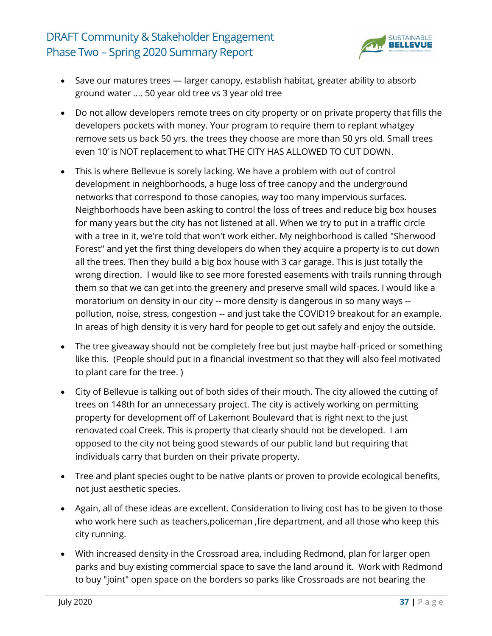

- Save our matures trees larger canopy, establish habitat, greater ability to absorb ground water .... 50 year old tree vs 3 year old tree
- Do not allow developers remote trees on city property or on private property that fills the developers pockets with money. Your program to require them to replant whatgey remove sets us back 50 yrs. the trees they choose are more than 50 yrs old. Small trees even 10' is NOT replacement to what THE CITY HAS ALLOWED TO CUT DOWN.
- This is where Bellevue is sorely lacking. We have a problem with out of control development in neighborhoods, a huge loss of tree canopy and the underground networks that correspond to those canopies, way too many impervious surfaces. Neighborhoods have been asking to control the loss of trees and reduce big box houses for many years but the city has not listened at all. When we try to put in a traffic circle with a tree in it, we're told that won't work either. My neighborhood is called "Sherwood Forest" and yet the first thing developers do when they acquire a property is to cut down all the trees. Then they build a big box house with 3 car garage. This is just totally the wrong direction. I would like to see more forested easements with trails running through them so that we can get into the greenery and preserve small wild spaces. I would like a moratorium on density in our city -- more density is dangerous in so many ways - pollution, noise, stress, congestion -- and just take the COVID19 breakout for an example. In areas of high density it is very hard for people to get out safely and enjoy the outside.
- The tree giveaway should not be completely free but just maybe half-priced or something like this. (People should put in a financial investment so that they will also feel motivated to plant care for the tree. )
- City of Bellevue is talking out of both sides of their mouth. The city allowed the cutting of trees on 148th for an unnecessary project. The city is actively working on permitting property for development off of Lakemont Boulevard that is right next to the just renovated coal Creek. This is property that clearly should not be developed. I am opposed to the city not being good stewards of our public land but requiring that individuals carry that burden on their private property.
- Tree and plant species ought to be native plants or proven to provide ecological benefits, not just aesthetic species.
- Again, all of these ideas are excellent. Consideration to living cost has to be given to those who work here such as teachers,policeman ,fire department, and all those who keep this city running.
- With increased density in the Crossroad area, including Redmond, plan for larger open parks and buy existing commercial space to save the land around it. Work with Redmond to buy "joint" open space on the borders so parks like Crossroads are not bearing the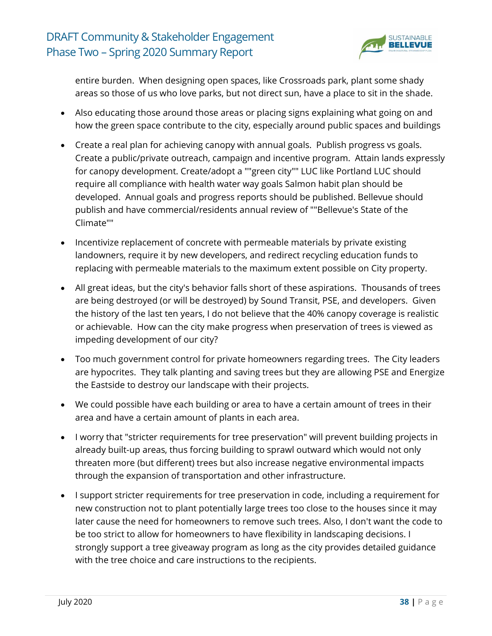

entire burden. When designing open spaces, like Crossroads park, plant some shady areas so those of us who love parks, but not direct sun, have a place to sit in the shade.

- Also educating those around those areas or placing signs explaining what going on and how the green space contribute to the city, especially around public spaces and buildings
- Create a real plan for achieving canopy with annual goals. Publish progress vs goals. Create a public/private outreach, campaign and incentive program. Attain lands expressly for canopy development. Create/adopt a ""green city"" LUC like Portland LUC should require all compliance with health water way goals Salmon habit plan should be developed. Annual goals and progress reports should be published. Bellevue should publish and have commercial/residents annual review of ""Bellevue's State of the Climate""
- Incentivize replacement of concrete with permeable materials by private existing landowners, require it by new developers, and redirect recycling education funds to replacing with permeable materials to the maximum extent possible on City property.
- All great ideas, but the city's behavior falls short of these aspirations. Thousands of trees are being destroyed (or will be destroyed) by Sound Transit, PSE, and developers. Given the history of the last ten years, I do not believe that the 40% canopy coverage is realistic or achievable. How can the city make progress when preservation of trees is viewed as impeding development of our city?
- Too much government control for private homeowners regarding trees. The City leaders are hypocrites. They talk planting and saving trees but they are allowing PSE and Energize the Eastside to destroy our landscape with their projects.
- We could possible have each building or area to have a certain amount of trees in their area and have a certain amount of plants in each area.
- I worry that "stricter requirements for tree preservation" will prevent building projects in already built-up areas, thus forcing building to sprawl outward which would not only threaten more (but different) trees but also increase negative environmental impacts through the expansion of transportation and other infrastructure.
- I support stricter requirements for tree preservation in code, including a requirement for new construction not to plant potentially large trees too close to the houses since it may later cause the need for homeowners to remove such trees. Also, I don't want the code to be too strict to allow for homeowners to have flexibility in landscaping decisions. I strongly support a tree giveaway program as long as the city provides detailed guidance with the tree choice and care instructions to the recipients.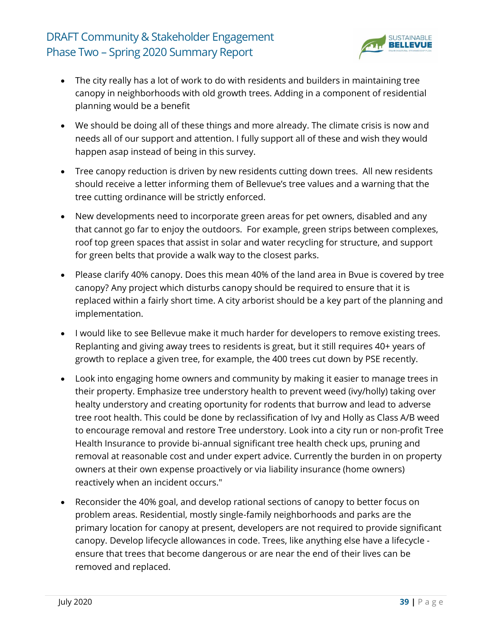

- The city really has a lot of work to do with residents and builders in maintaining tree canopy in neighborhoods with old growth trees. Adding in a component of residential planning would be a benefit
- We should be doing all of these things and more already. The climate crisis is now and needs all of our support and attention. I fully support all of these and wish they would happen asap instead of being in this survey.
- Tree canopy reduction is driven by new residents cutting down trees. All new residents should receive a letter informing them of Bellevue's tree values and a warning that the tree cutting ordinance will be strictly enforced.
- New developments need to incorporate green areas for pet owners, disabled and any that cannot go far to enjoy the outdoors. For example, green strips between complexes, roof top green spaces that assist in solar and water recycling for structure, and support for green belts that provide a walk way to the closest parks.
- Please clarify 40% canopy. Does this mean 40% of the land area in Bvue is covered by tree canopy? Any project which disturbs canopy should be required to ensure that it is replaced within a fairly short time. A city arborist should be a key part of the planning and implementation.
- I would like to see Bellevue make it much harder for developers to remove existing trees. Replanting and giving away trees to residents is great, but it still requires 40+ years of growth to replace a given tree, for example, the 400 trees cut down by PSE recently.
- Look into engaging home owners and community by making it easier to manage trees in their property. Emphasize tree understory health to prevent weed (ivy/holly) taking over healty understory and creating oportunity for rodents that burrow and lead to adverse tree root health. This could be done by reclassification of Ivy and Holly as Class A/B weed to encourage removal and restore Tree understory. Look into a city run or non-profit Tree Health Insurance to provide bi-annual significant tree health check ups, pruning and removal at reasonable cost and under expert advice. Currently the burden in on property owners at their own expense proactively or via liability insurance (home owners) reactively when an incident occurs."
- Reconsider the 40% goal, and develop rational sections of canopy to better focus on problem areas. Residential, mostly single-family neighborhoods and parks are the primary location for canopy at present, developers are not required to provide significant canopy. Develop lifecycle allowances in code. Trees, like anything else have a lifecycle ensure that trees that become dangerous or are near the end of their lives can be removed and replaced.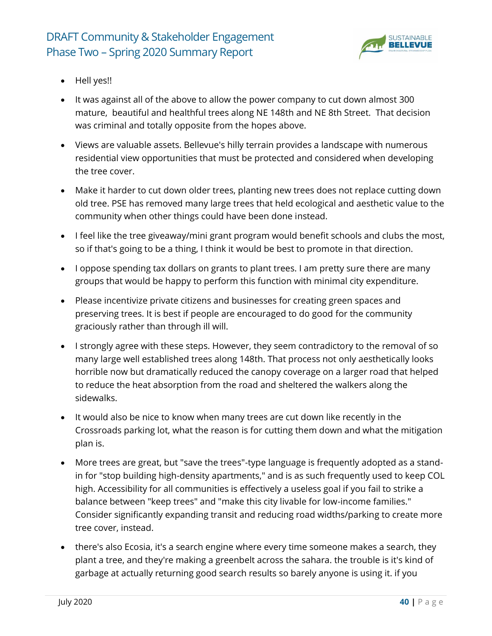

- Hell yes!!
- It was against all of the above to allow the power company to cut down almost 300 mature, beautiful and healthful trees along NE 148th and NE 8th Street. That decision was criminal and totally opposite from the hopes above.
- Views are valuable assets. Bellevue's hilly terrain provides a landscape with numerous residential view opportunities that must be protected and considered when developing the tree cover.
- Make it harder to cut down older trees, planting new trees does not replace cutting down old tree. PSE has removed many large trees that held ecological and aesthetic value to the community when other things could have been done instead.
- I feel like the tree giveaway/mini grant program would benefit schools and clubs the most, so if that's going to be a thing, I think it would be best to promote in that direction.
- I oppose spending tax dollars on grants to plant trees. I am pretty sure there are many groups that would be happy to perform this function with minimal city expenditure.
- Please incentivize private citizens and businesses for creating green spaces and preserving trees. It is best if people are encouraged to do good for the community graciously rather than through ill will.
- I strongly agree with these steps. However, they seem contradictory to the removal of so many large well established trees along 148th. That process not only aesthetically looks horrible now but dramatically reduced the canopy coverage on a larger road that helped to reduce the heat absorption from the road and sheltered the walkers along the sidewalks.
- It would also be nice to know when many trees are cut down like recently in the Crossroads parking lot, what the reason is for cutting them down and what the mitigation plan is.
- More trees are great, but "save the trees"-type language is frequently adopted as a standin for "stop building high-density apartments," and is as such frequently used to keep COL high. Accessibility for all communities is effectively a useless goal if you fail to strike a balance between "keep trees" and "make this city livable for low-income families." Consider significantly expanding transit and reducing road widths/parking to create more tree cover, instead.
- there's also Ecosia, it's a search engine where every time someone makes a search, they plant a tree, and they're making a greenbelt across the sahara. the trouble is it's kind of garbage at actually returning good search results so barely anyone is using it. if you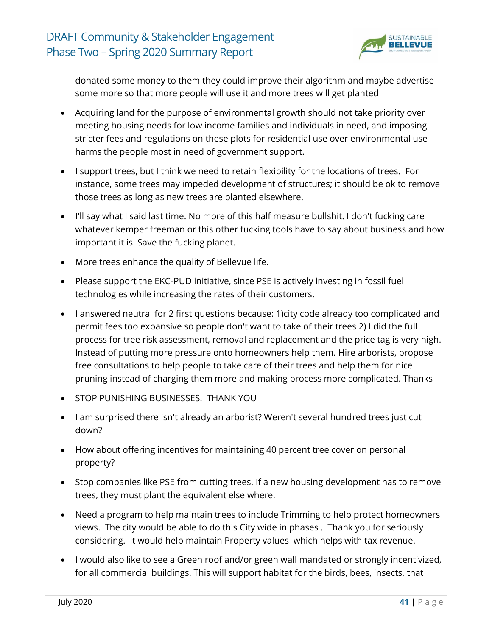

donated some money to them they could improve their algorithm and maybe advertise some more so that more people will use it and more trees will get planted

- Acquiring land for the purpose of environmental growth should not take priority over meeting housing needs for low income families and individuals in need, and imposing stricter fees and regulations on these plots for residential use over environmental use harms the people most in need of government support.
- I support trees, but I think we need to retain flexibility for the locations of trees. For instance, some trees may impeded development of structures; it should be ok to remove those trees as long as new trees are planted elsewhere.
- I'll say what I said last time. No more of this half measure bullshit. I don't fucking care whatever kemper freeman or this other fucking tools have to say about business and how important it is. Save the fucking planet.
- More trees enhance the quality of Bellevue life.
- Please support the EKC-PUD initiative, since PSE is actively investing in fossil fuel technologies while increasing the rates of their customers.
- I answered neutral for 2 first questions because: 1)city code already too complicated and permit fees too expansive so people don't want to take of their trees 2) I did the full process for tree risk assessment, removal and replacement and the price tag is very high. Instead of putting more pressure onto homeowners help them. Hire arborists, propose free consultations to help people to take care of their trees and help them for nice pruning instead of charging them more and making process more complicated. Thanks
- STOP PUNISHING BUSINESSES. THANK YOU
- I am surprised there isn't already an arborist? Weren't several hundred trees just cut down?
- How about offering incentives for maintaining 40 percent tree cover on personal property?
- Stop companies like PSE from cutting trees. If a new housing development has to remove trees, they must plant the equivalent else where.
- Need a program to help maintain trees to include Trimming to help protect homeowners views. The city would be able to do this City wide in phases . Thank you for seriously considering. It would help maintain Property values which helps with tax revenue.
- I would also like to see a Green roof and/or green wall mandated or strongly incentivized, for all commercial buildings. This will support habitat for the birds, bees, insects, that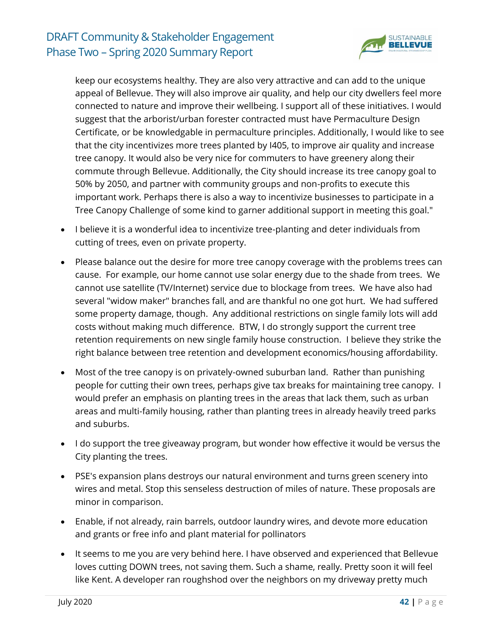

keep our ecosystems healthy. They are also very attractive and can add to the unique appeal of Bellevue. They will also improve air quality, and help our city dwellers feel more connected to nature and improve their wellbeing. I support all of these initiatives. I would suggest that the arborist/urban forester contracted must have Permaculture Design Certificate, or be knowledgable in permaculture principles. Additionally, I would like to see that the city incentivizes more trees planted by I405, to improve air quality and increase tree canopy. It would also be very nice for commuters to have greenery along their commute through Bellevue. Additionally, the City should increase its tree canopy goal to 50% by 2050, and partner with community groups and non-profits to execute this important work. Perhaps there is also a way to incentivize businesses to participate in a Tree Canopy Challenge of some kind to garner additional support in meeting this goal."

- I believe it is a wonderful idea to incentivize tree-planting and deter individuals from cutting of trees, even on private property.
- Please balance out the desire for more tree canopy coverage with the problems trees can cause. For example, our home cannot use solar energy due to the shade from trees. We cannot use satellite (TV/Internet) service due to blockage from trees. We have also had several "widow maker" branches fall, and are thankful no one got hurt. We had suffered some property damage, though. Any additional restrictions on single family lots will add costs without making much difference. BTW, I do strongly support the current tree retention requirements on new single family house construction. I believe they strike the right balance between tree retention and development economics/housing affordability.
- Most of the tree canopy is on privately-owned suburban land. Rather than punishing people for cutting their own trees, perhaps give tax breaks for maintaining tree canopy. I would prefer an emphasis on planting trees in the areas that lack them, such as urban areas and multi-family housing, rather than planting trees in already heavily treed parks and suburbs.
- I do support the tree giveaway program, but wonder how effective it would be versus the City planting the trees.
- PSE's expansion plans destroys our natural environment and turns green scenery into wires and metal. Stop this senseless destruction of miles of nature. These proposals are minor in comparison.
- Enable, if not already, rain barrels, outdoor laundry wires, and devote more education and grants or free info and plant material for pollinators
- It seems to me you are very behind here. I have observed and experienced that Bellevue loves cutting DOWN trees, not saving them. Such a shame, really. Pretty soon it will feel like Kent. A developer ran roughshod over the neighbors on my driveway pretty much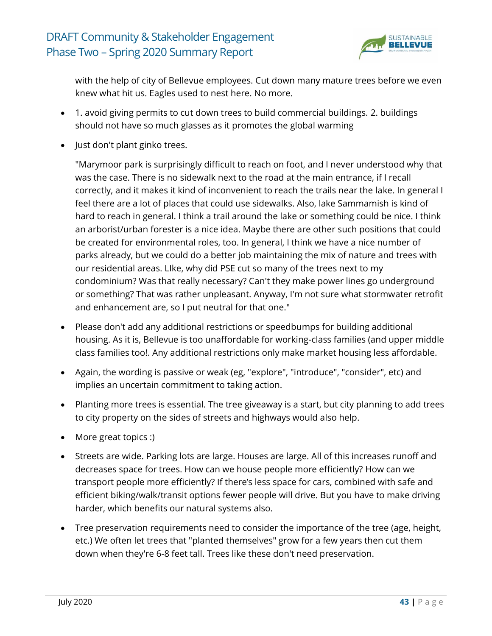

with the help of city of Bellevue employees. Cut down many mature trees before we even knew what hit us. Eagles used to nest here. No more.

- 1. avoid giving permits to cut down trees to build commercial buildings. 2. buildings should not have so much glasses as it promotes the global warming
- Just don't plant ginko trees.

"Marymoor park is surprisingly difficult to reach on foot, and I never understood why that was the case. There is no sidewalk next to the road at the main entrance, if I recall correctly, and it makes it kind of inconvenient to reach the trails near the lake. In general I feel there are a lot of places that could use sidewalks. Also, lake Sammamish is kind of hard to reach in general. I think a trail around the lake or something could be nice. I think an arborist/urban forester is a nice idea. Maybe there are other such positions that could be created for environmental roles, too. In general, I think we have a nice number of parks already, but we could do a better job maintaining the mix of nature and trees with our residential areas. LIke, why did PSE cut so many of the trees next to my condominium? Was that really necessary? Can't they make power lines go underground or something? That was rather unpleasant. Anyway, I'm not sure what stormwater retrofit and enhancement are, so I put neutral for that one."

- Please don't add any additional restrictions or speedbumps for building additional housing. As it is, Bellevue is too unaffordable for working-class families (and upper middle class families too!. Any additional restrictions only make market housing less affordable.
- Again, the wording is passive or weak (eg, "explore", "introduce", "consider", etc) and implies an uncertain commitment to taking action.
- Planting more trees is essential. The tree giveaway is a start, but city planning to add trees to city property on the sides of streets and highways would also help.
- More great topics :)
- Streets are wide. Parking lots are large. Houses are large. All of this increases runoff and decreases space for trees. How can we house people more efficiently? How can we transport people more efficiently? If there's less space for cars, combined with safe and efficient biking/walk/transit options fewer people will drive. But you have to make driving harder, which benefits our natural systems also.
- Tree preservation requirements need to consider the importance of the tree (age, height, etc.) We often let trees that "planted themselves" grow for a few years then cut them down when they're 6-8 feet tall. Trees like these don't need preservation.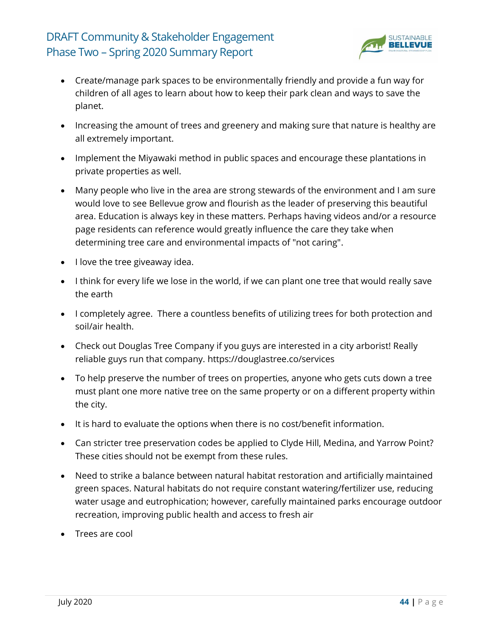

- Create/manage park spaces to be environmentally friendly and provide a fun way for children of all ages to learn about how to keep their park clean and ways to save the planet.
- Increasing the amount of trees and greenery and making sure that nature is healthy are all extremely important.
- Implement the Miyawaki method in public spaces and encourage these plantations in private properties as well.
- Many people who live in the area are strong stewards of the environment and I am sure would love to see Bellevue grow and flourish as the leader of preserving this beautiful area. Education is always key in these matters. Perhaps having videos and/or a resource page residents can reference would greatly influence the care they take when determining tree care and environmental impacts of "not caring".
- I love the tree giveaway idea.
- I think for every life we lose in the world, if we can plant one tree that would really save the earth
- I completely agree. There a countless benefits of utilizing trees for both protection and soil/air health.
- Check out Douglas Tree Company if you guys are interested in a city arborist! Really reliable guys run that company. https://douglastree.co/services
- To help preserve the number of trees on properties, anyone who gets cuts down a tree must plant one more native tree on the same property or on a different property within the city.
- It is hard to evaluate the options when there is no cost/benefit information.
- Can stricter tree preservation codes be applied to Clyde Hill, Medina, and Yarrow Point? These cities should not be exempt from these rules.
- Need to strike a balance between natural habitat restoration and artificially maintained green spaces. Natural habitats do not require constant watering/fertilizer use, reducing water usage and eutrophication; however, carefully maintained parks encourage outdoor recreation, improving public health and access to fresh air
- Trees are cool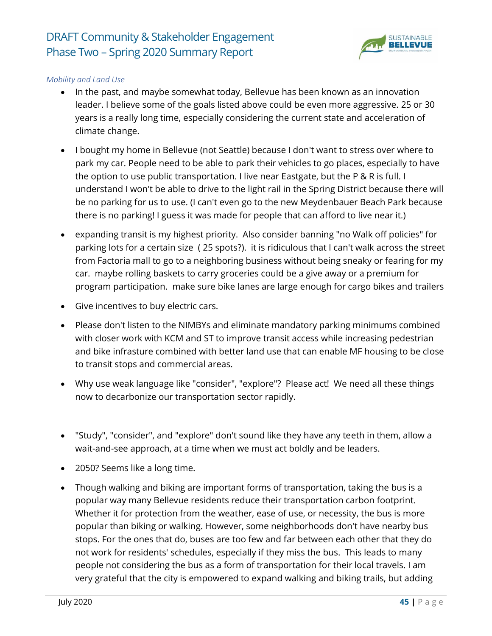

### *Mobility and Land Use*

- In the past, and maybe somewhat today, Bellevue has been known as an innovation leader. I believe some of the goals listed above could be even more aggressive. 25 or 30 years is a really long time, especially considering the current state and acceleration of climate change.
- I bought my home in Bellevue (not Seattle) because I don't want to stress over where to park my car. People need to be able to park their vehicles to go places, especially to have the option to use public transportation. I live near Eastgate, but the P & R is full. I understand I won't be able to drive to the light rail in the Spring District because there will be no parking for us to use. (I can't even go to the new Meydenbauer Beach Park because there is no parking! I guess it was made for people that can afford to live near it.)
- expanding transit is my highest priority. Also consider banning "no Walk off policies" for parking lots for a certain size ( 25 spots?). it is ridiculous that I can't walk across the street from Factoria mall to go to a neighboring business without being sneaky or fearing for my car. maybe rolling baskets to carry groceries could be a give away or a premium for program participation. make sure bike lanes are large enough for cargo bikes and trailers
- Give incentives to buy electric cars.
- Please don't listen to the NIMBYs and eliminate mandatory parking minimums combined with closer work with KCM and ST to improve transit access while increasing pedestrian and bike infrasture combined with better land use that can enable MF housing to be close to transit stops and commercial areas.
- Why use weak language like "consider", "explore"? Please act! We need all these things now to decarbonize our transportation sector rapidly.
- "Study", "consider", and "explore" don't sound like they have any teeth in them, allow a wait-and-see approach, at a time when we must act boldly and be leaders.
- 2050? Seems like a long time.
- Though walking and biking are important forms of transportation, taking the bus is a popular way many Bellevue residents reduce their transportation carbon footprint. Whether it for protection from the weather, ease of use, or necessity, the bus is more popular than biking or walking. However, some neighborhoods don't have nearby bus stops. For the ones that do, buses are too few and far between each other that they do not work for residents' schedules, especially if they miss the bus. This leads to many people not considering the bus as a form of transportation for their local travels. I am very grateful that the city is empowered to expand walking and biking trails, but adding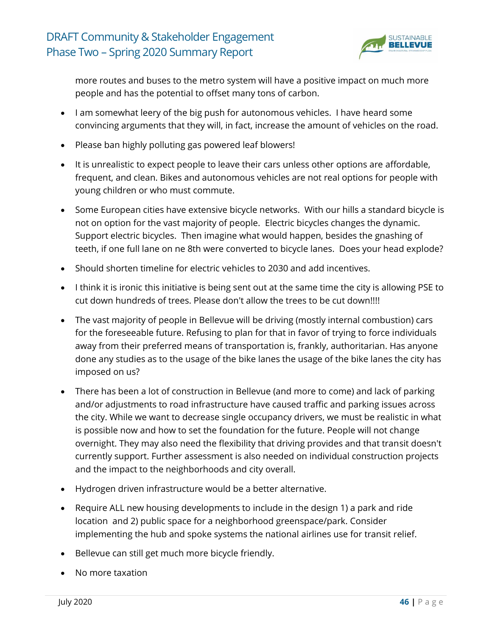

more routes and buses to the metro system will have a positive impact on much more people and has the potential to offset many tons of carbon.

- I am somewhat leery of the big push for autonomous vehicles. I have heard some convincing arguments that they will, in fact, increase the amount of vehicles on the road.
- Please ban highly polluting gas powered leaf blowers!
- It is unrealistic to expect people to leave their cars unless other options are affordable, frequent, and clean. Bikes and autonomous vehicles are not real options for people with young children or who must commute.
- Some European cities have extensive bicycle networks. With our hills a standard bicycle is not on option for the vast majority of people. Electric bicycles changes the dynamic. Support electric bicycles. Then imagine what would happen, besides the gnashing of teeth, if one full lane on ne 8th were converted to bicycle lanes. Does your head explode?
- Should shorten timeline for electric vehicles to 2030 and add incentives.
- I think it is ironic this initiative is being sent out at the same time the city is allowing PSE to cut down hundreds of trees. Please don't allow the trees to be cut down!!!!
- The vast majority of people in Bellevue will be driving (mostly internal combustion) cars for the foreseeable future. Refusing to plan for that in favor of trying to force individuals away from their preferred means of transportation is, frankly, authoritarian. Has anyone done any studies as to the usage of the bike lanes the usage of the bike lanes the city has imposed on us?
- There has been a lot of construction in Bellevue (and more to come) and lack of parking and/or adjustments to road infrastructure have caused traffic and parking issues across the city. While we want to decrease single occupancy drivers, we must be realistic in what is possible now and how to set the foundation for the future. People will not change overnight. They may also need the flexibility that driving provides and that transit doesn't currently support. Further assessment is also needed on individual construction projects and the impact to the neighborhoods and city overall.
- Hydrogen driven infrastructure would be a better alternative.
- Require ALL new housing developments to include in the design 1) a park and ride location and 2) public space for a neighborhood greenspace/park. Consider implementing the hub and spoke systems the national airlines use for transit relief.
- Bellevue can still get much more bicycle friendly.
- No more taxation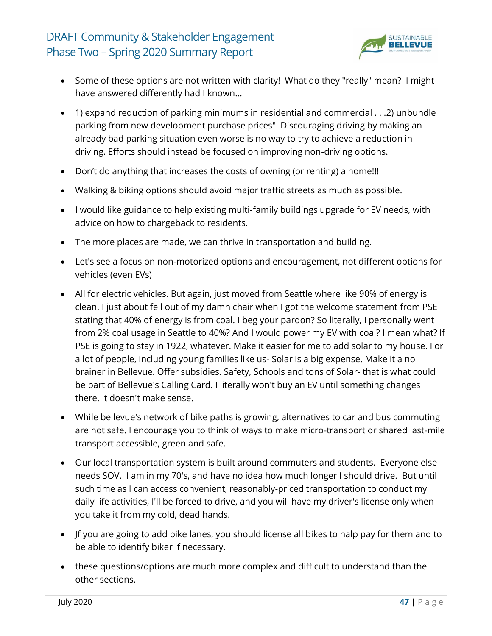

- Some of these options are not written with clarity! What do they "really" mean? I might have answered differently had I known...
- 1) expand reduction of parking minimums in residential and commercial . . .2) unbundle parking from new development purchase prices". Discouraging driving by making an already bad parking situation even worse is no way to try to achieve a reduction in driving. Efforts should instead be focused on improving non-driving options.
- Don't do anything that increases the costs of owning (or renting) a home!!!
- Walking & biking options should avoid major traffic streets as much as possible.
- I would like guidance to help existing multi-family buildings upgrade for EV needs, with advice on how to chargeback to residents.
- The more places are made, we can thrive in transportation and building.
- Let's see a focus on non-motorized options and encouragement, not different options for vehicles (even EVs)
- All for electric vehicles. But again, just moved from Seattle where like 90% of energy is clean. I just about fell out of my damn chair when I got the welcome statement from PSE stating that 40% of energy is from coal. I beg your pardon? So literally, I personally went from 2% coal usage in Seattle to 40%? And I would power my EV with coal? I mean what? If PSE is going to stay in 1922, whatever. Make it easier for me to add solar to my house. For a lot of people, including young families like us- Solar is a big expense. Make it a no brainer in Bellevue. Offer subsidies. Safety, Schools and tons of Solar- that is what could be part of Bellevue's Calling Card. I literally won't buy an EV until something changes there. It doesn't make sense.
- While bellevue's network of bike paths is growing, alternatives to car and bus commuting are not safe. I encourage you to think of ways to make micro-transport or shared last-mile transport accessible, green and safe.
- Our local transportation system is built around commuters and students. Everyone else needs SOV. I am in my 70's, and have no idea how much longer I should drive. But until such time as I can access convenient, reasonably-priced transportation to conduct my daily life activities, I'll be forced to drive, and you will have my driver's license only when you take it from my cold, dead hands.
- Jf you are going to add bike lanes, you should license all bikes to halp pay for them and to be able to identify biker if necessary.
- these questions/options are much more complex and difficult to understand than the other sections.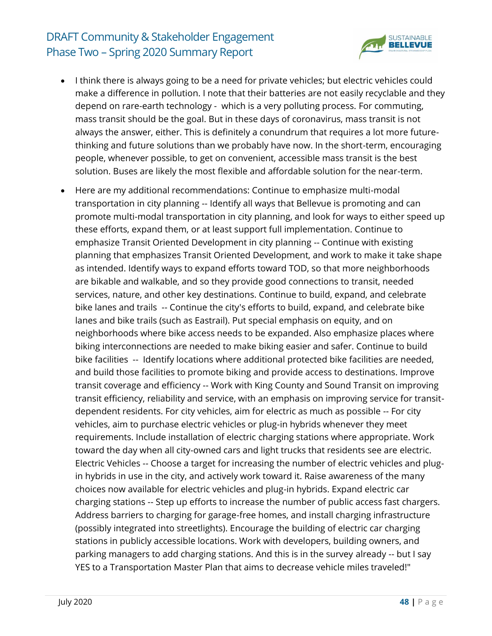

- I think there is always going to be a need for private vehicles; but electric vehicles could make a difference in pollution. I note that their batteries are not easily recyclable and they depend on rare-earth technology - which is a very polluting process. For commuting, mass transit should be the goal. But in these days of coronavirus, mass transit is not always the answer, either. This is definitely a conundrum that requires a lot more futurethinking and future solutions than we probably have now. In the short-term, encouraging people, whenever possible, to get on convenient, accessible mass transit is the best solution. Buses are likely the most flexible and affordable solution for the near-term.
- Here are my additional recommendations: Continue to emphasize multi-modal transportation in city planning -- Identify all ways that Bellevue is promoting and can promote multi-modal transportation in city planning, and look for ways to either speed up these efforts, expand them, or at least support full implementation. Continue to emphasize Transit Oriented Development in city planning -- Continue with existing planning that emphasizes Transit Oriented Development, and work to make it take shape as intended. Identify ways to expand efforts toward TOD, so that more neighborhoods are bikable and walkable, and so they provide good connections to transit, needed services, nature, and other key destinations. Continue to build, expand, and celebrate bike lanes and trails -- Continue the city's efforts to build, expand, and celebrate bike lanes and bike trails (such as Eastrail). Put special emphasis on equity, and on neighborhoods where bike access needs to be expanded. Also emphasize places where biking interconnections are needed to make biking easier and safer. Continue to build bike facilities -- Identify locations where additional protected bike facilities are needed, and build those facilities to promote biking and provide access to destinations. Improve transit coverage and efficiency -- Work with King County and Sound Transit on improving transit efficiency, reliability and service, with an emphasis on improving service for transitdependent residents. For city vehicles, aim for electric as much as possible -- For city vehicles, aim to purchase electric vehicles or plug-in hybrids whenever they meet requirements. Include installation of electric charging stations where appropriate. Work toward the day when all city-owned cars and light trucks that residents see are electric. Electric Vehicles -- Choose a target for increasing the number of electric vehicles and plugin hybrids in use in the city, and actively work toward it. Raise awareness of the many choices now available for electric vehicles and plug-in hybrids. Expand electric car charging stations -- Step up efforts to increase the number of public access fast chargers. Address barriers to charging for garage-free homes, and install charging infrastructure (possibly integrated into streetlights). Encourage the building of electric car charging stations in publicly accessible locations. Work with developers, building owners, and parking managers to add charging stations. And this is in the survey already -- but I say YES to a Transportation Master Plan that aims to decrease vehicle miles traveled!"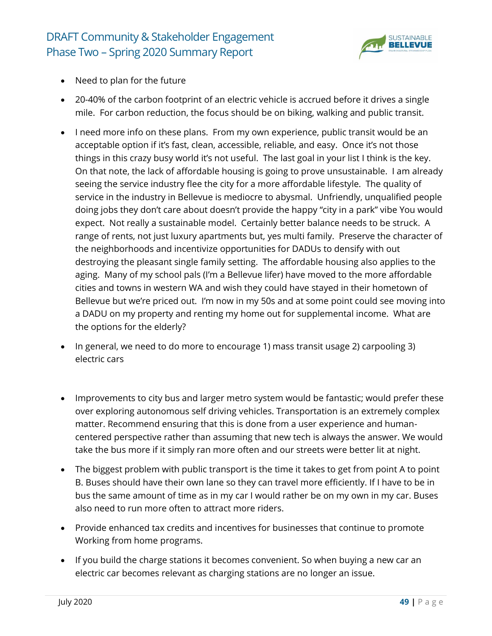

- Need to plan for the future
- 20-40% of the carbon footprint of an electric vehicle is accrued before it drives a single mile. For carbon reduction, the focus should be on biking, walking and public transit.
- I need more info on these plans. From my own experience, public transit would be an acceptable option if it's fast, clean, accessible, reliable, and easy. Once it's not those things in this crazy busy world it's not useful. The last goal in your list I think is the key. On that note, the lack of affordable housing is going to prove unsustainable. I am already seeing the service industry flee the city for a more affordable lifestyle. The quality of service in the industry in Bellevue is mediocre to abysmal. Unfriendly, unqualified people doing jobs they don't care about doesn't provide the happy "city in a park" vibe You would expect. Not really a sustainable model. Certainly better balance needs to be struck. A range of rents, not just luxury apartments but, yes multi family. Preserve the character of the neighborhoods and incentivize opportunities for DADUs to densify with out destroying the pleasant single family setting. The affordable housing also applies to the aging. Many of my school pals (I'm a Bellevue lifer) have moved to the more affordable cities and towns in western WA and wish they could have stayed in their hometown of Bellevue but we're priced out. I'm now in my 50s and at some point could see moving into a DADU on my property and renting my home out for supplemental income. What are the options for the elderly?
- In general, we need to do more to encourage 1) mass transit usage 2) carpooling 3) electric cars
- Improvements to city bus and larger metro system would be fantastic; would prefer these over exploring autonomous self driving vehicles. Transportation is an extremely complex matter. Recommend ensuring that this is done from a user experience and humancentered perspective rather than assuming that new tech is always the answer. We would take the bus more if it simply ran more often and our streets were better lit at night.
- The biggest problem with public transport is the time it takes to get from point A to point B. Buses should have their own lane so they can travel more efficiently. If I have to be in bus the same amount of time as in my car I would rather be on my own in my car. Buses also need to run more often to attract more riders.
- Provide enhanced tax credits and incentives for businesses that continue to promote Working from home programs.
- If you build the charge stations it becomes convenient. So when buying a new car an electric car becomes relevant as charging stations are no longer an issue.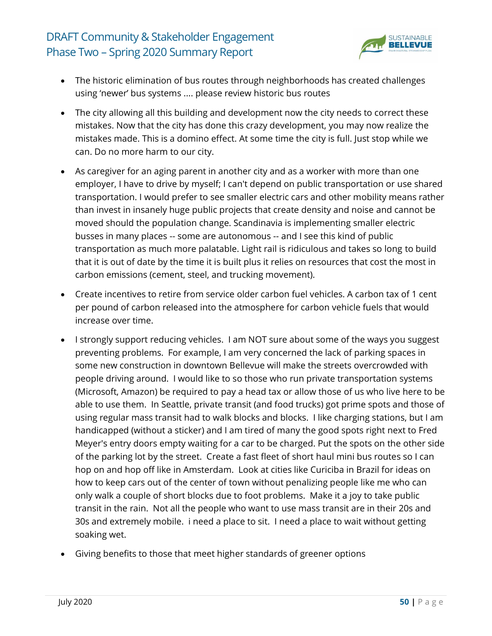

- The historic elimination of bus routes through neighborhoods has created challenges using 'newer' bus systems .... please review historic bus routes
- The city allowing all this building and development now the city needs to correct these mistakes. Now that the city has done this crazy development, you may now realize the mistakes made. This is a domino effect. At some time the city is full. Just stop while we can. Do no more harm to our city.
- As caregiver for an aging parent in another city and as a worker with more than one employer, I have to drive by myself; I can't depend on public transportation or use shared transportation. I would prefer to see smaller electric cars and other mobility means rather than invest in insanely huge public projects that create density and noise and cannot be moved should the population change. Scandinavia is implementing smaller electric busses in many places -- some are autonomous -- and I see this kind of public transportation as much more palatable. Light rail is ridiculous and takes so long to build that it is out of date by the time it is built plus it relies on resources that cost the most in carbon emissions (cement, steel, and trucking movement).
- Create incentives to retire from service older carbon fuel vehicles. A carbon tax of 1 cent per pound of carbon released into the atmosphere for carbon vehicle fuels that would increase over time.
- I strongly support reducing vehicles. I am NOT sure about some of the ways you suggest preventing problems. For example, I am very concerned the lack of parking spaces in some new construction in downtown Bellevue will make the streets overcrowded with people driving around. I would like to so those who run private transportation systems (Microsoft, Amazon) be required to pay a head tax or allow those of us who live here to be able to use them. In Seattle, private transit (and food trucks) got prime spots and those of using regular mass transit had to walk blocks and blocks. I like charging stations, but I am handicapped (without a sticker) and I am tired of many the good spots right next to Fred Meyer's entry doors empty waiting for a car to be charged. Put the spots on the other side of the parking lot by the street. Create a fast fleet of short haul mini bus routes so I can hop on and hop off like in Amsterdam. Look at cities like Curiciba in Brazil for ideas on how to keep cars out of the center of town without penalizing people like me who can only walk a couple of short blocks due to foot problems. Make it a joy to take public transit in the rain. Not all the people who want to use mass transit are in their 20s and 30s and extremely mobile. i need a place to sit. I need a place to wait without getting soaking wet.
- Giving benefits to those that meet higher standards of greener options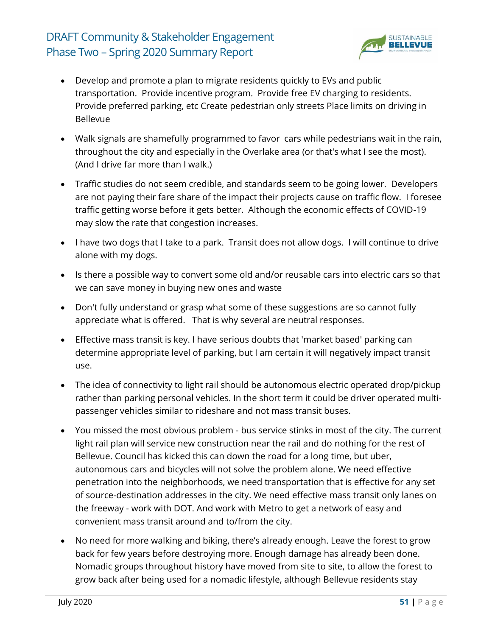

- Develop and promote a plan to migrate residents quickly to EVs and public transportation. Provide incentive program. Provide free EV charging to residents. Provide preferred parking, etc Create pedestrian only streets Place limits on driving in Bellevue
- Walk signals are shamefully programmed to favor cars while pedestrians wait in the rain, throughout the city and especially in the Overlake area (or that's what I see the most). (And I drive far more than I walk.)
- Traffic studies do not seem credible, and standards seem to be going lower. Developers are not paying their fare share of the impact their projects cause on traffic flow. I foresee traffic getting worse before it gets better. Although the economic effects of COVID-19 may slow the rate that congestion increases.
- I have two dogs that I take to a park. Transit does not allow dogs. I will continue to drive alone with my dogs.
- Is there a possible way to convert some old and/or reusable cars into electric cars so that we can save money in buying new ones and waste
- Don't fully understand or grasp what some of these suggestions are so cannot fully appreciate what is offered. That is why several are neutral responses.
- Effective mass transit is key. I have serious doubts that 'market based' parking can determine appropriate level of parking, but I am certain it will negatively impact transit use.
- The idea of connectivity to light rail should be autonomous electric operated drop/pickup rather than parking personal vehicles. In the short term it could be driver operated multipassenger vehicles similar to rideshare and not mass transit buses.
- You missed the most obvious problem bus service stinks in most of the city. The current light rail plan will service new construction near the rail and do nothing for the rest of Bellevue. Council has kicked this can down the road for a long time, but uber, autonomous cars and bicycles will not solve the problem alone. We need effective penetration into the neighborhoods, we need transportation that is effective for any set of source-destination addresses in the city. We need effective mass transit only lanes on the freeway - work with DOT. And work with Metro to get a network of easy and convenient mass transit around and to/from the city.
- No need for more walking and biking, there's already enough. Leave the forest to grow back for few years before destroying more. Enough damage has already been done. Nomadic groups throughout history have moved from site to site, to allow the forest to grow back after being used for a nomadic lifestyle, although Bellevue residents stay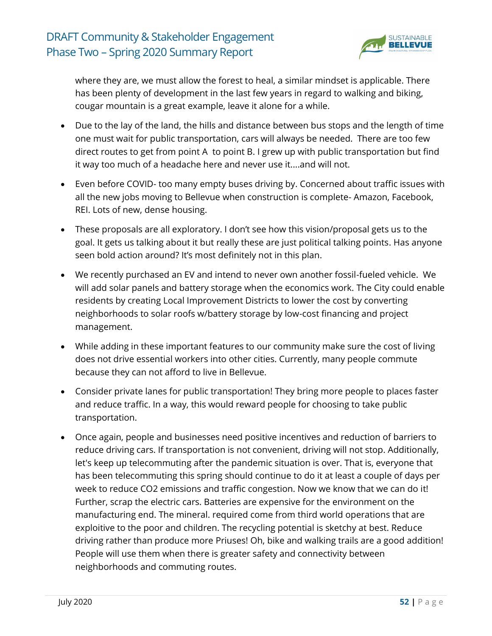

where they are, we must allow the forest to heal, a similar mindset is applicable. There has been plenty of development in the last few years in regard to walking and biking, cougar mountain is a great example, leave it alone for a while.

- Due to the lay of the land, the hills and distance between bus stops and the length of time one must wait for public transportation, cars will always be needed. There are too few direct routes to get from point A to point B. I grew up with public transportation but find it way too much of a headache here and never use it....and will not.
- Even before COVID- too many empty buses driving by. Concerned about traffic issues with all the new jobs moving to Bellevue when construction is complete- Amazon, Facebook, REI. Lots of new, dense housing.
- These proposals are all exploratory. I don't see how this vision/proposal gets us to the goal. It gets us talking about it but really these are just political talking points. Has anyone seen bold action around? It's most definitely not in this plan.
- We recently purchased an EV and intend to never own another fossil-fueled vehicle. We will add solar panels and battery storage when the economics work. The City could enable residents by creating Local Improvement Districts to lower the cost by converting neighborhoods to solar roofs w/battery storage by low-cost financing and project management.
- While adding in these important features to our community make sure the cost of living does not drive essential workers into other cities. Currently, many people commute because they can not afford to live in Bellevue.
- Consider private lanes for public transportation! They bring more people to places faster and reduce traffic. In a way, this would reward people for choosing to take public transportation.
- Once again, people and businesses need positive incentives and reduction of barriers to reduce driving cars. If transportation is not convenient, driving will not stop. Additionally, let's keep up telecommuting after the pandemic situation is over. That is, everyone that has been telecommuting this spring should continue to do it at least a couple of days per week to reduce CO2 emissions and traffic congestion. Now we know that we can do it! Further, scrap the electric cars. Batteries are expensive for the environment on the manufacturing end. The mineral. required come from third world operations that are exploitive to the poor and children. The recycling potential is sketchy at best. Reduce driving rather than produce more Priuses! Oh, bike and walking trails are a good addition! People will use them when there is greater safety and connectivity between neighborhoods and commuting routes.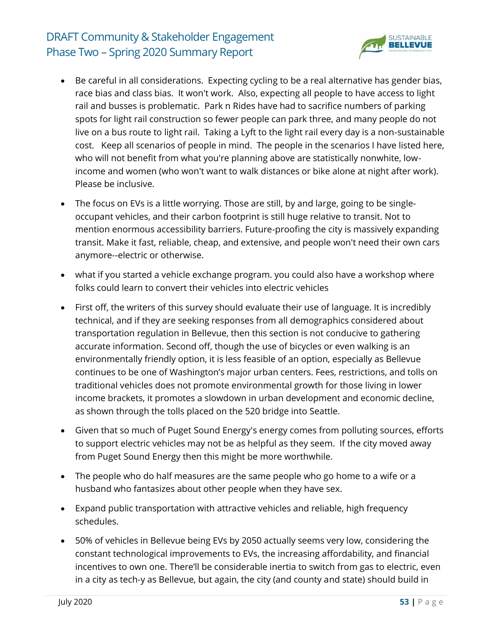

- Be careful in all considerations. Expecting cycling to be a real alternative has gender bias, race bias and class bias. It won't work. Also, expecting all people to have access to light rail and busses is problematic. Park n Rides have had to sacrifice numbers of parking spots for light rail construction so fewer people can park three, and many people do not live on a bus route to light rail. Taking a Lyft to the light rail every day is a non-sustainable cost. Keep all scenarios of people in mind. The people in the scenarios I have listed here, who will not benefit from what you're planning above are statistically nonwhite, lowincome and women (who won't want to walk distances or bike alone at night after work). Please be inclusive.
- The focus on EVs is a little worrying. Those are still, by and large, going to be singleoccupant vehicles, and their carbon footprint is still huge relative to transit. Not to mention enormous accessibility barriers. Future-proofing the city is massively expanding transit. Make it fast, reliable, cheap, and extensive, and people won't need their own cars anymore--electric or otherwise.
- what if you started a vehicle exchange program. you could also have a workshop where folks could learn to convert their vehicles into electric vehicles
- First off, the writers of this survey should evaluate their use of language. It is incredibly technical, and if they are seeking responses from all demographics considered about transportation regulation in Bellevue, then this section is not conducive to gathering accurate information. Second off, though the use of bicycles or even walking is an environmentally friendly option, it is less feasible of an option, especially as Bellevue continues to be one of Washington's major urban centers. Fees, restrictions, and tolls on traditional vehicles does not promote environmental growth for those living in lower income brackets, it promotes a slowdown in urban development and economic decline, as shown through the tolls placed on the 520 bridge into Seattle.
- Given that so much of Puget Sound Energy's energy comes from polluting sources, efforts to support electric vehicles may not be as helpful as they seem. If the city moved away from Puget Sound Energy then this might be more worthwhile.
- The people who do half measures are the same people who go home to a wife or a husband who fantasizes about other people when they have sex.
- Expand public transportation with attractive vehicles and reliable, high frequency schedules.
- 50% of vehicles in Bellevue being EVs by 2050 actually seems very low, considering the constant technological improvements to EVs, the increasing affordability, and financial incentives to own one. There'll be considerable inertia to switch from gas to electric, even in a city as tech-y as Bellevue, but again, the city (and county and state) should build in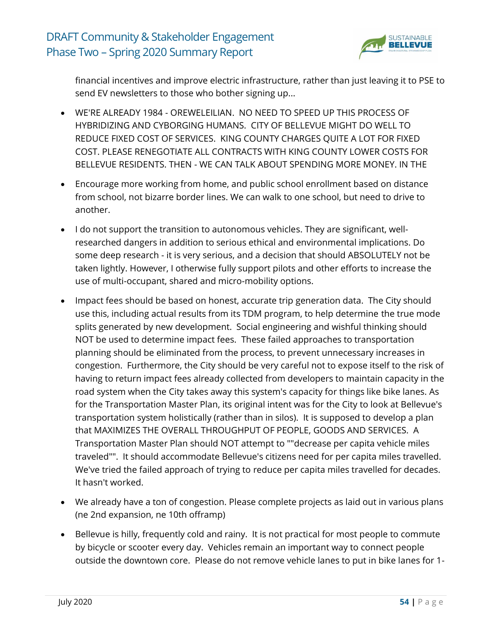

financial incentives and improve electric infrastructure, rather than just leaving it to PSE to send EV newsletters to those who bother signing up...

- WE'RE ALREADY 1984 OREWELEILIAN. NO NEED TO SPEED UP THIS PROCESS OF HYBRIDIZING AND CYBORGING HUMANS. CITY OF BELLEVUE MIGHT DO WELL TO REDUCE FIXED COST OF SERVICES. KING COUNTY CHARGES QUITE A LOT FOR FIXED COST. PLEASE RENEGOTIATE ALL CONTRACTS WITH KING COUNTY LOWER COSTS FOR BELLEVUE RESIDENTS. THEN - WE CAN TALK ABOUT SPENDING MORE MONEY. IN THE
- Encourage more working from home, and public school enrollment based on distance from school, not bizarre border lines. We can walk to one school, but need to drive to another.
- I do not support the transition to autonomous vehicles. They are significant, wellresearched dangers in addition to serious ethical and environmental implications. Do some deep research - it is very serious, and a decision that should ABSOLUTELY not be taken lightly. However, I otherwise fully support pilots and other efforts to increase the use of multi-occupant, shared and micro-mobility options.
- Impact fees should be based on honest, accurate trip generation data. The City should use this, including actual results from its TDM program, to help determine the true mode splits generated by new development. Social engineering and wishful thinking should NOT be used to determine impact fees. These failed approaches to transportation planning should be eliminated from the process, to prevent unnecessary increases in congestion. Furthermore, the City should be very careful not to expose itself to the risk of having to return impact fees already collected from developers to maintain capacity in the road system when the City takes away this system's capacity for things like bike lanes. As for the Transportation Master Plan, its original intent was for the City to look at Bellevue's transportation system holistically (rather than in silos). It is supposed to develop a plan that MAXIMIZES THE OVERALL THROUGHPUT OF PEOPLE, GOODS AND SERVICES. A Transportation Master Plan should NOT attempt to ""decrease per capita vehicle miles traveled"". It should accommodate Bellevue's citizens need for per capita miles travelled. We've tried the failed approach of trying to reduce per capita miles travelled for decades. It hasn't worked.
- We already have a ton of congestion. Please complete projects as laid out in various plans (ne 2nd expansion, ne 10th offramp)
- Bellevue is hilly, frequently cold and rainy. It is not practical for most people to commute by bicycle or scooter every day. Vehicles remain an important way to connect people outside the downtown core. Please do not remove vehicle lanes to put in bike lanes for 1-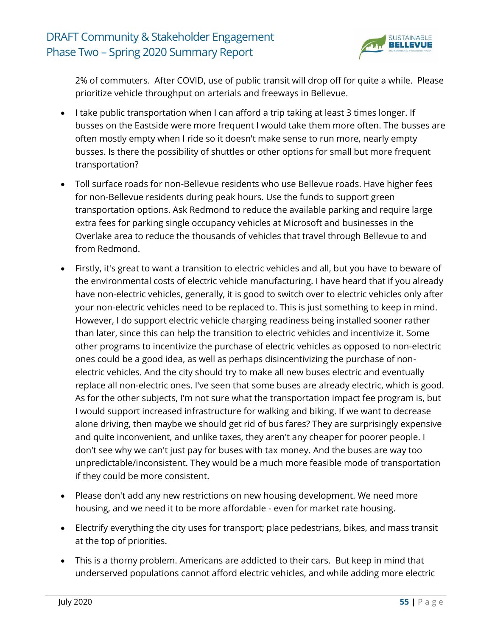

2% of commuters. After COVID, use of public transit will drop off for quite a while. Please prioritize vehicle throughput on arterials and freeways in Bellevue.

- I take public transportation when I can afford a trip taking at least 3 times longer. If busses on the Eastside were more frequent I would take them more often. The busses are often mostly empty when I ride so it doesn't make sense to run more, nearly empty busses. Is there the possibility of shuttles or other options for small but more frequent transportation?
- Toll surface roads for non-Bellevue residents who use Bellevue roads. Have higher fees for non-Bellevue residents during peak hours. Use the funds to support green transportation options. Ask Redmond to reduce the available parking and require large extra fees for parking single occupancy vehicles at Microsoft and businesses in the Overlake area to reduce the thousands of vehicles that travel through Bellevue to and from Redmond.
- Firstly, it's great to want a transition to electric vehicles and all, but you have to beware of the environmental costs of electric vehicle manufacturing. I have heard that if you already have non-electric vehicles, generally, it is good to switch over to electric vehicles only after your non-electric vehicles need to be replaced to. This is just something to keep in mind. However, I do support electric vehicle charging readiness being installed sooner rather than later, since this can help the transition to electric vehicles and incentivize it. Some other programs to incentivize the purchase of electric vehicles as opposed to non-electric ones could be a good idea, as well as perhaps disincentivizing the purchase of nonelectric vehicles. And the city should try to make all new buses electric and eventually replace all non-electric ones. I've seen that some buses are already electric, which is good. As for the other subjects, I'm not sure what the transportation impact fee program is, but I would support increased infrastructure for walking and biking. If we want to decrease alone driving, then maybe we should get rid of bus fares? They are surprisingly expensive and quite inconvenient, and unlike taxes, they aren't any cheaper for poorer people. I don't see why we can't just pay for buses with tax money. And the buses are way too unpredictable/inconsistent. They would be a much more feasible mode of transportation if they could be more consistent.
- Please don't add any new restrictions on new housing development. We need more housing, and we need it to be more affordable - even for market rate housing.
- Electrify everything the city uses for transport; place pedestrians, bikes, and mass transit at the top of priorities.
- This is a thorny problem. Americans are addicted to their cars. But keep in mind that underserved populations cannot afford electric vehicles, and while adding more electric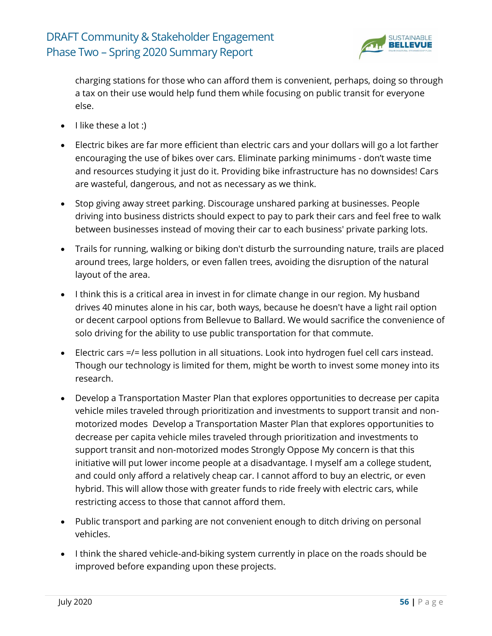

charging stations for those who can afford them is convenient, perhaps, doing so through a tax on their use would help fund them while focusing on public transit for everyone else.

- $\bullet$  I like these a lot :)
- Electric bikes are far more efficient than electric cars and your dollars will go a lot farther encouraging the use of bikes over cars. Eliminate parking minimums - don't waste time and resources studying it just do it. Providing bike infrastructure has no downsides! Cars are wasteful, dangerous, and not as necessary as we think.
- Stop giving away street parking. Discourage unshared parking at businesses. People driving into business districts should expect to pay to park their cars and feel free to walk between businesses instead of moving their car to each business' private parking lots.
- Trails for running, walking or biking don't disturb the surrounding nature, trails are placed around trees, large holders, or even fallen trees, avoiding the disruption of the natural layout of the area.
- I think this is a critical area in invest in for climate change in our region. My husband drives 40 minutes alone in his car, both ways, because he doesn't have a light rail option or decent carpool options from Bellevue to Ballard. We would sacrifice the convenience of solo driving for the ability to use public transportation for that commute.
- Electric cars =/= less pollution in all situations. Look into hydrogen fuel cell cars instead. Though our technology is limited for them, might be worth to invest some money into its research.
- Develop a Transportation Master Plan that explores opportunities to decrease per capita vehicle miles traveled through prioritization and investments to support transit and nonmotorized modes Develop a Transportation Master Plan that explores opportunities to decrease per capita vehicle miles traveled through prioritization and investments to support transit and non-motorized modes Strongly Oppose My concern is that this initiative will put lower income people at a disadvantage. I myself am a college student, and could only afford a relatively cheap car. I cannot afford to buy an electric, or even hybrid. This will allow those with greater funds to ride freely with electric cars, while restricting access to those that cannot afford them.
- Public transport and parking are not convenient enough to ditch driving on personal vehicles.
- I think the shared vehicle-and-biking system currently in place on the roads should be improved before expanding upon these projects.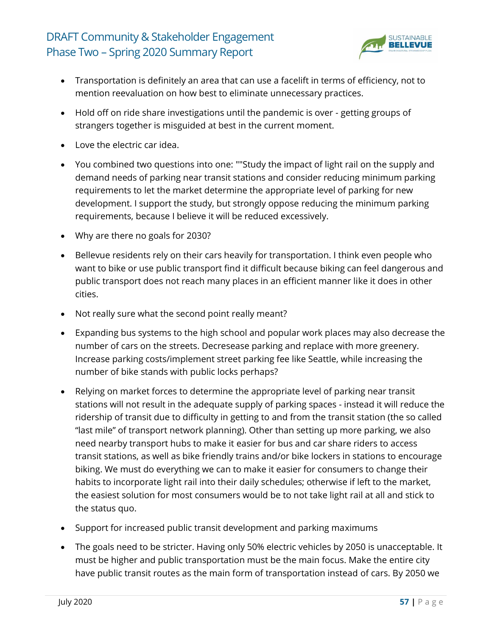

- Transportation is definitely an area that can use a facelift in terms of efficiency, not to mention reevaluation on how best to eliminate unnecessary practices.
- Hold off on ride share investigations until the pandemic is over getting groups of strangers together is misguided at best in the current moment.
- Love the electric car idea.
- You combined two questions into one: ""Study the impact of light rail on the supply and demand needs of parking near transit stations and consider reducing minimum parking requirements to let the market determine the appropriate level of parking for new development. I support the study, but strongly oppose reducing the minimum parking requirements, because I believe it will be reduced excessively.
- Why are there no goals for 2030?
- Bellevue residents rely on their cars heavily for transportation. I think even people who want to bike or use public transport find it difficult because biking can feel dangerous and public transport does not reach many places in an efficient manner like it does in other cities.
- Not really sure what the second point really meant?
- Expanding bus systems to the high school and popular work places may also decrease the number of cars on the streets. Decresease parking and replace with more greenery. Increase parking costs/implement street parking fee like Seattle, while increasing the number of bike stands with public locks perhaps?
- Relying on market forces to determine the appropriate level of parking near transit stations will not result in the adequate supply of parking spaces - instead it will reduce the ridership of transit due to difficulty in getting to and from the transit station (the so called "last mile" of transport network planning). Other than setting up more parking, we also need nearby transport hubs to make it easier for bus and car share riders to access transit stations, as well as bike friendly trains and/or bike lockers in stations to encourage biking. We must do everything we can to make it easier for consumers to change their habits to incorporate light rail into their daily schedules; otherwise if left to the market, the easiest solution for most consumers would be to not take light rail at all and stick to the status quo.
- Support for increased public transit development and parking maximums
- The goals need to be stricter. Having only 50% electric vehicles by 2050 is unacceptable. It must be higher and public transportation must be the main focus. Make the entire city have public transit routes as the main form of transportation instead of cars. By 2050 we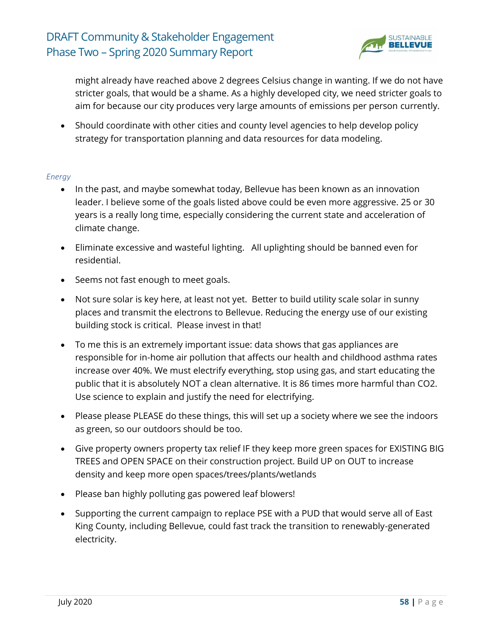

might already have reached above 2 degrees Celsius change in wanting. If we do not have stricter goals, that would be a shame. As a highly developed city, we need stricter goals to aim for because our city produces very large amounts of emissions per person currently.

• Should coordinate with other cities and county level agencies to help develop policy strategy for transportation planning and data resources for data modeling.

#### *Energy*

- In the past, and maybe somewhat today, Bellevue has been known as an innovation leader. I believe some of the goals listed above could be even more aggressive. 25 or 30 years is a really long time, especially considering the current state and acceleration of climate change.
- Eliminate excessive and wasteful lighting. All uplighting should be banned even for residential.
- Seems not fast enough to meet goals.
- Not sure solar is key here, at least not yet. Better to build utility scale solar in sunny places and transmit the electrons to Bellevue. Reducing the energy use of our existing building stock is critical. Please invest in that!
- To me this is an extremely important issue: data shows that gas appliances are responsible for in-home air pollution that affects our health and childhood asthma rates increase over 40%. We must electrify everything, stop using gas, and start educating the public that it is absolutely NOT a clean alternative. It is 86 times more harmful than CO2. Use science to explain and justify the need for electrifying.
- Please please PLEASE do these things, this will set up a society where we see the indoors as green, so our outdoors should be too.
- Give property owners property tax relief IF they keep more green spaces for EXISTING BIG TREES and OPEN SPACE on their construction project. Build UP on OUT to increase density and keep more open spaces/trees/plants/wetlands
- Please ban highly polluting gas powered leaf blowers!
- Supporting the current campaign to replace PSE with a PUD that would serve all of East King County, including Bellevue, could fast track the transition to renewably-generated electricity.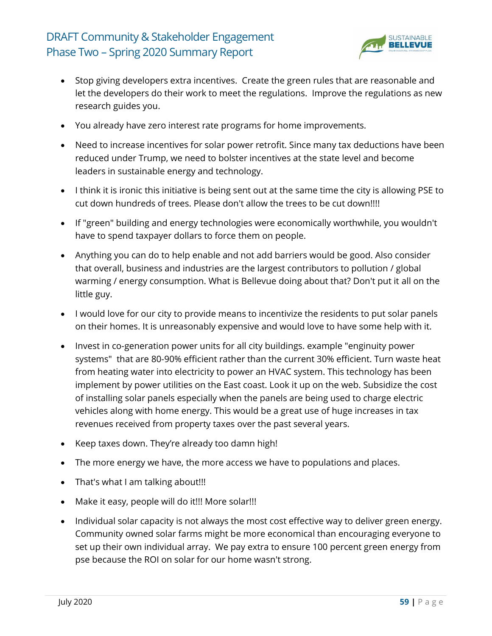

- Stop giving developers extra incentives. Create the green rules that are reasonable and let the developers do their work to meet the regulations. Improve the regulations as new research guides you.
- You already have zero interest rate programs for home improvements.
- Need to increase incentives for solar power retrofit. Since many tax deductions have been reduced under Trump, we need to bolster incentives at the state level and become leaders in sustainable energy and technology.
- I think it is ironic this initiative is being sent out at the same time the city is allowing PSE to cut down hundreds of trees. Please don't allow the trees to be cut down!!!!
- If "green" building and energy technologies were economically worthwhile, you wouldn't have to spend taxpayer dollars to force them on people.
- Anything you can do to help enable and not add barriers would be good. Also consider that overall, business and industries are the largest contributors to pollution / global warming / energy consumption. What is Bellevue doing about that? Don't put it all on the little guy.
- I would love for our city to provide means to incentivize the residents to put solar panels on their homes. It is unreasonably expensive and would love to have some help with it.
- Invest in co-generation power units for all city buildings. example "enginuity power systems" that are 80-90% efficient rather than the current 30% efficient. Turn waste heat from heating water into electricity to power an HVAC system. This technology has been implement by power utilities on the East coast. Look it up on the web. Subsidize the cost of installing solar panels especially when the panels are being used to charge electric vehicles along with home energy. This would be a great use of huge increases in tax revenues received from property taxes over the past several years.
- Keep taxes down. They're already too damn high!
- The more energy we have, the more access we have to populations and places.
- That's what I am talking about!!!
- Make it easy, people will do it!!! More solar!!!
- Individual solar capacity is not always the most cost effective way to deliver green energy. Community owned solar farms might be more economical than encouraging everyone to set up their own individual array. We pay extra to ensure 100 percent green energy from pse because the ROI on solar for our home wasn't strong.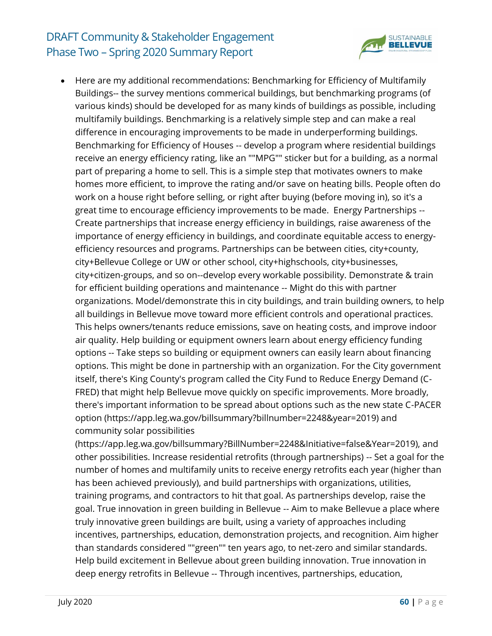

• Here are my additional recommendations: Benchmarking for Efficiency of Multifamily Buildings-- the survey mentions commerical buildings, but benchmarking programs (of various kinds) should be developed for as many kinds of buildings as possible, including multifamily buildings. Benchmarking is a relatively simple step and can make a real difference in encouraging improvements to be made in underperforming buildings. Benchmarking for Efficiency of Houses -- develop a program where residential buildings receive an energy efficiency rating, like an ""MPG"" sticker but for a building, as a normal part of preparing a home to sell. This is a simple step that motivates owners to make homes more efficient, to improve the rating and/or save on heating bills. People often do work on a house right before selling, or right after buying (before moving in), so it's a great time to encourage efficiency improvements to be made. Energy Partnerships -- Create partnerships that increase energy efficiency in buildings, raise awareness of the importance of energy efficiency in buildings, and coordinate equitable access to energyefficiency resources and programs. Partnerships can be between cities, city+county, city+Bellevue College or UW or other school, city+highschools, city+businesses, city+citizen-groups, and so on--develop every workable possibility. Demonstrate & train for efficient building operations and maintenance -- Might do this with partner organizations. Model/demonstrate this in city buildings, and train building owners, to help all buildings in Bellevue move toward more efficient controls and operational practices. This helps owners/tenants reduce emissions, save on heating costs, and improve indoor air quality. Help building or equipment owners learn about energy efficiency funding options -- Take steps so building or equipment owners can easily learn about financing options. This might be done in partnership with an organization. For the City government itself, there's King County's program called the City Fund to Reduce Energy Demand (C-FRED) that might help Bellevue move quickly on specific improvements. More broadly, there's important information to be spread about options such as the new state C-PACER option (https://app.leg.wa.gov/billsummary?billnumber=2248&year=2019) and community solar possibilities

(https://app.leg.wa.gov/billsummary?BillNumber=2248&Initiative=false&Year=2019), and other possibilities. Increase residential retrofits (through partnerships) -- Set a goal for the number of homes and multifamily units to receive energy retrofits each year (higher than has been achieved previously), and build partnerships with organizations, utilities, training programs, and contractors to hit that goal. As partnerships develop, raise the goal. True innovation in green building in Bellevue -- Aim to make Bellevue a place where truly innovative green buildings are built, using a variety of approaches including incentives, partnerships, education, demonstration projects, and recognition. Aim higher than standards considered ""green"" ten years ago, to net-zero and similar standards. Help build excitement in Bellevue about green building innovation. True innovation in deep energy retrofits in Bellevue -- Through incentives, partnerships, education,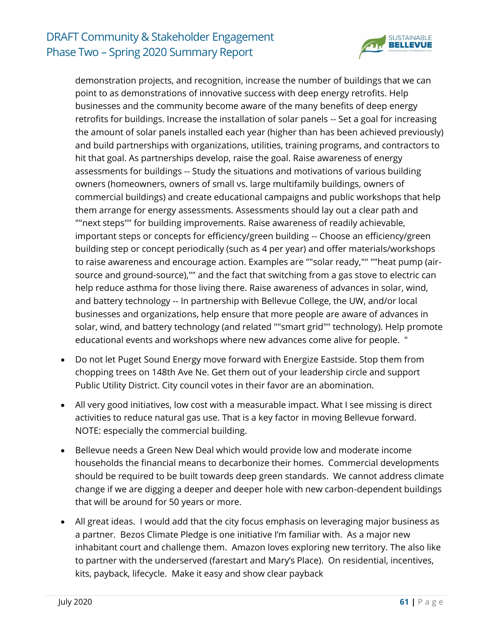

demonstration projects, and recognition, increase the number of buildings that we can point to as demonstrations of innovative success with deep energy retrofits. Help businesses and the community become aware of the many benefits of deep energy retrofits for buildings. Increase the installation of solar panels -- Set a goal for increasing the amount of solar panels installed each year (higher than has been achieved previously) and build partnerships with organizations, utilities, training programs, and contractors to hit that goal. As partnerships develop, raise the goal. Raise awareness of energy assessments for buildings -- Study the situations and motivations of various building owners (homeowners, owners of small vs. large multifamily buildings, owners of commercial buildings) and create educational campaigns and public workshops that help them arrange for energy assessments. Assessments should lay out a clear path and ""next steps"" for building improvements. Raise awareness of readily achievable, important steps or concepts for efficiency/green building -- Choose an efficiency/green building step or concept periodically (such as 4 per year) and offer materials/workshops to raise awareness and encourage action. Examples are ""solar ready,"" ""heat pump (airsource and ground-source),"" and the fact that switching from a gas stove to electric can help reduce asthma for those living there. Raise awareness of advances in solar, wind, and battery technology -- In partnership with Bellevue College, the UW, and/or local businesses and organizations, help ensure that more people are aware of advances in solar, wind, and battery technology (and related ""smart grid"" technology). Help promote educational events and workshops where new advances come alive for people. "

- Do not let Puget Sound Energy move forward with Energize Eastside. Stop them from chopping trees on 148th Ave Ne. Get them out of your leadership circle and support Public Utility District. City council votes in their favor are an abomination.
- All very good initiatives, low cost with a measurable impact. What I see missing is direct activities to reduce natural gas use. That is a key factor in moving Bellevue forward. NOTE: especially the commercial building.
- Bellevue needs a Green New Deal which would provide low and moderate income households the financial means to decarbonize their homes. Commercial developments should be required to be built towards deep green standards. We cannot address climate change if we are digging a deeper and deeper hole with new carbon-dependent buildings that will be around for 50 years or more.
- All great ideas. I would add that the city focus emphasis on leveraging major business as a partner. Bezos Climate Pledge is one initiative I'm familiar with. As a major new inhabitant court and challenge them. Amazon loves exploring new territory. The also like to partner with the underserved (farestart and Mary's Place). On residential, incentives, kits, payback, lifecycle. Make it easy and show clear payback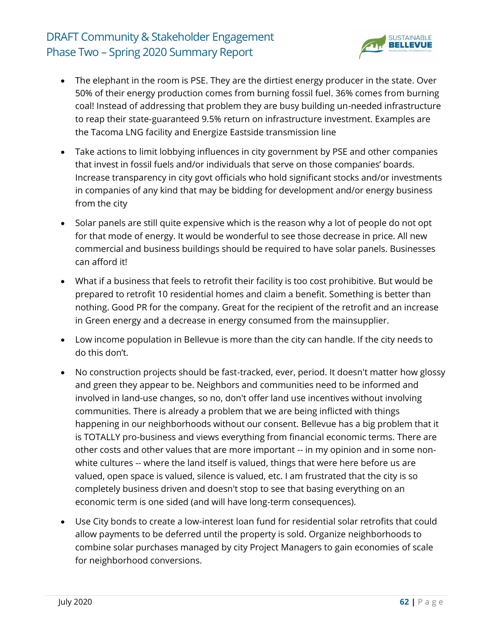

- The elephant in the room is PSE. They are the dirtiest energy producer in the state. Over 50% of their energy production comes from burning fossil fuel. 36% comes from burning coal! Instead of addressing that problem they are busy building un-needed infrastructure to reap their state-guaranteed 9.5% return on infrastructure investment. Examples are the Tacoma LNG facility and Energize Eastside transmission line
- Take actions to limit lobbying influences in city government by PSE and other companies that invest in fossil fuels and/or individuals that serve on those companies' boards. Increase transparency in city govt officials who hold significant stocks and/or investments in companies of any kind that may be bidding for development and/or energy business from the city
- Solar panels are still quite expensive which is the reason why a lot of people do not opt for that mode of energy. It would be wonderful to see those decrease in price. All new commercial and business buildings should be required to have solar panels. Businesses can afford it!
- What if a business that feels to retrofit their facility is too cost prohibitive. But would be prepared to retrofit 10 residential homes and claim a benefit. Something is better than nothing. Good PR for the company. Great for the recipient of the retrofit and an increase in Green energy and a decrease in energy consumed from the mainsupplier.
- Low income population in Bellevue is more than the city can handle. If the city needs to do this don't.
- No construction projects should be fast-tracked, ever, period. It doesn't matter how glossy and green they appear to be. Neighbors and communities need to be informed and involved in land-use changes, so no, don't offer land use incentives without involving communities. There is already a problem that we are being inflicted with things happening in our neighborhoods without our consent. Bellevue has a big problem that it is TOTALLY pro-business and views everything from financial economic terms. There are other costs and other values that are more important -- in my opinion and in some nonwhite cultures -- where the land itself is valued, things that were here before us are valued, open space is valued, silence is valued, etc. I am frustrated that the city is so completely business driven and doesn't stop to see that basing everything on an economic term is one sided (and will have long-term consequences).
- Use City bonds to create a low-interest loan fund for residential solar retrofits that could allow payments to be deferred until the property is sold. Organize neighborhoods to combine solar purchases managed by city Project Managers to gain economies of scale for neighborhood conversions.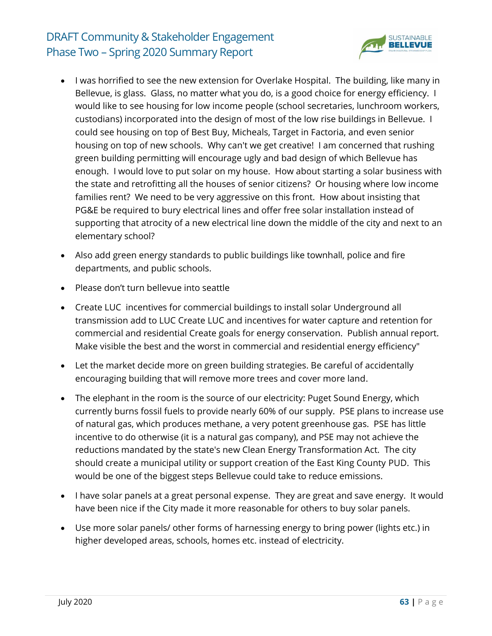

- I was horrified to see the new extension for Overlake Hospital. The building, like many in Bellevue, is glass. Glass, no matter what you do, is a good choice for energy efficiency. I would like to see housing for low income people (school secretaries, lunchroom workers, custodians) incorporated into the design of most of the low rise buildings in Bellevue. I could see housing on top of Best Buy, Micheals, Target in Factoria, and even senior housing on top of new schools. Why can't we get creative! I am concerned that rushing green building permitting will encourage ugly and bad design of which Bellevue has enough. I would love to put solar on my house. How about starting a solar business with the state and retrofitting all the houses of senior citizens? Or housing where low income families rent? We need to be very aggressive on this front. How about insisting that PG&E be required to bury electrical lines and offer free solar installation instead of supporting that atrocity of a new electrical line down the middle of the city and next to an elementary school?
- Also add green energy standards to public buildings like townhall, police and fire departments, and public schools.
- Please don't turn bellevue into seattle
- Create LUC incentives for commercial buildings to install solar Underground all transmission add to LUC Create LUC and incentives for water capture and retention for commercial and residential Create goals for energy conservation. Publish annual report. Make visible the best and the worst in commercial and residential energy efficiency"
- Let the market decide more on green building strategies. Be careful of accidentally encouraging building that will remove more trees and cover more land.
- The elephant in the room is the source of our electricity: Puget Sound Energy, which currently burns fossil fuels to provide nearly 60% of our supply. PSE plans to increase use of natural gas, which produces methane, a very potent greenhouse gas. PSE has little incentive to do otherwise (it is a natural gas company), and PSE may not achieve the reductions mandated by the state's new Clean Energy Transformation Act. The city should create a municipal utility or support creation of the East King County PUD. This would be one of the biggest steps Bellevue could take to reduce emissions.
- I have solar panels at a great personal expense. They are great and save energy. It would have been nice if the City made it more reasonable for others to buy solar panels.
- Use more solar panels/ other forms of harnessing energy to bring power (lights etc.) in higher developed areas, schools, homes etc. instead of electricity.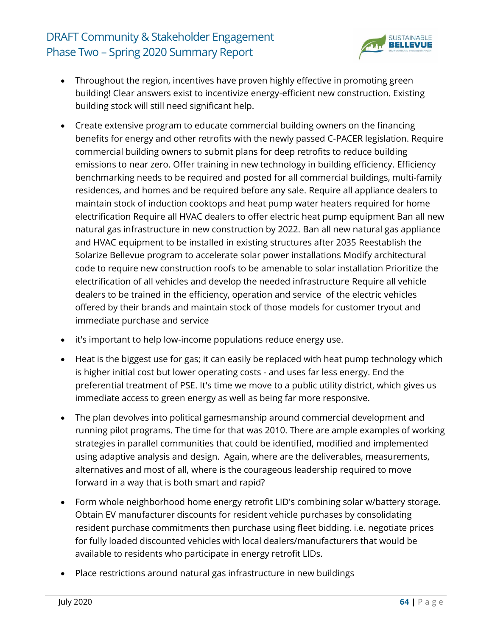

- Throughout the region, incentives have proven highly effective in promoting green building! Clear answers exist to incentivize energy-efficient new construction. Existing building stock will still need significant help.
- Create extensive program to educate commercial building owners on the financing benefits for energy and other retrofits with the newly passed C-PACER legislation. Require commercial building owners to submit plans for deep retrofits to reduce building emissions to near zero. Offer training in new technology in building efficiency. Efficiency benchmarking needs to be required and posted for all commercial buildings, multi-family residences, and homes and be required before any sale. Require all appliance dealers to maintain stock of induction cooktops and heat pump water heaters required for home electrification Require all HVAC dealers to offer electric heat pump equipment Ban all new natural gas infrastructure in new construction by 2022. Ban all new natural gas appliance and HVAC equipment to be installed in existing structures after 2035 Reestablish the Solarize Bellevue program to accelerate solar power installations Modify architectural code to require new construction roofs to be amenable to solar installation Prioritize the electrification of all vehicles and develop the needed infrastructure Require all vehicle dealers to be trained in the efficiency, operation and service of the electric vehicles offered by their brands and maintain stock of those models for customer tryout and immediate purchase and service
- it's important to help low-income populations reduce energy use.
- Heat is the biggest use for gas; it can easily be replaced with heat pump technology which is higher initial cost but lower operating costs - and uses far less energy. End the preferential treatment of PSE. It's time we move to a public utility district, which gives us immediate access to green energy as well as being far more responsive.
- The plan devolves into political gamesmanship around commercial development and running pilot programs. The time for that was 2010. There are ample examples of working strategies in parallel communities that could be identified, modified and implemented using adaptive analysis and design. Again, where are the deliverables, measurements, alternatives and most of all, where is the courageous leadership required to move forward in a way that is both smart and rapid?
- Form whole neighborhood home energy retrofit LID's combining solar w/battery storage. Obtain EV manufacturer discounts for resident vehicle purchases by consolidating resident purchase commitments then purchase using fleet bidding. i.e. negotiate prices for fully loaded discounted vehicles with local dealers/manufacturers that would be available to residents who participate in energy retrofit LIDs.
- Place restrictions around natural gas infrastructure in new buildings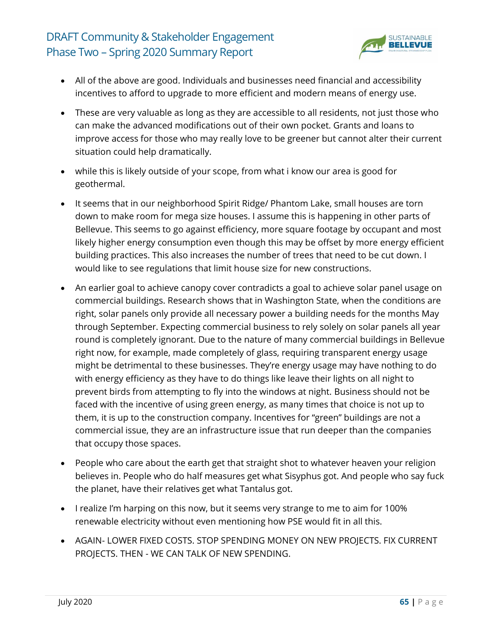

- All of the above are good. Individuals and businesses need financial and accessibility incentives to afford to upgrade to more efficient and modern means of energy use.
- These are very valuable as long as they are accessible to all residents, not just those who can make the advanced modifications out of their own pocket. Grants and loans to improve access for those who may really love to be greener but cannot alter their current situation could help dramatically.
- while this is likely outside of your scope, from what i know our area is good for geothermal.
- It seems that in our neighborhood Spirit Ridge/ Phantom Lake, small houses are torn down to make room for mega size houses. I assume this is happening in other parts of Bellevue. This seems to go against efficiency, more square footage by occupant and most likely higher energy consumption even though this may be offset by more energy efficient building practices. This also increases the number of trees that need to be cut down. I would like to see regulations that limit house size for new constructions.
- An earlier goal to achieve canopy cover contradicts a goal to achieve solar panel usage on commercial buildings. Research shows that in Washington State, when the conditions are right, solar panels only provide all necessary power a building needs for the months May through September. Expecting commercial business to rely solely on solar panels all year round is completely ignorant. Due to the nature of many commercial buildings in Bellevue right now, for example, made completely of glass, requiring transparent energy usage might be detrimental to these businesses. They're energy usage may have nothing to do with energy efficiency as they have to do things like leave their lights on all night to prevent birds from attempting to fly into the windows at night. Business should not be faced with the incentive of using green energy, as many times that choice is not up to them, it is up to the construction company. Incentives for "green" buildings are not a commercial issue, they are an infrastructure issue that run deeper than the companies that occupy those spaces.
- People who care about the earth get that straight shot to whatever heaven your religion believes in. People who do half measures get what Sisyphus got. And people who say fuck the planet, have their relatives get what Tantalus got.
- I realize I'm harping on this now, but it seems very strange to me to aim for 100% renewable electricity without even mentioning how PSE would fit in all this.
- AGAIN- LOWER FIXED COSTS. STOP SPENDING MONEY ON NEW PROJECTS. FIX CURRENT PROJECTS. THEN - WE CAN TALK OF NEW SPENDING.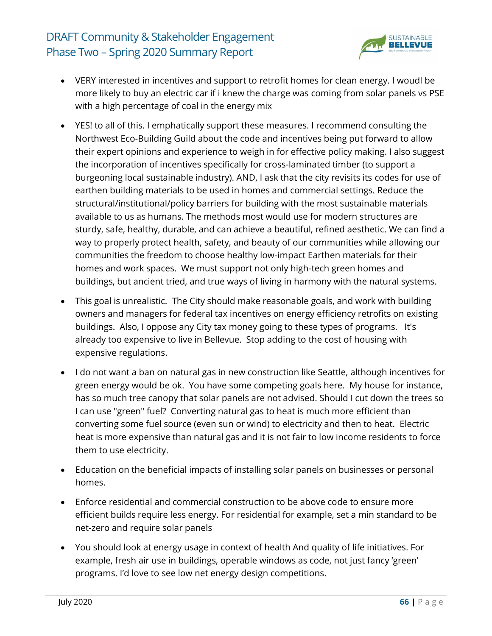

- VERY interested in incentives and support to retrofit homes for clean energy. I woudl be more likely to buy an electric car if i knew the charge was coming from solar panels vs PSE with a high percentage of coal in the energy mix
- YES! to all of this. I emphatically support these measures. I recommend consulting the Northwest Eco-Building Guild about the code and incentives being put forward to allow their expert opinions and experience to weigh in for effective policy making. I also suggest the incorporation of incentives specifically for cross-laminated timber (to support a burgeoning local sustainable industry). AND, I ask that the city revisits its codes for use of earthen building materials to be used in homes and commercial settings. Reduce the structural/institutional/policy barriers for building with the most sustainable materials available to us as humans. The methods most would use for modern structures are sturdy, safe, healthy, durable, and can achieve a beautiful, refined aesthetic. We can find a way to properly protect health, safety, and beauty of our communities while allowing our communities the freedom to choose healthy low-impact Earthen materials for their homes and work spaces. We must support not only high-tech green homes and buildings, but ancient tried, and true ways of living in harmony with the natural systems.
- This goal is unrealistic. The City should make reasonable goals, and work with building owners and managers for federal tax incentives on energy efficiency retrofits on existing buildings. Also, I oppose any City tax money going to these types of programs. It's already too expensive to live in Bellevue. Stop adding to the cost of housing with expensive regulations.
- I do not want a ban on natural gas in new construction like Seattle, although incentives for green energy would be ok. You have some competing goals here. My house for instance, has so much tree canopy that solar panels are not advised. Should I cut down the trees so I can use "green" fuel? Converting natural gas to heat is much more efficient than converting some fuel source (even sun or wind) to electricity and then to heat. Electric heat is more expensive than natural gas and it is not fair to low income residents to force them to use electricity.
- Education on the beneficial impacts of installing solar panels on businesses or personal homes.
- Enforce residential and commercial construction to be above code to ensure more efficient builds require less energy. For residential for example, set a min standard to be net-zero and require solar panels
- You should look at energy usage in context of health And quality of life initiatives. For example, fresh air use in buildings, operable windows as code, not just fancy 'green' programs. I'd love to see low net energy design competitions.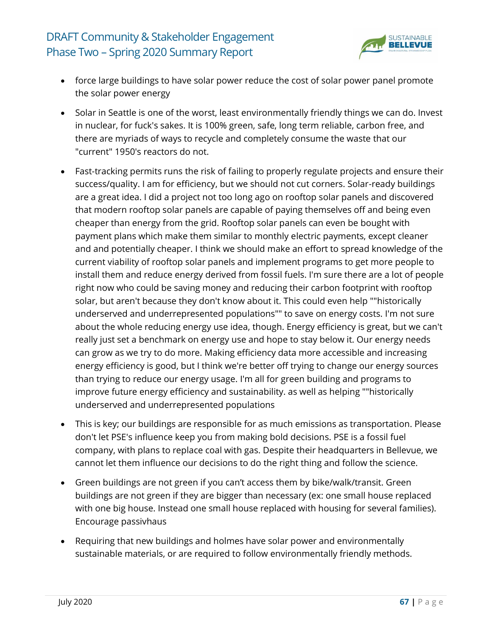

- force large buildings to have solar power reduce the cost of solar power panel promote the solar power energy
- Solar in Seattle is one of the worst, least environmentally friendly things we can do. Invest in nuclear, for fuck's sakes. It is 100% green, safe, long term reliable, carbon free, and there are myriads of ways to recycle and completely consume the waste that our "current" 1950's reactors do not.
- Fast-tracking permits runs the risk of failing to properly regulate projects and ensure their success/quality. I am for efficiency, but we should not cut corners. Solar-ready buildings are a great idea. I did a project not too long ago on rooftop solar panels and discovered that modern rooftop solar panels are capable of paying themselves off and being even cheaper than energy from the grid. Rooftop solar panels can even be bought with payment plans which make them similar to monthly electric payments, except cleaner and and potentially cheaper. I think we should make an effort to spread knowledge of the current viability of rooftop solar panels and implement programs to get more people to install them and reduce energy derived from fossil fuels. I'm sure there are a lot of people right now who could be saving money and reducing their carbon footprint with rooftop solar, but aren't because they don't know about it. This could even help ""historically underserved and underrepresented populations"" to save on energy costs. I'm not sure about the whole reducing energy use idea, though. Energy efficiency is great, but we can't really just set a benchmark on energy use and hope to stay below it. Our energy needs can grow as we try to do more. Making efficiency data more accessible and increasing energy efficiency is good, but I think we're better off trying to change our energy sources than trying to reduce our energy usage. I'm all for green building and programs to improve future energy efficiency and sustainability. as well as helping ""historically underserved and underrepresented populations
- This is key; our buildings are responsible for as much emissions as transportation. Please don't let PSE's influence keep you from making bold decisions. PSE is a fossil fuel company, with plans to replace coal with gas. Despite their headquarters in Bellevue, we cannot let them influence our decisions to do the right thing and follow the science.
- Green buildings are not green if you can't access them by bike/walk/transit. Green buildings are not green if they are bigger than necessary (ex: one small house replaced with one big house. Instead one small house replaced with housing for several families). Encourage passivhaus
- Requiring that new buildings and holmes have solar power and environmentally sustainable materials, or are required to follow environmentally friendly methods.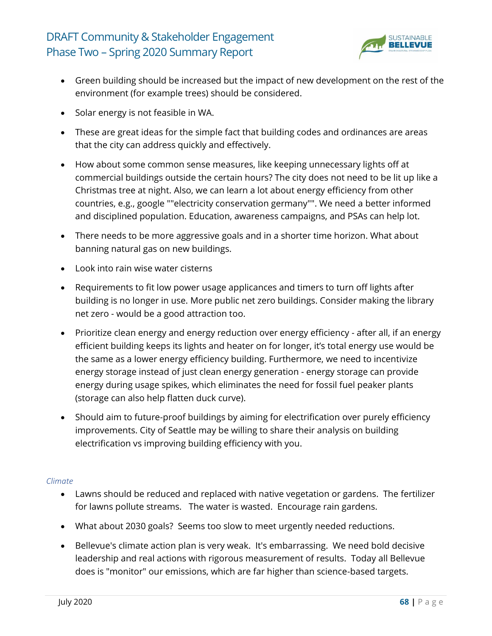

- Green building should be increased but the impact of new development on the rest of the environment (for example trees) should be considered.
- Solar energy is not feasible in WA.
- These are great ideas for the simple fact that building codes and ordinances are areas that the city can address quickly and effectively.
- How about some common sense measures, like keeping unnecessary lights off at commercial buildings outside the certain hours? The city does not need to be lit up like a Christmas tree at night. Also, we can learn a lot about energy efficiency from other countries, e.g., google ""electricity conservation germany"". We need a better informed and disciplined population. Education, awareness campaigns, and PSAs can help lot.
- There needs to be more aggressive goals and in a shorter time horizon. What about banning natural gas on new buildings.
- Look into rain wise water cisterns
- Requirements to fit low power usage applicances and timers to turn off lights after building is no longer in use. More public net zero buildings. Consider making the library net zero - would be a good attraction too.
- Prioritize clean energy and energy reduction over energy efficiency after all, if an energy efficient building keeps its lights and heater on for longer, it's total energy use would be the same as a lower energy efficiency building. Furthermore, we need to incentivize energy storage instead of just clean energy generation - energy storage can provide energy during usage spikes, which eliminates the need for fossil fuel peaker plants (storage can also help flatten duck curve).
- Should aim to future-proof buildings by aiming for electrification over purely efficiency improvements. City of Seattle may be willing to share their analysis on building electrification vs improving building efficiency with you.

#### *Climate*

- Lawns should be reduced and replaced with native vegetation or gardens. The fertilizer for lawns pollute streams. The water is wasted. Encourage rain gardens.
- What about 2030 goals? Seems too slow to meet urgently needed reductions.
- Bellevue's climate action plan is very weak. It's embarrassing. We need bold decisive leadership and real actions with rigorous measurement of results. Today all Bellevue does is "monitor" our emissions, which are far higher than science-based targets.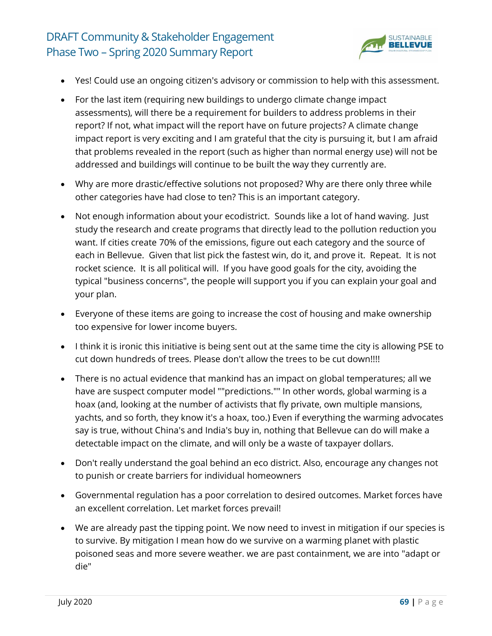

- Yes! Could use an ongoing citizen's advisory or commission to help with this assessment.
- For the last item (requiring new buildings to undergo climate change impact assessments), will there be a requirement for builders to address problems in their report? If not, what impact will the report have on future projects? A climate change impact report is very exciting and I am grateful that the city is pursuing it, but I am afraid that problems revealed in the report (such as higher than normal energy use) will not be addressed and buildings will continue to be built the way they currently are.
- Why are more drastic/effective solutions not proposed? Why are there only three while other categories have had close to ten? This is an important category.
- Not enough information about your ecodistrict. Sounds like a lot of hand waving. Just study the research and create programs that directly lead to the pollution reduction you want. If cities create 70% of the emissions, figure out each category and the source of each in Bellevue. Given that list pick the fastest win, do it, and prove it. Repeat. It is not rocket science. It is all political will. If you have good goals for the city, avoiding the typical "business concerns", the people will support you if you can explain your goal and your plan.
- Everyone of these items are going to increase the cost of housing and make ownership too expensive for lower income buyers.
- I think it is ironic this initiative is being sent out at the same time the city is allowing PSE to cut down hundreds of trees. Please don't allow the trees to be cut down!!!!
- There is no actual evidence that mankind has an impact on global temperatures; all we have are suspect computer model ""predictions."" In other words, global warming is a hoax (and, looking at the number of activists that fly private, own multiple mansions, yachts, and so forth, they know it's a hoax, too.) Even if everything the warming advocates say is true, without China's and India's buy in, nothing that Bellevue can do will make a detectable impact on the climate, and will only be a waste of taxpayer dollars.
- Don't really understand the goal behind an eco district. Also, encourage any changes not to punish or create barriers for individual homeowners
- Governmental regulation has a poor correlation to desired outcomes. Market forces have an excellent correlation. Let market forces prevail!
- We are already past the tipping point. We now need to invest in mitigation if our species is to survive. By mitigation I mean how do we survive on a warming planet with plastic poisoned seas and more severe weather. we are past containment, we are into "adapt or die"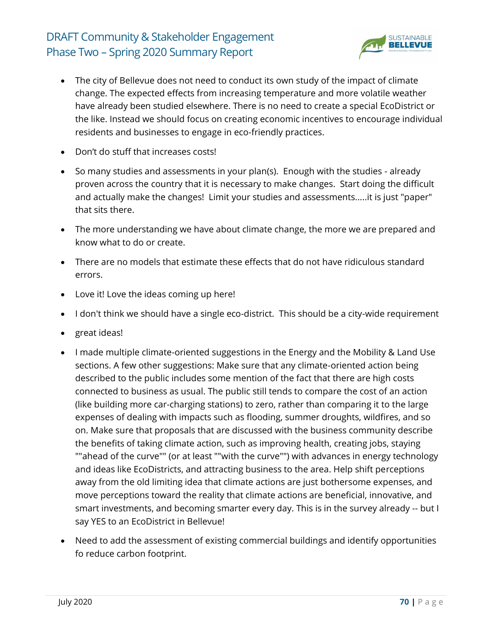

- The city of Bellevue does not need to conduct its own study of the impact of climate change. The expected effects from increasing temperature and more volatile weather have already been studied elsewhere. There is no need to create a special EcoDistrict or the like. Instead we should focus on creating economic incentives to encourage individual residents and businesses to engage in eco-friendly practices.
- Don't do stuff that increases costs!
- So many studies and assessments in your plan(s). Enough with the studies already proven across the country that it is necessary to make changes. Start doing the difficult and actually make the changes! Limit your studies and assessments.....it is just "paper" that sits there.
- The more understanding we have about climate change, the more we are prepared and know what to do or create.
- There are no models that estimate these effects that do not have ridiculous standard errors.
- Love it! Love the ideas coming up here!
- I don't think we should have a single eco-district. This should be a city-wide requirement
- great ideas!
- I made multiple climate-oriented suggestions in the Energy and the Mobility & Land Use sections. A few other suggestions: Make sure that any climate-oriented action being described to the public includes some mention of the fact that there are high costs connected to business as usual. The public still tends to compare the cost of an action (like building more car-charging stations) to zero, rather than comparing it to the large expenses of dealing with impacts such as flooding, summer droughts, wildfires, and so on. Make sure that proposals that are discussed with the business community describe the benefits of taking climate action, such as improving health, creating jobs, staying ""ahead of the curve"" (or at least ""with the curve"") with advances in energy technology and ideas like EcoDistricts, and attracting business to the area. Help shift perceptions away from the old limiting idea that climate actions are just bothersome expenses, and move perceptions toward the reality that climate actions are beneficial, innovative, and smart investments, and becoming smarter every day. This is in the survey already -- but I say YES to an EcoDistrict in Bellevue!
- Need to add the assessment of existing commercial buildings and identify opportunities fo reduce carbon footprint.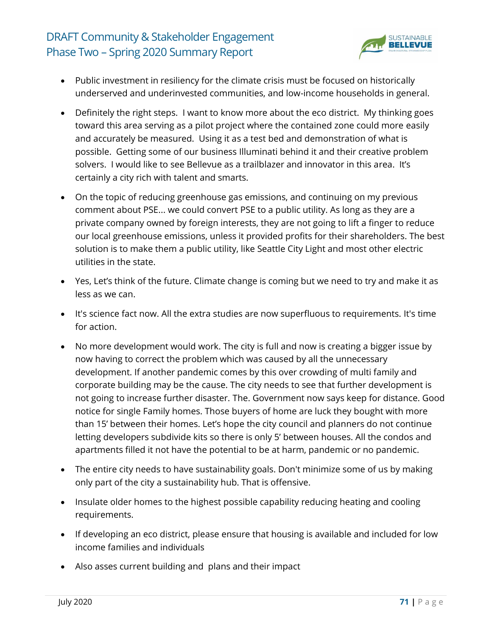

- Public investment in resiliency for the climate crisis must be focused on historically underserved and underinvested communities, and low-income households in general.
- Definitely the right steps. I want to know more about the eco district. My thinking goes toward this area serving as a pilot project where the contained zone could more easily and accurately be measured. Using it as a test bed and demonstration of what is possible. Getting some of our business Illuminati behind it and their creative problem solvers. I would like to see Bellevue as a trailblazer and innovator in this area. It's certainly a city rich with talent and smarts.
- On the topic of reducing greenhouse gas emissions, and continuing on my previous comment about PSE... we could convert PSE to a public utility. As long as they are a private company owned by foreign interests, they are not going to lift a finger to reduce our local greenhouse emissions, unless it provided profits for their shareholders. The best solution is to make them a public utility, like Seattle City Light and most other electric utilities in the state.
- Yes, Let's think of the future. Climate change is coming but we need to try and make it as less as we can.
- It's science fact now. All the extra studies are now superfluous to requirements. It's time for action.
- No more development would work. The city is full and now is creating a bigger issue by now having to correct the problem which was caused by all the unnecessary development. If another pandemic comes by this over crowding of multi family and corporate building may be the cause. The city needs to see that further development is not going to increase further disaster. The. Government now says keep for distance. Good notice for single Family homes. Those buyers of home are luck they bought with more than 15' between their homes. Let's hope the city council and planners do not continue letting developers subdivide kits so there is only 5' between houses. All the condos and apartments filled it not have the potential to be at harm, pandemic or no pandemic.
- The entire city needs to have sustainability goals. Don't minimize some of us by making only part of the city a sustainability hub. That is offensive.
- Insulate older homes to the highest possible capability reducing heating and cooling requirements.
- If developing an eco district, please ensure that housing is available and included for low income families and individuals
- Also asses current building and plans and their impact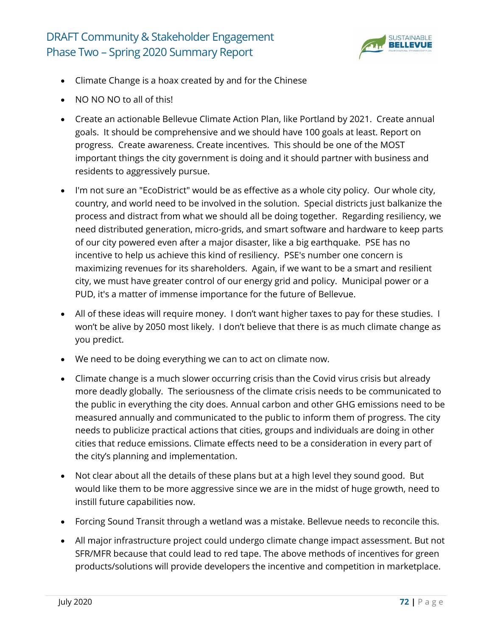

- Climate Change is a hoax created by and for the Chinese
- NO NO NO to all of this!
- Create an actionable Bellevue Climate Action Plan, like Portland by 2021. Create annual goals. It should be comprehensive and we should have 100 goals at least. Report on progress. Create awareness. Create incentives. This should be one of the MOST important things the city government is doing and it should partner with business and residents to aggressively pursue.
- I'm not sure an "EcoDistrict" would be as effective as a whole city policy. Our whole city, country, and world need to be involved in the solution. Special districts just balkanize the process and distract from what we should all be doing together. Regarding resiliency, we need distributed generation, micro-grids, and smart software and hardware to keep parts of our city powered even after a major disaster, like a big earthquake. PSE has no incentive to help us achieve this kind of resiliency. PSE's number one concern is maximizing revenues for its shareholders. Again, if we want to be a smart and resilient city, we must have greater control of our energy grid and policy. Municipal power or a PUD, it's a matter of immense importance for the future of Bellevue.
- All of these ideas will require money. I don't want higher taxes to pay for these studies. I won't be alive by 2050 most likely. I don't believe that there is as much climate change as you predict.
- We need to be doing everything we can to act on climate now.
- Climate change is a much slower occurring crisis than the Covid virus crisis but already more deadly globally. The seriousness of the climate crisis needs to be communicated to the public in everything the city does. Annual carbon and other GHG emissions need to be measured annually and communicated to the public to inform them of progress. The city needs to publicize practical actions that cities, groups and individuals are doing in other cities that reduce emissions. Climate effects need to be a consideration in every part of the city's planning and implementation.
- Not clear about all the details of these plans but at a high level they sound good. But would like them to be more aggressive since we are in the midst of huge growth, need to instill future capabilities now.
- Forcing Sound Transit through a wetland was a mistake. Bellevue needs to reconcile this.
- All major infrastructure project could undergo climate change impact assessment. But not SFR/MFR because that could lead to red tape. The above methods of incentives for green products/solutions will provide developers the incentive and competition in marketplace.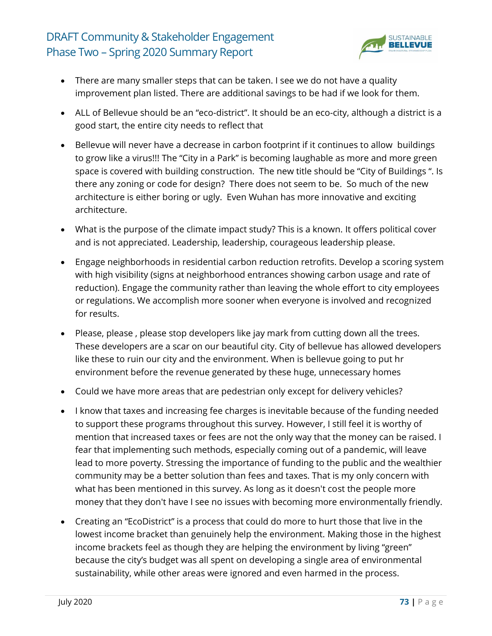

- There are many smaller steps that can be taken. I see we do not have a quality improvement plan listed. There are additional savings to be had if we look for them.
- ALL of Bellevue should be an "eco-district". It should be an eco-city, although a district is a good start, the entire city needs to reflect that
- Bellevue will never have a decrease in carbon footprint if it continues to allow buildings to grow like a virus!!! The "City in a Park" is becoming laughable as more and more green space is covered with building construction. The new title should be "City of Buildings ". Is there any zoning or code for design? There does not seem to be. So much of the new architecture is either boring or ugly. Even Wuhan has more innovative and exciting architecture.
- What is the purpose of the climate impact study? This is a known. It offers political cover and is not appreciated. Leadership, leadership, courageous leadership please.
- Engage neighborhoods in residential carbon reduction retrofits. Develop a scoring system with high visibility (signs at neighborhood entrances showing carbon usage and rate of reduction). Engage the community rather than leaving the whole effort to city employees or regulations. We accomplish more sooner when everyone is involved and recognized for results.
- Please, please , please stop developers like jay mark from cutting down all the trees. These developers are a scar on our beautiful city. City of bellevue has allowed developers like these to ruin our city and the environment. When is bellevue going to put hr environment before the revenue generated by these huge, unnecessary homes
- Could we have more areas that are pedestrian only except for delivery vehicles?
- I know that taxes and increasing fee charges is inevitable because of the funding needed to support these programs throughout this survey. However, I still feel it is worthy of mention that increased taxes or fees are not the only way that the money can be raised. I fear that implementing such methods, especially coming out of a pandemic, will leave lead to more poverty. Stressing the importance of funding to the public and the wealthier community may be a better solution than fees and taxes. That is my only concern with what has been mentioned in this survey. As long as it doesn't cost the people more money that they don't have I see no issues with becoming more environmentally friendly.
- Creating an "EcoDistrict" is a process that could do more to hurt those that live in the lowest income bracket than genuinely help the environment. Making those in the highest income brackets feel as though they are helping the environment by living "green" because the city's budget was all spent on developing a single area of environmental sustainability, while other areas were ignored and even harmed in the process.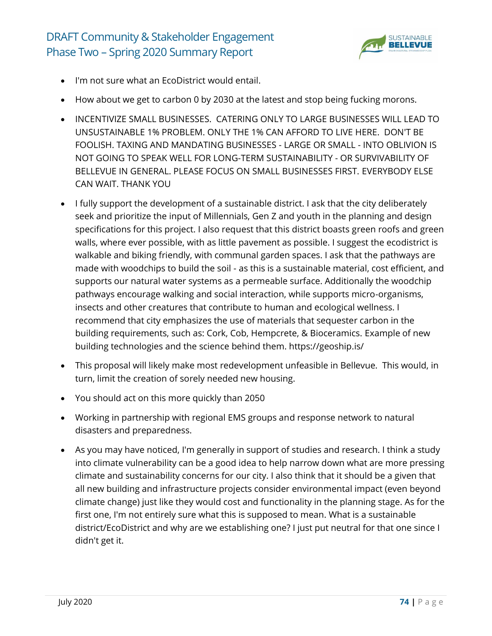

- I'm not sure what an EcoDistrict would entail.
- How about we get to carbon 0 by 2030 at the latest and stop being fucking morons.
- INCENTIVIZE SMALL BUSINESSES. CATERING ONLY TO LARGE BUSINESSES WILL LEAD TO UNSUSTAINABLE 1% PROBLEM. ONLY THE 1% CAN AFFORD TO LIVE HERE. DON'T BE FOOLISH. TAXING AND MANDATING BUSINESSES - LARGE OR SMALL - INTO OBLIVION IS NOT GOING TO SPEAK WELL FOR LONG-TERM SUSTAINABILITY - OR SURVIVABILITY OF BELLEVUE IN GENERAL. PLEASE FOCUS ON SMALL BUSINESSES FIRST. EVERYBODY ELSE CAN WAIT. THANK YOU
- I fully support the development of a sustainable district. I ask that the city deliberately seek and prioritize the input of Millennials, Gen Z and youth in the planning and design specifications for this project. I also request that this district boasts green roofs and green walls, where ever possible, with as little pavement as possible. I suggest the ecodistrict is walkable and biking friendly, with communal garden spaces. I ask that the pathways are made with woodchips to build the soil - as this is a sustainable material, cost efficient, and supports our natural water systems as a permeable surface. Additionally the woodchip pathways encourage walking and social interaction, while supports micro-organisms, insects and other creatures that contribute to human and ecological wellness. I recommend that city emphasizes the use of materials that sequester carbon in the building requirements, such as: Cork, Cob, Hempcrete, & Bioceramics. Example of new building technologies and the science behind them. https://geoship.is/
- This proposal will likely make most redevelopment unfeasible in Bellevue. This would, in turn, limit the creation of sorely needed new housing.
- You should act on this more quickly than 2050
- Working in partnership with regional EMS groups and response network to natural disasters and preparedness.
- As you may have noticed, I'm generally in support of studies and research. I think a study into climate vulnerability can be a good idea to help narrow down what are more pressing climate and sustainability concerns for our city. I also think that it should be a given that all new building and infrastructure projects consider environmental impact (even beyond climate change) just like they would cost and functionality in the planning stage. As for the first one, I'm not entirely sure what this is supposed to mean. What is a sustainable district/EcoDistrict and why are we establishing one? I just put neutral for that one since I didn't get it.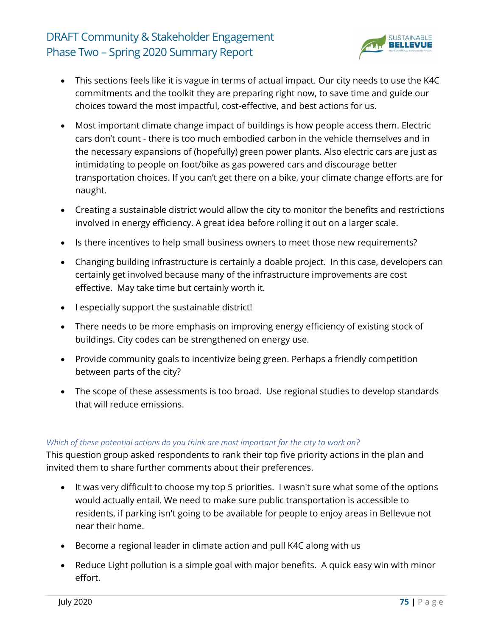

- This sections feels like it is vague in terms of actual impact. Our city needs to use the K4C commitments and the toolkit they are preparing right now, to save time and guide our choices toward the most impactful, cost-effective, and best actions for us.
- Most important climate change impact of buildings is how people access them. Electric cars don't count - there is too much embodied carbon in the vehicle themselves and in the necessary expansions of (hopefully) green power plants. Also electric cars are just as intimidating to people on foot/bike as gas powered cars and discourage better transportation choices. If you can't get there on a bike, your climate change efforts are for naught.
- Creating a sustainable district would allow the city to monitor the benefits and restrictions involved in energy efficiency. A great idea before rolling it out on a larger scale.
- Is there incentives to help small business owners to meet those new requirements?
- Changing building infrastructure is certainly a doable project. In this case, developers can certainly get involved because many of the infrastructure improvements are cost effective. May take time but certainly worth it.
- I especially support the sustainable district!
- There needs to be more emphasis on improving energy efficiency of existing stock of buildings. City codes can be strengthened on energy use.
- Provide community goals to incentivize being green. Perhaps a friendly competition between parts of the city?
- The scope of these assessments is too broad. Use regional studies to develop standards that will reduce emissions.

#### *Which of these potential actions do you think are most important for the city to work on?*

This question group asked respondents to rank their top five priority actions in the plan and invited them to share further comments about their preferences.

- It was very difficult to choose my top 5 priorities. I wasn't sure what some of the options would actually entail. We need to make sure public transportation is accessible to residents, if parking isn't going to be available for people to enjoy areas in Bellevue not near their home.
- Become a regional leader in climate action and pull K4C along with us
- Reduce Light pollution is a simple goal with major benefits. A quick easy win with minor effort.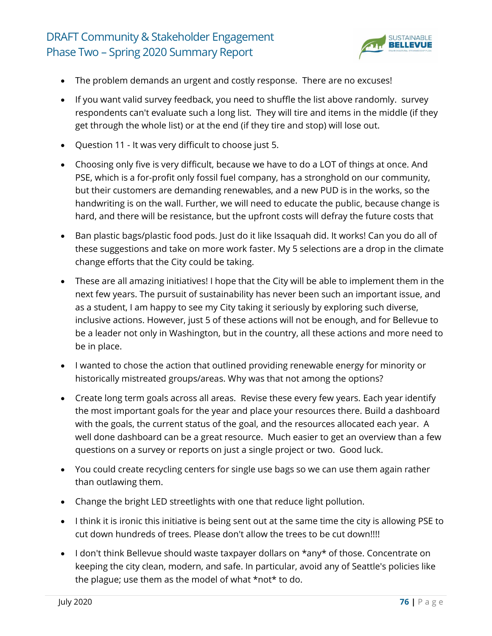

- The problem demands an urgent and costly response. There are no excuses!
- If you want valid survey feedback, you need to shuffle the list above randomly. survey respondents can't evaluate such a long list. They will tire and items in the middle (if they get through the whole list) or at the end (if they tire and stop) will lose out.
- Question 11 It was very difficult to choose just 5.
- Choosing only five is very difficult, because we have to do a LOT of things at once. And PSE, which is a for-profit only fossil fuel company, has a stronghold on our community, but their customers are demanding renewables, and a new PUD is in the works, so the handwriting is on the wall. Further, we will need to educate the public, because change is hard, and there will be resistance, but the upfront costs will defray the future costs that
- Ban plastic bags/plastic food pods. Just do it like Issaquah did. It works! Can you do all of these suggestions and take on more work faster. My 5 selections are a drop in the climate change efforts that the City could be taking.
- These are all amazing initiatives! I hope that the City will be able to implement them in the next few years. The pursuit of sustainability has never been such an important issue, and as a student, I am happy to see my City taking it seriously by exploring such diverse, inclusive actions. However, just 5 of these actions will not be enough, and for Bellevue to be a leader not only in Washington, but in the country, all these actions and more need to be in place.
- I wanted to chose the action that outlined providing renewable energy for minority or historically mistreated groups/areas. Why was that not among the options?
- Create long term goals across all areas. Revise these every few years. Each year identify the most important goals for the year and place your resources there. Build a dashboard with the goals, the current status of the goal, and the resources allocated each year. A well done dashboard can be a great resource. Much easier to get an overview than a few questions on a survey or reports on just a single project or two. Good luck.
- You could create recycling centers for single use bags so we can use them again rather than outlawing them.
- Change the bright LED streetlights with one that reduce light pollution.
- I think it is ironic this initiative is being sent out at the same time the city is allowing PSE to cut down hundreds of trees. Please don't allow the trees to be cut down!!!!
- I don't think Bellevue should waste taxpayer dollars on \*any\* of those. Concentrate on keeping the city clean, modern, and safe. In particular, avoid any of Seattle's policies like the plague; use them as the model of what \*not\* to do.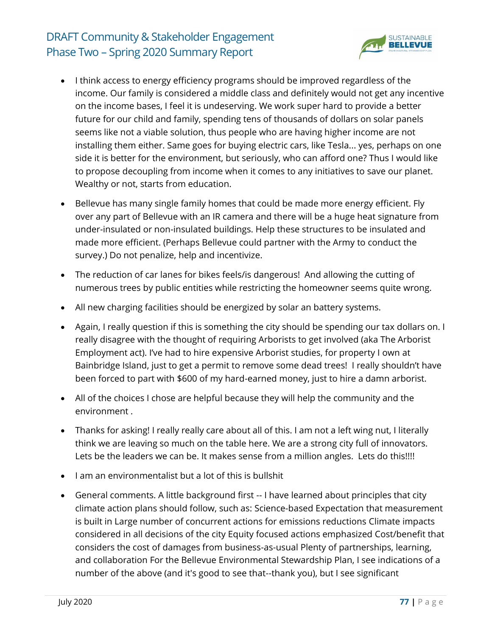

- I think access to energy efficiency programs should be improved regardless of the income. Our family is considered a middle class and definitely would not get any incentive on the income bases, I feel it is undeserving. We work super hard to provide a better future for our child and family, spending tens of thousands of dollars on solar panels seems like not a viable solution, thus people who are having higher income are not installing them either. Same goes for buying electric cars, like Tesla... yes, perhaps on one side it is better for the environment, but seriously, who can afford one? Thus I would like to propose decoupling from income when it comes to any initiatives to save our planet. Wealthy or not, starts from education.
- Bellevue has many single family homes that could be made more energy efficient. Fly over any part of Bellevue with an IR camera and there will be a huge heat signature from under-insulated or non-insulated buildings. Help these structures to be insulated and made more efficient. (Perhaps Bellevue could partner with the Army to conduct the survey.) Do not penalize, help and incentivize.
- The reduction of car lanes for bikes feels/is dangerous! And allowing the cutting of numerous trees by public entities while restricting the homeowner seems quite wrong.
- All new charging facilities should be energized by solar an battery systems.
- Again, I really question if this is something the city should be spending our tax dollars on. I really disagree with the thought of requiring Arborists to get involved (aka The Arborist Employment act). I've had to hire expensive Arborist studies, for property I own at Bainbridge Island, just to get a permit to remove some dead trees! I really shouldn't have been forced to part with \$600 of my hard-earned money, just to hire a damn arborist.
- All of the choices I chose are helpful because they will help the community and the environment .
- Thanks for asking! I really really care about all of this. I am not a left wing nut, I literally think we are leaving so much on the table here. We are a strong city full of innovators. Lets be the leaders we can be. It makes sense from a million angles. Lets do this!!!!
- I am an environmentalist but a lot of this is bullshit
- General comments. A little background first -- I have learned about principles that city climate action plans should follow, such as: Science-based Expectation that measurement is built in Large number of concurrent actions for emissions reductions Climate impacts considered in all decisions of the city Equity focused actions emphasized Cost/benefit that considers the cost of damages from business-as-usual Plenty of partnerships, learning, and collaboration For the Bellevue Environmental Stewardship Plan, I see indications of a number of the above (and it's good to see that--thank you), but I see significant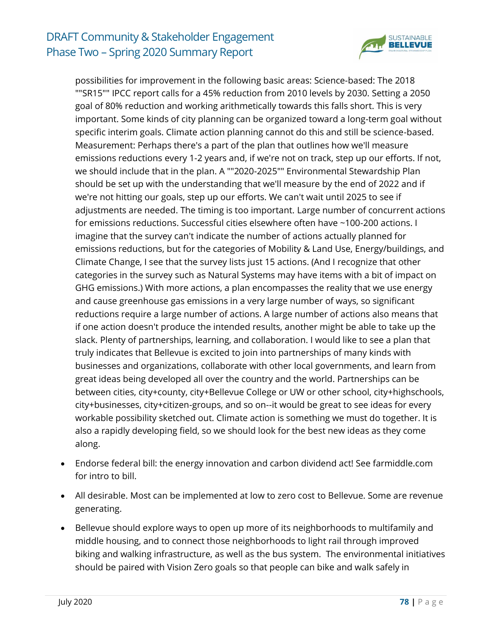

possibilities for improvement in the following basic areas: Science-based: The 2018 ""SR15"" IPCC report calls for a 45% reduction from 2010 levels by 2030. Setting a 2050 goal of 80% reduction and working arithmetically towards this falls short. This is very important. Some kinds of city planning can be organized toward a long-term goal without specific interim goals. Climate action planning cannot do this and still be science-based. Measurement: Perhaps there's a part of the plan that outlines how we'll measure emissions reductions every 1-2 years and, if we're not on track, step up our efforts. If not, we should include that in the plan. A ""2020-2025"" Environmental Stewardship Plan should be set up with the understanding that we'll measure by the end of 2022 and if we're not hitting our goals, step up our efforts. We can't wait until 2025 to see if adjustments are needed. The timing is too important. Large number of concurrent actions for emissions reductions. Successful cities elsewhere often have ~100-200 actions. I imagine that the survey can't indicate the number of actions actually planned for emissions reductions, but for the categories of Mobility & Land Use, Energy/buildings, and Climate Change, I see that the survey lists just 15 actions. (And I recognize that other categories in the survey such as Natural Systems may have items with a bit of impact on GHG emissions.) With more actions, a plan encompasses the reality that we use energy and cause greenhouse gas emissions in a very large number of ways, so significant reductions require a large number of actions. A large number of actions also means that if one action doesn't produce the intended results, another might be able to take up the slack. Plenty of partnerships, learning, and collaboration. I would like to see a plan that truly indicates that Bellevue is excited to join into partnerships of many kinds with businesses and organizations, collaborate with other local governments, and learn from great ideas being developed all over the country and the world. Partnerships can be between cities, city+county, city+Bellevue College or UW or other school, city+highschools, city+businesses, city+citizen-groups, and so on--it would be great to see ideas for every workable possibility sketched out. Climate action is something we must do together. It is also a rapidly developing field, so we should look for the best new ideas as they come along.

- Endorse federal bill: the energy innovation and carbon dividend act! See farmiddle.com for intro to bill.
- All desirable. Most can be implemented at low to zero cost to Bellevue. Some are revenue generating.
- Bellevue should explore ways to open up more of its neighborhoods to multifamily and middle housing, and to connect those neighborhoods to light rail through improved biking and walking infrastructure, as well as the bus system. The environmental initiatives should be paired with Vision Zero goals so that people can bike and walk safely in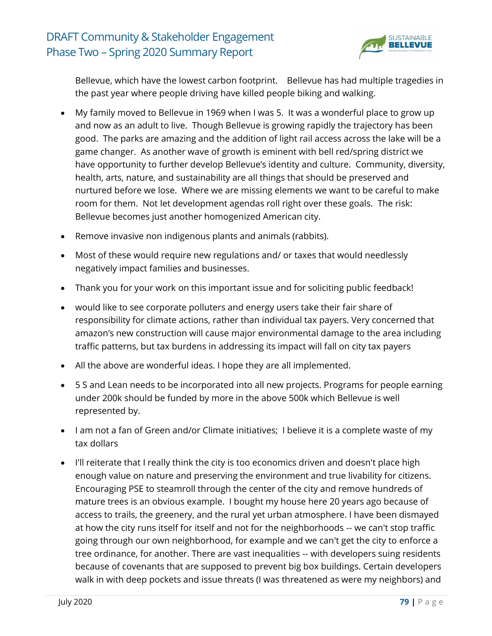

Bellevue, which have the lowest carbon footprint. Bellevue has had multiple tragedies in the past year where people driving have killed people biking and walking.

- My family moved to Bellevue in 1969 when I was 5. It was a wonderful place to grow up and now as an adult to live. Though Bellevue is growing rapidly the trajectory has been good. The parks are amazing and the addition of light rail access across the lake will be a game changer. As another wave of growth is eminent with bell red/spring district we have opportunity to further develop Bellevue's identity and culture. Community, diversity, health, arts, nature, and sustainability are all things that should be preserved and nurtured before we lose. Where we are missing elements we want to be careful to make room for them. Not let development agendas roll right over these goals. The risk: Bellevue becomes just another homogenized American city.
- Remove invasive non indigenous plants and animals (rabbits).
- Most of these would require new regulations and/ or taxes that would needlessly negatively impact families and businesses.
- Thank you for your work on this important issue and for soliciting public feedback!
- would like to see corporate polluters and energy users take their fair share of responsibility for climate actions, rather than individual tax payers. Very concerned that amazon's new construction will cause major environmental damage to the area including traffic patterns, but tax burdens in addressing its impact will fall on city tax payers
- All the above are wonderful ideas. I hope they are all implemented.
- 5 S and Lean needs to be incorporated into all new projects. Programs for people earning under 200k should be funded by more in the above 500k which Bellevue is well represented by.
- I am not a fan of Green and/or Climate initiatives; I believe it is a complete waste of my tax dollars
- I'll reiterate that I really think the city is too economics driven and doesn't place high enough value on nature and preserving the environment and true livability for citizens. Encouraging PSE to steamroll through the center of the city and remove hundreds of mature trees is an obvious example. I bought my house here 20 years ago because of access to trails, the greenery, and the rural yet urban atmosphere. I have been dismayed at how the city runs itself for itself and not for the neighborhoods -- we can't stop traffic going through our own neighborhood, for example and we can't get the city to enforce a tree ordinance, for another. There are vast inequalities -- with developers suing residents because of covenants that are supposed to prevent big box buildings. Certain developers walk in with deep pockets and issue threats (I was threatened as were my neighbors) and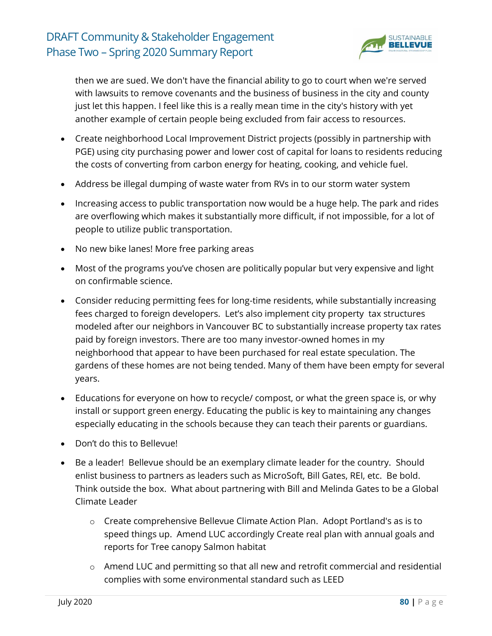

then we are sued. We don't have the financial ability to go to court when we're served with lawsuits to remove covenants and the business of business in the city and county just let this happen. I feel like this is a really mean time in the city's history with yet another example of certain people being excluded from fair access to resources.

- Create neighborhood Local Improvement District projects (possibly in partnership with PGE) using city purchasing power and lower cost of capital for loans to residents reducing the costs of converting from carbon energy for heating, cooking, and vehicle fuel.
- Address be illegal dumping of waste water from RVs in to our storm water system
- Increasing access to public transportation now would be a huge help. The park and rides are overflowing which makes it substantially more difficult, if not impossible, for a lot of people to utilize public transportation.
- No new bike lanes! More free parking areas
- Most of the programs you've chosen are politically popular but very expensive and light on confirmable science.
- Consider reducing permitting fees for long-time residents, while substantially increasing fees charged to foreign developers. Let's also implement city property tax structures modeled after our neighbors in Vancouver BC to substantially increase property tax rates paid by foreign investors. There are too many investor-owned homes in my neighborhood that appear to have been purchased for real estate speculation. The gardens of these homes are not being tended. Many of them have been empty for several years.
- Educations for everyone on how to recycle/ compost, or what the green space is, or why install or support green energy. Educating the public is key to maintaining any changes especially educating in the schools because they can teach their parents or guardians.
- Don't do this to Bellevue!
- Be a leader! Bellevue should be an exemplary climate leader for the country. Should enlist business to partners as leaders such as MicroSoft, Bill Gates, REI, etc. Be bold. Think outside the box. What about partnering with Bill and Melinda Gates to be a Global Climate Leader
	- o Create comprehensive Bellevue Climate Action Plan. Adopt Portland's as is to speed things up. Amend LUC accordingly Create real plan with annual goals and reports for Tree canopy Salmon habitat
	- o Amend LUC and permitting so that all new and retrofit commercial and residential complies with some environmental standard such as LEED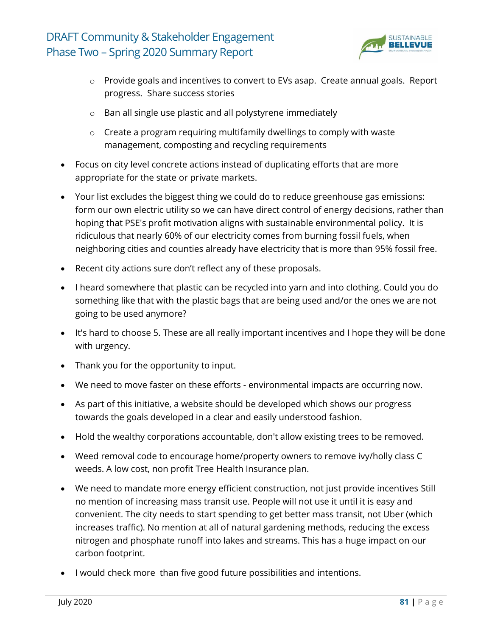

- o Provide goals and incentives to convert to EVs asap. Create annual goals. Report progress. Share success stories
- o Ban all single use plastic and all polystyrene immediately
- o Create a program requiring multifamily dwellings to comply with waste management, composting and recycling requirements
- Focus on city level concrete actions instead of duplicating efforts that are more appropriate for the state or private markets.
- Your list excludes the biggest thing we could do to reduce greenhouse gas emissions: form our own electric utility so we can have direct control of energy decisions, rather than hoping that PSE's profit motivation aligns with sustainable environmental policy. It is ridiculous that nearly 60% of our electricity comes from burning fossil fuels, when neighboring cities and counties already have electricity that is more than 95% fossil free.
- Recent city actions sure don't reflect any of these proposals.
- I heard somewhere that plastic can be recycled into yarn and into clothing. Could you do something like that with the plastic bags that are being used and/or the ones we are not going to be used anymore?
- It's hard to choose 5. These are all really important incentives and I hope they will be done with urgency.
- Thank you for the opportunity to input.
- We need to move faster on these efforts environmental impacts are occurring now.
- As part of this initiative, a website should be developed which shows our progress towards the goals developed in a clear and easily understood fashion.
- Hold the wealthy corporations accountable, don't allow existing trees to be removed.
- Weed removal code to encourage home/property owners to remove ivy/holly class C weeds. A low cost, non profit Tree Health Insurance plan.
- We need to mandate more energy efficient construction, not just provide incentives Still no mention of increasing mass transit use. People will not use it until it is easy and convenient. The city needs to start spending to get better mass transit, not Uber (which increases traffic). No mention at all of natural gardening methods, reducing the excess nitrogen and phosphate runoff into lakes and streams. This has a huge impact on our carbon footprint.
- I would check more than five good future possibilities and intentions.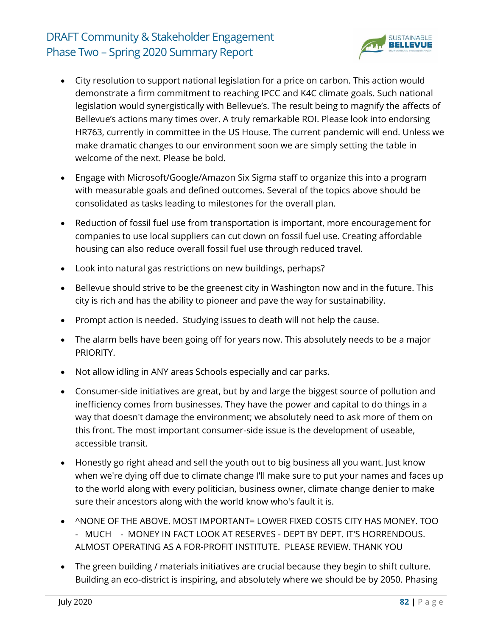

- City resolution to support national legislation for a price on carbon. This action would demonstrate a firm commitment to reaching IPCC and K4C climate goals. Such national legislation would synergistically with Bellevue's. The result being to magnify the affects of Bellevue's actions many times over. A truly remarkable ROI. Please look into endorsing HR763, currently in committee in the US House. The current pandemic will end. Unless we make dramatic changes to our environment soon we are simply setting the table in welcome of the next. Please be bold.
- Engage with Microsoft/Google/Amazon Six Sigma staff to organize this into a program with measurable goals and defined outcomes. Several of the topics above should be consolidated as tasks leading to milestones for the overall plan.
- Reduction of fossil fuel use from transportation is important, more encouragement for companies to use local suppliers can cut down on fossil fuel use. Creating affordable housing can also reduce overall fossil fuel use through reduced travel.
- Look into natural gas restrictions on new buildings, perhaps?
- Bellevue should strive to be the greenest city in Washington now and in the future. This city is rich and has the ability to pioneer and pave the way for sustainability.
- Prompt action is needed. Studying issues to death will not help the cause.
- The alarm bells have been going off for years now. This absolutely needs to be a major PRIORITY.
- Not allow idling in ANY areas Schools especially and car parks.
- Consumer-side initiatives are great, but by and large the biggest source of pollution and inefficiency comes from businesses. They have the power and capital to do things in a way that doesn't damage the environment; we absolutely need to ask more of them on this front. The most important consumer-side issue is the development of useable, accessible transit.
- Honestly go right ahead and sell the youth out to big business all you want. Just know when we're dying off due to climate change I'll make sure to put your names and faces up to the world along with every politician, business owner, climate change denier to make sure their ancestors along with the world know who's fault it is.
- ^NONE OF THE ABOVE. MOST IMPORTANT= LOWER FIXED COSTS CITY HAS MONEY. TOO - MUCH - MONEY IN FACT LOOK AT RESERVES - DEPT BY DEPT. IT'S HORRENDOUS. ALMOST OPERATING AS A FOR-PROFIT INSTITUTE. PLEASE REVIEW. THANK YOU
- The green building / materials initiatives are crucial because they begin to shift culture. Building an eco-district is inspiring, and absolutely where we should be by 2050. Phasing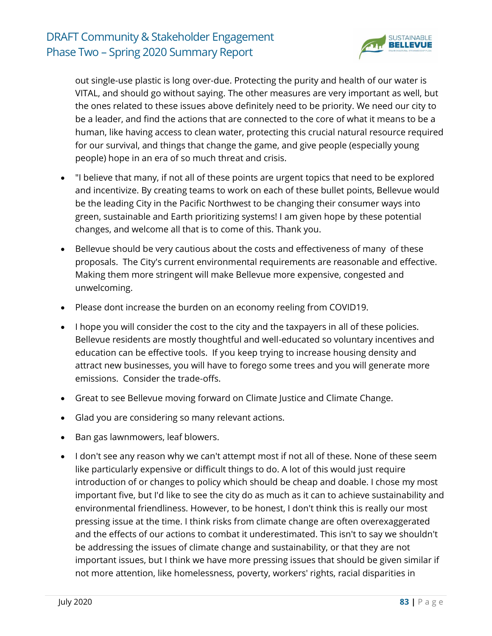

out single-use plastic is long over-due. Protecting the purity and health of our water is VITAL, and should go without saying. The other measures are very important as well, but the ones related to these issues above definitely need to be priority. We need our city to be a leader, and find the actions that are connected to the core of what it means to be a human, like having access to clean water, protecting this crucial natural resource required for our survival, and things that change the game, and give people (especially young people) hope in an era of so much threat and crisis.

- "I believe that many, if not all of these points are urgent topics that need to be explored and incentivize. By creating teams to work on each of these bullet points, Bellevue would be the leading City in the Pacific Northwest to be changing their consumer ways into green, sustainable and Earth prioritizing systems! I am given hope by these potential changes, and welcome all that is to come of this. Thank you.
- Bellevue should be very cautious about the costs and effectiveness of many of these proposals. The City's current environmental requirements are reasonable and effective. Making them more stringent will make Bellevue more expensive, congested and unwelcoming.
- Please dont increase the burden on an economy reeling from COVID19.
- I hope you will consider the cost to the city and the taxpayers in all of these policies. Bellevue residents are mostly thoughtful and well-educated so voluntary incentives and education can be effective tools. If you keep trying to increase housing density and attract new businesses, you will have to forego some trees and you will generate more emissions. Consider the trade-offs.
- Great to see Bellevue moving forward on Climate Justice and Climate Change.
- Glad you are considering so many relevant actions.
- Ban gas lawnmowers, leaf blowers.
- I don't see any reason why we can't attempt most if not all of these. None of these seem like particularly expensive or difficult things to do. A lot of this would just require introduction of or changes to policy which should be cheap and doable. I chose my most important five, but I'd like to see the city do as much as it can to achieve sustainability and environmental friendliness. However, to be honest, I don't think this is really our most pressing issue at the time. I think risks from climate change are often overexaggerated and the effects of our actions to combat it underestimated. This isn't to say we shouldn't be addressing the issues of climate change and sustainability, or that they are not important issues, but I think we have more pressing issues that should be given similar if not more attention, like homelessness, poverty, workers' rights, racial disparities in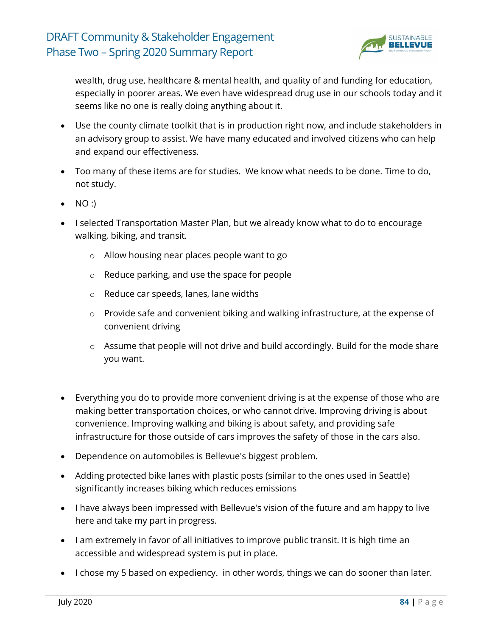

wealth, drug use, healthcare & mental health, and quality of and funding for education, especially in poorer areas. We even have widespread drug use in our schools today and it seems like no one is really doing anything about it.

- Use the county climate toolkit that is in production right now, and include stakeholders in an advisory group to assist. We have many educated and involved citizens who can help and expand our effectiveness.
- Too many of these items are for studies. We know what needs to be done. Time to do, not study.
- NO :)
- I selected Transportation Master Plan, but we already know what to do to encourage walking, biking, and transit.
	- o Allow housing near places people want to go
	- o Reduce parking, and use the space for people
	- o Reduce car speeds, lanes, lane widths
	- o Provide safe and convenient biking and walking infrastructure, at the expense of convenient driving
	- o Assume that people will not drive and build accordingly. Build for the mode share you want.
- Everything you do to provide more convenient driving is at the expense of those who are making better transportation choices, or who cannot drive. Improving driving is about convenience. Improving walking and biking is about safety, and providing safe infrastructure for those outside of cars improves the safety of those in the cars also.
- Dependence on automobiles is Bellevue's biggest problem.
- Adding protected bike lanes with plastic posts (similar to the ones used in Seattle) significantly increases biking which reduces emissions
- I have always been impressed with Bellevue's vision of the future and am happy to live here and take my part in progress.
- I am extremely in favor of all initiatives to improve public transit. It is high time an accessible and widespread system is put in place.
- I chose my 5 based on expediency. in other words, things we can do sooner than later.